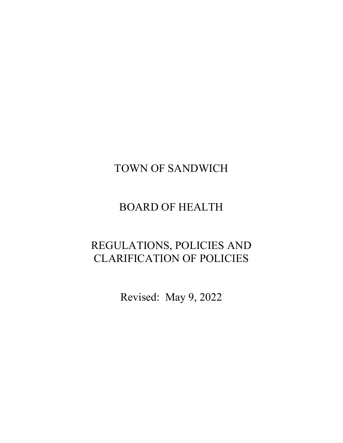# TOWN OF SANDWICH

# BOARD OF HEALTH

# REGULATIONS, POLICIES AND CLARIFICATION OF POLICIES

Revised: May 9, 2022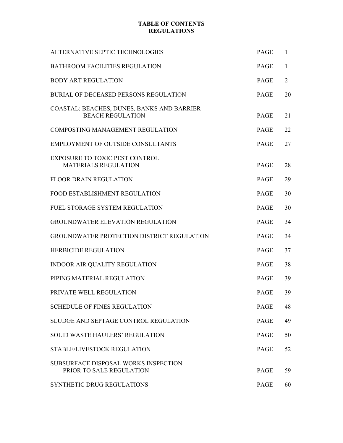# **TABLE OF CONTENTS REGULATIONS**

| ALTERNATIVE SEPTIC TECHNOLOGIES                                       | <b>PAGE</b> | 1              |
|-----------------------------------------------------------------------|-------------|----------------|
| <b>BATHROOM FACILITIES REGULATION</b>                                 | PAGE        | 1              |
| <b>BODY ART REGULATION</b>                                            | <b>PAGE</b> | $\overline{2}$ |
| <b>BURIAL OF DECEASED PERSONS REGULATION</b>                          | <b>PAGE</b> | 20             |
| COASTAL: BEACHES, DUNES, BANKS AND BARRIER<br><b>BEACH REGULATION</b> | <b>PAGE</b> | 21             |
| <b>COMPOSTING MANAGEMENT REGULATION</b>                               | <b>PAGE</b> | 22             |
| <b>EMPLOYMENT OF OUTSIDE CONSULTANTS</b>                              | <b>PAGE</b> | 27             |
| <b>EXPOSURE TO TOXIC PEST CONTROL</b><br><b>MATERIALS REGULATION</b>  | <b>PAGE</b> | 28             |
| <b>FLOOR DRAIN REGULATION</b>                                         | <b>PAGE</b> | 29             |
| <b>FOOD ESTABLISHMENT REGULATION</b>                                  | <b>PAGE</b> | 30             |
| FUEL STORAGE SYSTEM REGULATION                                        | <b>PAGE</b> | 30             |
| <b>GROUNDWATER ELEVATION REGULATION</b>                               | <b>PAGE</b> | 34             |
| GROUNDWATER PROTECTION DISTRICT REGULATION                            | <b>PAGE</b> | 34             |
| <b>HERBICIDE REGULATION</b>                                           | <b>PAGE</b> | 37             |
| <b>INDOOR AIR QUALITY REGULATION</b>                                  | <b>PAGE</b> | 38             |
| PIPING MATERIAL REGULATION                                            | <b>PAGE</b> | 39             |
| PRIVATE WELL REGULATION                                               | PAGE        | 39             |
| <b>SCHEDULE OF FINES REGULATION</b>                                   | <b>PAGE</b> | 48             |
| SLUDGE AND SEPTAGE CONTROL REGULATION                                 | <b>PAGE</b> | 49             |
| <b>SOLID WASTE HAULERS' REGULATION</b>                                | <b>PAGE</b> | 50             |
| STABLE/LIVESTOCK REGULATION                                           | <b>PAGE</b> | 52             |
| SUBSURFACE DISPOSAL WORKS INSPECTION<br>PRIOR TO SALE REGULATION      | <b>PAGE</b> | 59             |
| SYNTHETIC DRUG REGULATIONS                                            | <b>PAGE</b> | 60             |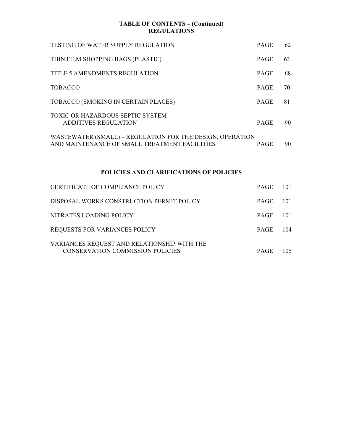# **TABLE OF CONTENTS – (Continued) REGULATIONS**

| TESTING OF WATER SUPPLY REGULATION                                                                         | <b>PAGE</b> | 62 |  |
|------------------------------------------------------------------------------------------------------------|-------------|----|--|
| THIN FILM SHOPPING BAGS (PLASTIC)                                                                          | <b>PAGE</b> | 63 |  |
| TITLE 5 AMENDMENTS REGULATION                                                                              | <b>PAGE</b> | 68 |  |
| <b>TOBACCO</b>                                                                                             | <b>PAGE</b> | 70 |  |
| TOBACCO (SMOKING IN CERTAIN PLACES)                                                                        | <b>PAGE</b> | 81 |  |
| <b>TOXIC OR HAZARDOUS SEPTIC SYSTEM</b><br>ADDITIVES REGULATION                                            | <b>PAGE</b> | 90 |  |
| WASTEWATER (SMALL) – REGULATION FOR THE DESIGN, OPERATION<br>AND MAINTENANCE OF SMALL TREATMENT FACILITIES | <b>PAGE</b> | 90 |  |
| <b>POLICIES AND CLARIFICATIONS OF POLICIES</b>                                                             |             |    |  |

| CERTIFICATE OF COMPLIANCE POLICY                                                       | <b>PAGE</b> | 101   |
|----------------------------------------------------------------------------------------|-------------|-------|
| DISPOSAL WORKS CONSTRUCTION PERMIT POLICY                                              | <b>PAGE</b> | - 101 |
| NITRATES LOADING POLICY                                                                | <b>PAGE</b> | - 101 |
| <b>REQUESTS FOR VARIANCES POLICY</b>                                                   | <b>PAGE</b> | 104   |
| VARIANCES REQUEST AND RELATIONSHIP WITH THE<br><b>CONSERVATION COMMISSION POLICIES</b> | <b>PAGE</b> | 105.  |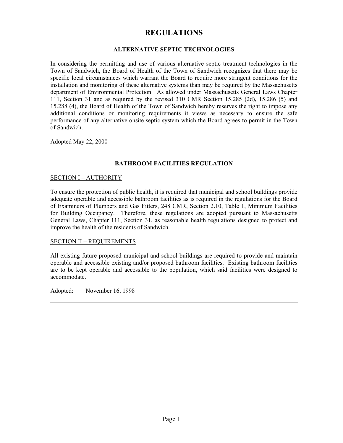# **REGULATIONS**

## **ALTERNATIVE SEPTIC TECHNOLOGIES**

In considering the permitting and use of various alternative septic treatment technologies in the Town of Sandwich, the Board of Health of the Town of Sandwich recognizes that there may be specific local circumstances which warrant the Board to require more stringent conditions for the installation and monitoring of these alternative systems than may be required by the Massachusetts department of Environmental Protection. As allowed under Massachusetts General Laws Chapter 111, Section 31 and as required by the revised 310 CMR Section 15.285 (2d), 15.286 (5) and 15.288 (4), the Board of Health of the Town of Sandwich hereby reserves the right to impose any additional conditions or monitoring requirements it views as necessary to ensure the safe performance of any alternative onsite septic system which the Board agrees to permit in the Town of Sandwich.

Adopted May 22, 2000

# **BATHROOM FACILITIES REGULATION**

## SECTION I – AUTHORITY

To ensure the protection of public health, it is required that municipal and school buildings provide adequate operable and accessible bathroom facilities as is required in the regulations for the Board of Examiners of Plumbers and Gas Fitters, 248 CMR, Section 2.10, Table 1, Minimum Facilities for Building Occupancy. Therefore, these regulations are adopted pursuant to Massachusetts General Laws, Chapter 111, Section 31, as reasonable health regulations designed to protect and improve the health of the residents of Sandwich.

## SECTION II – REQUIREMENTS

All existing future proposed municipal and school buildings are required to provide and maintain operable and accessible existing and/or proposed bathroom facilities. Existing bathroom facilities are to be kept operable and accessible to the population, which said facilities were designed to accommodate.

Adopted: November 16, 1998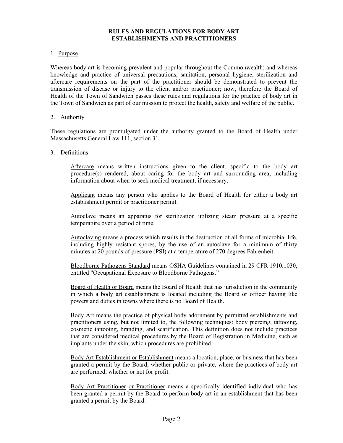# **RULES AND REGULATIONS FOR BODY ART ESTABLISHMENTS AND PRACTITIONERS**

## 1. Purpose

Whereas body art is becoming prevalent and popular throughout the Commonwealth; and whereas knowledge and practice of universal precautions, sanitation, personal hygiene, sterilization and aftercare requirements on the part of the practitioner should be demonstrated to prevent the transmission of disease or injury to the client and/or practitioner; now, therefore the Board of Health of the Town of Sandwich passes these rules and regulations for the practice of body art in the Town of Sandwich as part of our mission to protect the health, safety and welfare of the public.

## 2. Authority

These regulations are promulgated under the authority granted to the Board of Health under Massachusetts General Law 111, section 31.

## 3. Definitions

Aftercare means written instructions given to the client, specific to the body art procedure(s) rendered, about caring for the body art and surrounding area, including information about when to seek medical treatment, if necessary.

Applicant means any person who applies to the Board of Health for either a body art establishment permit or practitioner permit.

Autoclave means an apparatus for sterilization utilizing steam pressure at a specific temperature over a period of time.

Autoclaving means a process which results in the destruction of all forms of microbial life, including highly resistant spores, by the use of an autoclave for a minimum of thirty minutes at 20 pounds of pressure (PSI) at a temperature of 270 degrees Fahrenheit.

Bloodborne Pathogens Standard means OSHA Guidelines contained in 29 CFR 1910.1030, entitled "Occupational Exposure to Bloodborne Pathogens."

Board of Health or Board means the Board of Health that has jurisdiction in the community in which a body art establishment is located including the Board or officer having like powers and duties in towns where there is no Board of Health.

Body Art means the practice of physical body adornment by permitted establishments and practitioners using, but not limited to, the following techniques: body piercing, tattooing, cosmetic tattooing, branding, and scarification. This definition does not include practices that are considered medical procedures by the Board of Registration in Medicine, such as implants under the skin, which procedures are prohibited.

Body Art Establishment or Establishment means a location, place, or business that has been granted a permit by the Board, whether public or private, where the practices of body art are performed, whether or not for profit.

Body Art Practitioner or Practitioner means a specifically identified individual who has been granted a permit by the Board to perform body art in an establishment that has been granted a permit by the Board.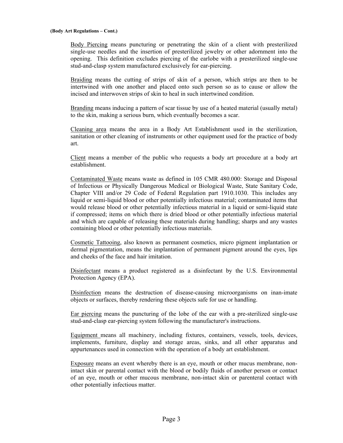Body Piercing means puncturing or penetrating the skin of a client with presterilized single-use needles and the insertion of presterilized jewelry or other adornment into the opening. This definition excludes piercing of the earlobe with a presterilized single-use stud-and-clasp system manufactured exclusively for ear-piercing.

Braiding means the cutting of strips of skin of a person, which strips are then to be intertwined with one another and placed onto such person so as to cause or allow the incised and interwoven strips of skin to heal in such intertwined condition.

Branding means inducing a pattern of scar tissue by use of a heated material (usually metal) to the skin, making a serious burn, which eventually becomes a scar.

Cleaning area means the area in a Body Art Establishment used in the sterilization, sanitation or other cleaning of instruments or other equipment used for the practice of body art.

Client means a member of the public who requests a body art procedure at a body art establishment.

Contaminated Waste means waste as defined in 105 CMR 480.000: Storage and Disposal of Infectious or Physically Dangerous Medical or Biological Waste, State Sanitary Code, Chapter VIII and/or 29 Code of Federal Regulation part 1910.1030. This includes any liquid or semi-liquid blood or other potentially infectious material; contaminated items that would release blood or other potentially infectious material in a liquid or semi-liquid state if compressed; items on which there is dried blood or other potentially infectious material and which are capable of releasing these materials during handling; sharps and any wastes containing blood or other potentially infectious materials.

Cosmetic Tattooing, also known as permanent cosmetics, micro pigment implantation or dermal pigmentation, means the implantation of permanent pigment around the eyes, lips and cheeks of the face and hair imitation.

Disinfectant means a product registered as a disinfectant by the U.S. Environmental Protection Agency (EPA).

Disinfection means the destruction of disease-causing microorganisms on inan-imate objects or surfaces, thereby rendering these objects safe for use or handling.

Ear piercing means the puncturing of the lobe of the ear with a pre-sterilized single-use stud-and-clasp ear-piercing system following the manufacturer's instructions.

Equipment means all machinery, including fixtures, containers, vessels, tools, devices, implements, furniture, display and storage areas, sinks, and all other apparatus and appurtenances used in connection with the operation of a body art establishment.

Exposure means an event whereby there is an eye, mouth or other mucus membrane, nonintact skin or parental contact with the blood or bodily fluids of another person or contact of an eye, mouth or other mucous membrane, non-intact skin or parenteral contact with other potentially infectious matter.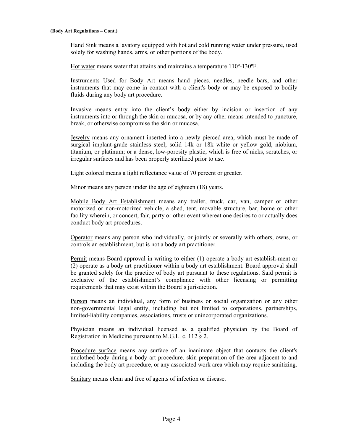Hand Sink means a lavatory equipped with hot and cold running water under pressure, used solely for washing hands, arms, or other portions of the body.

Hot water means water that attains and maintains a temperature 110º-130ºF.

Instruments Used for Body Art means hand pieces, needles, needle bars, and other instruments that may come in contact with a client's body or may be exposed to bodily fluids during any body art procedure.

Invasive means entry into the client's body either by incision or insertion of any instruments into or through the skin or mucosa, or by any other means intended to puncture, break, or otherwise compromise the skin or mucosa.

Jewelry means any ornament inserted into a newly pierced area, which must be made of surgical implant-grade stainless steel; solid 14k or 18k white or yellow gold, niobium, titanium, or platinum; or a dense, low-porosity plastic, which is free of nicks, scratches, or irregular surfaces and has been properly sterilized prior to use.

Light colored means a light reflectance value of 70 percent or greater.

Minor means any person under the age of eighteen (18) years.

Mobile Body Art Establishment means any trailer, truck, car, van, camper or other motorized or non-motorized vehicle, a shed, tent, movable structure, bar, home or other facility wherein, or concert, fair, party or other event whereat one desires to or actually does conduct body art procedures.

Operator means any person who individually, or jointly or severally with others, owns, or controls an establishment, but is not a body art practitioner.

Permit means Board approval in writing to either (1) operate a body art establish-ment or (2) operate as a body art practitioner within a body art establishment. Board approval shall be granted solely for the practice of body art pursuant to these regulations. Said permit is exclusive of the establishment's compliance with other licensing or permitting requirements that may exist within the Board's jurisdiction.

Person means an individual, any form of business or social organization or any other non-governmental legal entity, including but not limited to corporations, partnerships, limited-liability companies, associations, trusts or unincorporated organizations.

Physician means an individual licensed as a qualified physician by the Board of Registration in Medicine pursuant to M.G.L. c. 112 § 2.

Procedure surface means any surface of an inanimate object that contacts the client's unclothed body during a body art procedure, skin preparation of the area adjacent to and including the body art procedure, or any associated work area which may require sanitizing.

Sanitary means clean and free of agents of infection or disease.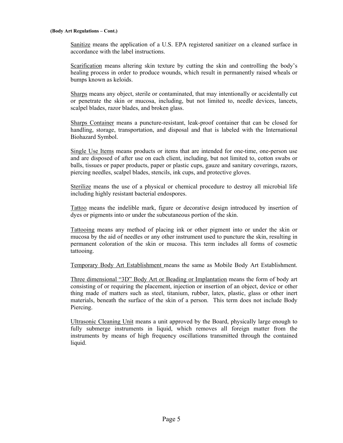Sanitize means the application of a U.S. EPA registered sanitizer on a cleaned surface in accordance with the label instructions.

Scarification means altering skin texture by cutting the skin and controlling the body's healing process in order to produce wounds, which result in permanently raised wheals or bumps known as keloids.

Sharps means any object, sterile or contaminated, that may intentionally or accidentally cut or penetrate the skin or mucosa, including, but not limited to, needle devices, lancets, scalpel blades, razor blades, and broken glass.

Sharps Container means a puncture-resistant, leak-proof container that can be closed for handling, storage, transportation, and disposal and that is labeled with the International Biohazard Symbol.

Single Use Items means products or items that are intended for one-time, one-person use and are disposed of after use on each client, including, but not limited to, cotton swabs or balls, tissues or paper products, paper or plastic cups, gauze and sanitary coverings, razors, piercing needles, scalpel blades, stencils, ink cups, and protective gloves.

Sterilize means the use of a physical or chemical procedure to destroy all microbial life including highly resistant bacterial endospores.

Tattoo means the indelible mark, figure or decorative design introduced by insertion of dyes or pigments into or under the subcutaneous portion of the skin.

Tattooing means any method of placing ink or other pigment into or under the skin or mucosa by the aid of needles or any other instrument used to puncture the skin, resulting in permanent coloration of the skin or mucosa. This term includes all forms of cosmetic tattooing.

Temporary Body Art Establishment means the same as Mobile Body Art Establishment.

Three dimensional "3D" Body Art or Beading or Implantation means the form of body art consisting of or requiring the placement, injection or insertion of an object, device or other thing made of matters such as steel, titanium, rubber, latex, plastic, glass or other inert materials, beneath the surface of the skin of a person. This term does not include Body Piercing.

Ultrasonic Cleaning Unit means a unit approved by the Board, physically large enough to fully submerge instruments in liquid, which removes all foreign matter from the instruments by means of high frequency oscillations transmitted through the contained liquid.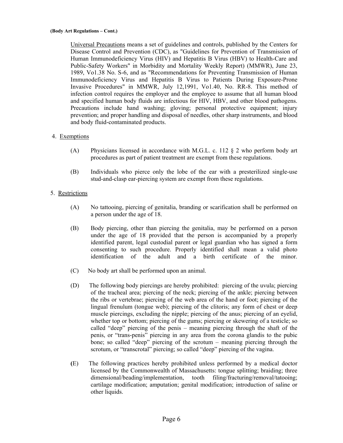Universal Precautions means a set of guidelines and controls, published by the Centers for Disease Control and Prevention (CDC), as "Guidelines for Prevention of Transmission of Human Immunodeficiency Virus (HIV) and Hepatitis B Virus (HBV) to Health-Care and Public-Safety Workers" in Morbidity and Mortality Weekly Report) (MMWR), June 23, 1989, Vo1.38 No. S-6, and as "Recommendations for Preventing Transmission of Human Immunodeficiency Virus and Hepatitis B Virus to Patients During Exposure-Prone Invasive Procedures" in MMWR, July 12,1991, Vo1.40, No. RR-8. This method of infection control requires the employer and the employee to assume that all human blood and specified human body fluids are infectious for HIV, HBV, and other blood pathogens. Precautions include hand washing; gloving; personal protective equipment; injury prevention; and proper handling and disposal of needles, other sharp instruments, and blood and body fluid-contaminated products.

# 4. Exemptions

- (A) Physicians licensed in accordance with M.G.L. c. 112 § 2 who perform body art procedures as part of patient treatment are exempt from these regulations.
- (B) Individuals who pierce only the lobe of the ear with a presterilized single-use stud-and-clasp ear-piercing system are exempt from these regulations.

# 5. Restrictions

- (A) No tattooing, piercing of genitalia, branding or scarification shall be performed on a person under the age of 18.
- (B) Body piercing, other than piercing the genitalia, may be performed on a person under the age of 18 provided that the person is accompanied by a properly identified parent, legal custodial parent or legal guardian who has signed a form consenting to such procedure. Properly identified shall mean a valid photo identification of the adult and a birth certificate of the minor.
- (C) No body art shall be performed upon an animal.
- (D) The following body piercings are hereby prohibited: piercing of the uvula; piercing of the tracheal area; piercing of the neck; piercing of the ankle; piercing between the ribs or vertebrae; piercing of the web area of the hand or foot; piercing of the lingual frenulum (tongue web); piercing of the clitoris; any form of chest or deep muscle piercings, excluding the nipple; piercing of the anus; piercing of an eyelid, whether top or bottom; piercing of the gums; piercing or skewering of a testicle; so called "deep" piercing of the penis – meaning piercing through the shaft of the penis, or "trans-penis" piercing in any area from the corona glandis to the pubic bone; so called "deep" piercing of the scrotum – meaning piercing through the scrotum, or "transcrotal" piercing; so called "deep" piercing of the vagina.
- **(**E) The following practices hereby prohibited unless performed by a medical doctor licensed by the Commonwealth of Massachusetts: tongue splitting; braiding; three dimensional/beading/implementation, tooth filing/fracturing/removal/tatooing; cartilage modification; amputation; genital modification; introduction of saline or other liquids.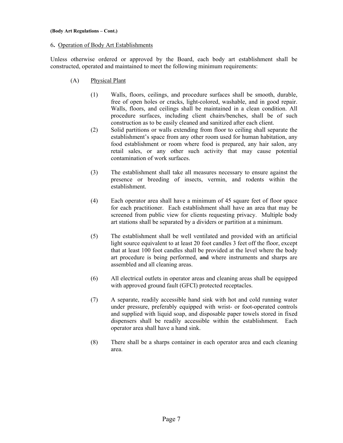## 6**.** Operation of Body Art Establishments

Unless otherwise ordered or approved by the Board, each body art establishment shall be constructed, operated and maintained to meet the following minimum requirements:

- (A) Physical Plant
	- (1) Walls, floors, ceilings, and procedure surfaces shall be smooth, durable, free of open holes or cracks, light-colored, washable, and in good repair. Walls, floors, and ceilings shall be maintained in a clean condition. All procedure surfaces, including client chairs/benches, shall be of such construction as to be easily cleaned and sanitized after each client.
	- (2) Solid partitions or walls extending from floor to ceiling shall separate the establishment's space from any other room used for human habitation, any food establishment or room where food is prepared, any hair salon, any retail sales, or any other such activity that may cause potential contamination of work surfaces.
	- (3) The establishment shall take all measures necessary to ensure against the presence or breeding of insects, vermin, and rodents within the establishment.
	- (4) Each operator area shall have a minimum of 45 square feet of floor space for each practitioner. Each establishment shall have an area that may be screened from public view for clients requesting privacy. Multiple body art stations shall be separated by a dividers or partition at a minimum.
	- (5) The establishment shall be well ventilated and provided with an artificial light source equivalent to at least 20 foot candles 3 feet off the floor, except that at least 100 foot candles shall be provided at the level where the body art procedure is being performed, and where instruments and sharps are assembled and all cleaning areas.
	- (6) All electrical outlets in operator areas and cleaning areas shall be equipped with approved ground fault (GFCI) protected receptacles.
	- (7) A separate, readily accessible hand sink with hot and cold running water under pressure, preferably equipped with wrist- or foot-operated controls and supplied with liquid soap, and disposable paper towels stored in fixed dispensers shall be readily accessible within the establishment. Each operator area shall have a hand sink.
	- (8) There shall be a sharps container in each operator area and each cleaning area.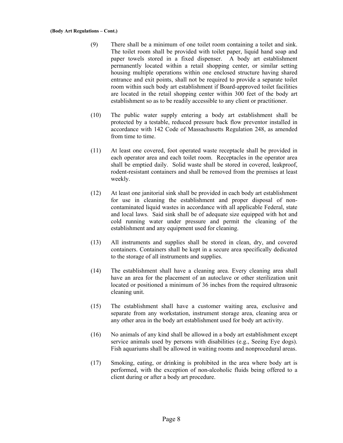- (9) There shall be a minimum of one toilet room containing a toilet and sink. The toilet room shall be provided with toilet paper, liquid hand soap and paper towels stored in a fixed dispenser. A body art establishment permanently located within a retail shopping center, or similar setting housing multiple operations within one enclosed structure having shared entrance and exit points, shall not be required to provide a separate toilet room within such body art establishment if Board-approved toilet facilities are located in the retail shopping center within 300 feet of the body art establishment so as to be readily accessible to any client or practitioner.
- (10) The public water supply entering a body art establishment shall be protected by a testable, reduced pressure back flow preventor installed in accordance with 142 Code of Massachusetts Regulation 248, as amended from time to time.
- (11) At least one covered, foot operated waste receptacle shall be provided in each operator area and each toilet room. Receptacles in the operator area shall be emptied daily. Solid waste shall be stored in covered, leakproof, rodent-resistant containers and shall be removed from the premises at least weekly.
- (12) At least one janitorial sink shall be provided in each body art establishment for use in cleaning the establishment and proper disposal of noncontaminated liquid wastes in accordance with all applicable Federal, state and local laws. Said sink shall be of adequate size equipped with hot and cold running water under pressure and permit the cleaning of the establishment and any equipment used for cleaning.
- (13) All instruments and supplies shall be stored in clean, dry, and covered containers. Containers shall be kept in a secure area specifically dedicated to the storage of all instruments and supplies.
- (14) The establishment shall have a cleaning area. Every cleaning area shall have an area for the placement of an autoclave or other sterilization unit located or positioned a minimum of 36 inches from the required ultrasonic cleaning unit.
- (15) The establishment shall have a customer waiting area, exclusive and separate from any workstation, instrument storage area, cleaning area or any other area in the body art establishment used for body art activity.
- (16) No animals of any kind shall be allowed in a body art establishment except service animals used by persons with disabilities (e.g., Seeing Eye dogs). Fish aquariums shall be allowed in waiting rooms and nonprocedural areas.
- (17) Smoking, eating, or drinking is prohibited in the area where body art is performed, with the exception of non-alcoholic fluids being offered to a client during or after a body art procedure.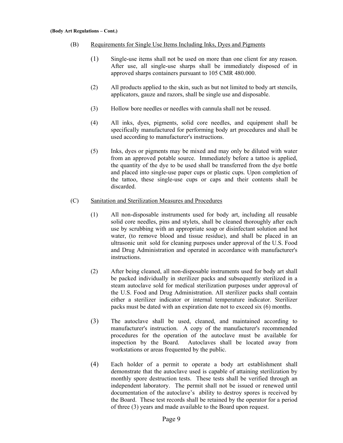- (B) Requirements for Single Use Items Including Inks, Dyes and Pigments
	- (1) Single-use items shall not be used on more than one client for any reason. After use, all single-use sharps shall be immediately disposed of in approved sharps containers pursuant to 105 CMR 480.000.
	- (2) All products applied to the skin, such as but not limited to body art stencils, applicators, gauze and razors, shall be single use and disposable.
	- (3) Hollow bore needles or needles with cannula shall not be reused.
	- (4) All inks, dyes, pigments, solid core needles, and equipment shall be specifically manufactured for performing body art procedures and shall be used according to manufacturer's instructions.
	- (5) Inks, dyes or pigments may be mixed and may only be diluted with water from an approved potable source. Immediately before a tattoo is applied, the quantity of the dye to be used shall be transferred from the dye bottle and placed into single-use paper cups or plastic cups. Upon completion of the tattoo, these single-use cups or caps and their contents shall be discarded.

## (C) Sanitation and Sterilization Measures and Procedures

- (1) All non-disposable instruments used for body art, including all reusable solid core needles, pins and stylets, shall be cleaned thoroughly after each use by scrubbing with an appropriate soap or disinfectant solution and hot water, (to remove blood and tissue residue), and shall be placed in an ultrasonic unit sold for cleaning purposes under approval of the U.S. Food and Drug Administration and operated in accordance with manufacturer's instructions.
- (2) After being cleaned, all non-disposable instruments used for body art shall be packed individually in sterilizer packs and subsequently sterilized in a steam autoclave sold for medical sterilization purposes under approval of the U.S. Food and Drug Administration. All sterilizer packs shall contain either a sterilizer indicator or internal temperature indicator. Sterilizer packs must be dated with an expiration date not to exceed six (6) months.
- (3) The autoclave shall be used, cleaned, and maintained according to manufacturer's instruction. A copy of the manufacturer's recommended procedures for the operation of the autoclave must be available for inspection by the Board. Autoclaves shall be located away from workstations or areas frequented by the public.
- (4) Each holder of a permit to operate a body art establishment shall demonstrate that the autoclave used is capable of attaining sterilization by monthly spore destruction tests. These tests shall be verified through an independent laboratory. The permit shall not be issued or renewed until documentation of the autoclave's ability to destroy spores is received by the Board. These test records shall be retained by the operator for a period of three (3) years and made available to the Board upon request.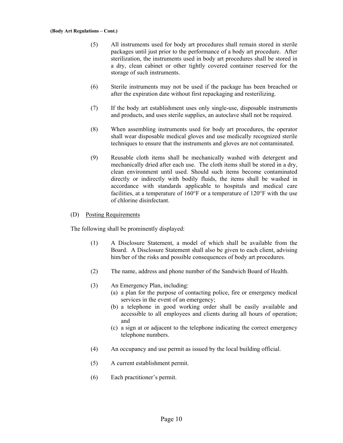- (5) All instruments used for body art procedures shall remain stored in sterile packages until just prior to the performance of a body art procedure. After sterilization, the instruments used in body art procedures shall be stored in a dry, clean cabinet or other tightly covered container reserved for the storage of such instruments.
- (6) Sterile instruments may not be used if the package has been breached or after the expiration date without first repackaging and resterilizing.
- (7) If the body art establishment uses only single-use, disposable instruments and products, and uses sterile supplies, an autoclave shall not be required.
- (8) When assembling instruments used for body art procedures, the operator shall wear disposable medical gloves and use medically recognized sterile techniques to ensure that the instruments and gloves are not contaminated.
- (9) Reusable cloth items shall be mechanically washed with detergent and mechanically dried after each use. The cloth items shall be stored in a dry, clean environment until used. Should such items become contaminated directly or indirectly with bodily fluids, the items shall be washed in accordance with standards applicable to hospitals and medical care facilities, at a temperature of  $160^{\circ}$ F or a temperature of  $120^{\circ}$ F with the use of chlorine disinfectant.

## (D) Posting Requirements

The following shall be prominently displayed:

- (1) A Disclosure Statement, a model of which shall be available from the Board. A Disclosure Statement shall also be given to each client, advising him/her of the risks and possible consequences of body art procedures.
- (2) The name, address and phone number of the Sandwich Board of Health.
- (3) An Emergency Plan, including:
	- (a) a plan for the purpose of contacting police, fire or emergency medical services in the event of an emergency;
	- (b) a telephone in good working order shall be easily available and accessible to all employees and clients during all hours of operation; and
	- (c) a sign at or adjacent to the telephone indicating the correct emergency telephone numbers.
- (4)An occupancy and use permit as issued by the local building official.
- (5) A current establishment permit.
- (6) Each practitioner's permit.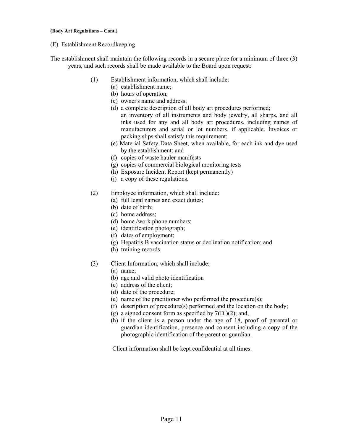## (E) Establishment Recordkeeping

- The establishment shall maintain the following records in a secure place for a minimum of three (3) years, and such records shall be made available to the Board upon request:
	- (1) Establishment information, which shall include:
		- (a) establishment name;
		- (b) hours of operation;
		- (c) owner's name and address;
		- (d) a complete description of all body art procedures performed; an inventory of all instruments and body jewelry, all sharps, and all inks used for any and all body art procedures, including names of manufacturers and serial or lot numbers, if applicable. Invoices or packing slips shall satisfy this requirement;
		- (e) Material Safety Data Sheet, when available, for each ink and dye used by the establishment; and
		- (f) copies of waste hauler manifests
		- (g) copies of commercial biological monitoring tests
		- (h) Exposure Incident Report (kept permanently)
		- (j) a copy of these regulations.
	- (2) Employee information, which shall include:
		- (a) full legal names and exact duties;
		- (b) date of birth;
		- (c) home address;
		- (d) home /work phone numbers;
		- (e) identification photograph;
		- (f) dates of employment;
		- (g) Hepatitis B vaccination status or declination notification; and
		- (h) training records
	- (3) Client Information, which shall include:
		- (a) name;
		- (b) age and valid photo identification
		- (c) address of the client;
		- (d) date of the procedure;
		- (e) name of the practitioner who performed the procedure(s);
		- (f) description of procedure(s) performed and the location on the body;
		- (g) a signed consent form as specified by  $7(D)(2)$ ; and,
		- (h) if the client is a person under the age of 18, proof of parental or guardian identification, presence and consent including a copy of the photographic identification of the parent or guardian.

Client information shall be kept confidential at all times.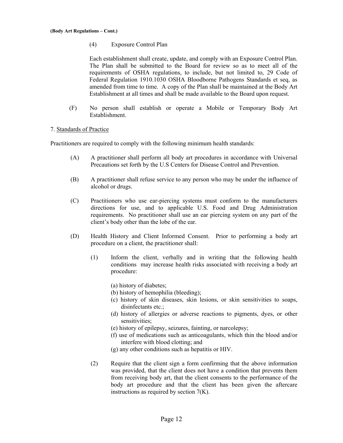(4) Exposure Control Plan

Each establishment shall create, update, and comply with an Exposure Control Plan. The Plan shall be submitted to the Board for review so as to meet all of the requirements of OSHA regulations, to include, but not limited to, 29 Code of Federal Regulation 1910.1030 OSHA Bloodborne Pathogens Standards et seq, as amended from time to time. A copy of the Plan shall be maintained at the Body Art Establishment at all times and shall be made available to the Board upon request.

(F) No person shall establish or operate a Mobile or Temporary Body Art Establishment.

## 7. Standards of Practice

Practitioners are required to comply with the following minimum health standards:

- (A) A practitioner shall perform all body art procedures in accordance with Universal Precautions set forth by the U.S Centers for Disease Control and Prevention.
- (B) A practitioner shall refuse service to any person who may be under the influence of alcohol or drugs.
- (C) Practitioners who use ear-piercing systems must conform to the manufacturers directions for use, and to applicable U.S. Food and Drug Administration requirements. No practitioner shall use an ear piercing system on any part of the client's body other than the lobe of the ear.
- (D) Health History and Client Informed Consent. Prior to performing a body art procedure on a client, the practitioner shall:
	- (1) Inform the client, verbally and in writing that the following health conditions may increase health risks associated with receiving a body art procedure:
		- (a) history of diabetes;
		- (b) history of hemophilia (bleeding);
		- (c) history of skin diseases, skin lesions, or skin sensitivities to soaps, disinfectants etc.;
		- (d) history of allergies or adverse reactions to pigments, dyes, or other sensitivities;
		- (e) history of epilepsy, seizures, fainting, or narcolepsy;
		- (f) use of medications such as anticoagulants, which thin the blood and/or interfere with blood clotting; and
		- (g) any other conditions such as hepatitis or HIV.
	- (2) Require that the client sign a form confirming that the above information was provided, that the client does not have a condition that prevents them from receiving body art, that the client consents to the performance of the body art procedure and that the client has been given the aftercare instructions as required by section 7(K).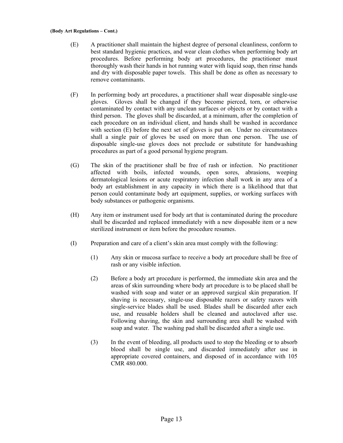- (E) A practitioner shall maintain the highest degree of personal cleanliness, conform to best standard hygienic practices, and wear clean clothes when performing body art procedures. Before performing body art procedures, the practitioner must thoroughly wash their hands in hot running water with liquid soap, then rinse hands and dry with disposable paper towels. This shall be done as often as necessary to remove contaminants.
- (F) In performing body art procedures, a practitioner shall wear disposable single-use gloves. Gloves shall be changed if they become pierced, torn, or otherwise contaminated by contact with any unclean surfaces or objects or by contact with a third person. The gloves shall be discarded, at a minimum, after the completion of each procedure on an individual client, and hands shall be washed in accordance with section (E) before the next set of gloves is put on. Under no circumstances shall a single pair of gloves be used on more than one person. The use of disposable single-use gloves does not preclude or substitute for handwashing procedures as part of a good personal hygiene program.
- (G) The skin of the practitioner shall be free of rash or infection. No practitioner affected with boils, infected wounds, open sores, abrasions, weeping dermatological lesions or acute respiratory infection shall work in any area of a body art establishment in any capacity in which there is a likelihood that that person could contaminate body art equipment, supplies, or working surfaces with body substances or pathogenic organisms.
- (H) Any item or instrument used for body art that is contaminated during the procedure shall be discarded and replaced immediately with a new disposable item or a new sterilized instrument or item before the procedure resumes.
- (I) Preparation and care of a client's skin area must comply with the following:
	- (1) Any skin or mucosa surface to receive a body art procedure shall be free of rash or any visible infection.
	- (2) Before a body art procedure is performed, the immediate skin area and the areas of skin surrounding where body art procedure is to be placed shall be washed with soap and water or an approved surgical skin preparation. If shaving is necessary, single-use disposable razors or safety razors with single-service blades shall be used. Blades shall be discarded after each use, and reusable holders shall be cleaned and autoclaved after use. Following shaving, the skin and surrounding area shall be washed with soap and water. The washing pad shall be discarded after a single use.
	- (3) In the event of bleeding, all products used to stop the bleeding or to absorb blood shall be single use, and discarded immediately after use in appropriate covered containers, and disposed of in accordance with 105 CMR 480.000.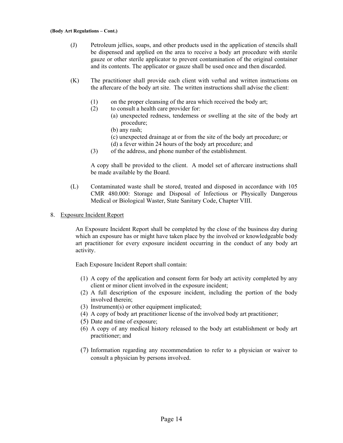- (J) Petroleum jellies, soaps, and other products used in the application of stencils shall be dispensed and applied on the area to receive a body art procedure with sterile gauze or other sterile applicator to prevent contamination of the original container and its contents. The applicator or gauze shall be used once and then discarded.
- (K) The practitioner shall provide each client with verbal and written instructions on the aftercare of the body art site. The written instructions shall advise the client:
	- (1) on the proper cleansing of the area which received the body art;
	- (2) to consult a health care provider for:
		- (a) unexpected redness, tenderness or swelling at the site of the body art procedure;
			- (b) any rash;
			- (c) unexpected drainage at or from the site of the body art procedure; or
			- (d) a fever within 24 hours of the body art procedure; and
	- (3) of the address, and phone number of the establishment.

A copy shall be provided to the client. A model set of aftercare instructions shall be made available by the Board.

- (L) Contaminated waste shall be stored, treated and disposed in accordance with 105 CMR 480.000: Storage and Disposal of Infectious or Physically Dangerous Medical or Biological Waster, State Sanitary Code, Chapter VIII.
- 8. Exposure Incident Report

An Exposure Incident Report shall be completed by the close of the business day during which an exposure has or might have taken place by the involved or knowledgeable body art practitioner for every exposure incident occurring in the conduct of any body art activity.

Each Exposure Incident Report shall contain:

- (1) A copy of the application and consent form for body art activity completed by any client or minor client involved in the exposure incident;
- (2) A full description of the exposure incident, including the portion of the body involved therein;
- (3) Instrument(s) or other equipment implicated;
- (4) A copy of body art practitioner license of the involved body art practitioner;
- (5) Date and time of exposure;
- (6) A copy of any medical history released to the body art establishment or body art practitioner; and
- (7) Information regarding any recommendation to refer to a physician or waiver to consult a physician by persons involved.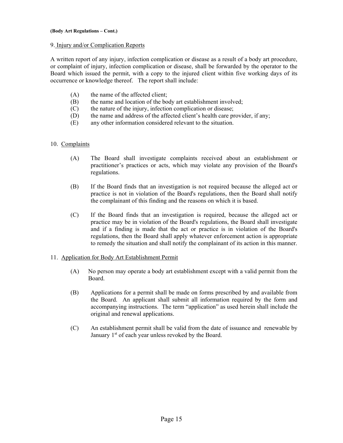## 9. Injury and/or Complication Reports

A written report of any injury, infection complication or disease as a result of a body art procedure, or complaint of injury, infection complication or disease, shall be forwarded by the operator to the Board which issued the permit, with a copy to the injured client within five working days of its occurrence or knowledge thereof. The report shall include:

- (A) the name of the affected client;
- (B) the name and location of the body art establishment involved;
- (C) the nature of the injury, infection complication or disease;
- (D) the name and address of the affected client's health care provider, if any;
- (E) any other information considered relevant to the situation.

# 10. Complaints

- (A) The Board shall investigate complaints received about an establishment or practitioner's practices or acts, which may violate any provision of the Board's regulations.
- (B) If the Board finds that an investigation is not required because the alleged act or practice is not in violation of the Board's regulations, then the Board shall notify the complainant of this finding and the reasons on which it is based.
- (C) If the Board finds that an investigation is required, because the alleged act or practice may be in violation of the Board's regulations, the Board shall investigate and if a finding is made that the act or practice is in violation of the Board's regulations, then the Board shall apply whatever enforcement action is appropriate to remedy the situation and shall notify the complainant of its action in this manner.

# 11. Application for Body Art Establishment Permit

- (A) No person may operate a body art establishment except with a valid permit from the Board.
- (B) Applications for a permit shall be made on forms prescribed by and available from the Board. An applicant shall submit all information required by the form and accompanying instructions. The term "application" as used herein shall include the original and renewal applications.
- (C) An establishment permit shall be valid from the date of issuance and renewable by January  $1<sup>st</sup>$  of each year unless revoked by the Board.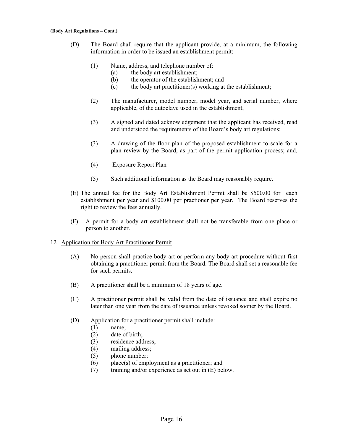- (D) The Board shall require that the applicant provide, at a minimum, the following information in order to be issued an establishment permit:
	- (1) Name, address, and telephone number of:
		- (a) the body art establishment;
		- (b) the operator of the establishment; and
		- (c) the body art practitioner(s) working at the establishment;
	- (2) The manufacturer, model number, model year, and serial number, where applicable, of the autoclave used in the establishment;
	- (3) A signed and dated acknowledgement that the applicant has received, read and understood the requirements of the Board's body art regulations;
	- (3) A drawing of the floor plan of the proposed establishment to scale for a plan review by the Board, as part of the permit application process; and,
	- (4) Exposure Report Plan
	- (5) Such additional information as the Board may reasonably require.
- (E) The annual fee for the Body Art Establishment Permit shall be \$500.00 for each establishment per year and \$100.00 per practioner per year. The Board reserves the right to review the fees annually.
- (F) A permit for a body art establishment shall not be transferable from one place or person to another.

# 12. Application for Body Art Practitioner Permit

- (A) No person shall practice body art or perform any body art procedure without first obtaining a practitioner permit from the Board. The Board shall set a reasonable fee for such permits.
- (B) A practitioner shall be a minimum of 18 years of age.
- (C) A practitioner permit shall be valid from the date of issuance and shall expire no later than one year from the date of issuance unless revoked sooner by the Board.
- (D) Application for a practitioner permit shall include:
	- (1) name;
	- (2) date of birth;
	- (3) residence address;
	- (4) mailing address;
	- (5) phone number;
	- (6) place(s) of employment as a practitioner; and
	- (7) training and/or experience as set out in (E) below.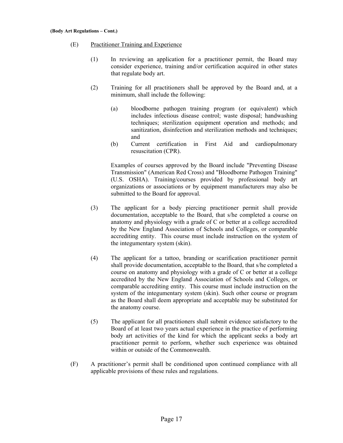- (E) Practitioner Training and Experience
	- (1) In reviewing an application for a practitioner permit, the Board may consider experience, training and/or certification acquired in other states that regulate body art.
	- (2) Training for all practitioners shall be approved by the Board and, at a minimum, shall include the following:
		- (a) bloodborne pathogen training program (or equivalent) which includes infectious disease control; waste disposal; handwashing techniques; sterilization equipment operation and methods; and sanitization, disinfection and sterilization methods and techniques; and
		- (b) Current certification in First Aid and cardiopulmonary resuscitation (CPR).

Examples of courses approved by the Board include "Preventing Disease Transmission" (American Red Cross) and "Bloodborne Pathogen Training" (U.S. OSHA). Training/courses provided by professional body art organizations or associations or by equipment manufacturers may also be submitted to the Board for approval.

- (3) The applicant for a body piercing practitioner permit shall provide documentation, acceptable to the Board, that s/he completed a course on anatomy and physiology with a grade of C or better at a college accredited by the New England Association of Schools and Colleges, or comparable accrediting entity. This course must include instruction on the system of the integumentary system (skin).
- (4) The applicant for a tattoo, branding or scarification practitioner permit shall provide documentation, acceptable to the Board, that s/he completed a course on anatomy and physiology with a grade of C or better at a college accredited by the New England Association of Schools and Colleges, or comparable accrediting entity. This course must include instruction on the system of the integumentary system (skin). Such other course or program as the Board shall deem appropriate and acceptable may be substituted for the anatomy course.
- (5) The applicant for all practitioners shall submit evidence satisfactory to the Board of at least two years actual experience in the practice of performing body art activities of the kind for which the applicant seeks a body art practitioner permit to perform, whether such experience was obtained within or outside of the Commonwealth.
- (F) A practitioner's permit shall be conditioned upon continued compliance with all applicable provisions of these rules and regulations.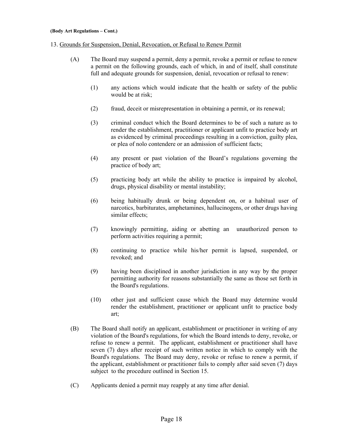## 13. Grounds for Suspension, Denial, Revocation, or Refusal to Renew Permit

- (A) The Board may suspend a permit, deny a permit, revoke a permit or refuse to renew a permit on the following grounds, each of which, in and of itself, shall constitute full and adequate grounds for suspension, denial, revocation or refusal to renew:
	- (1) any actions which would indicate that the health or safety of the public would be at risk;
	- (2) fraud, deceit or misrepresentation in obtaining a permit, or its renewal;
	- (3) criminal conduct which the Board determines to be of such a nature as to render the establishment, practitioner or applicant unfit to practice body art as evidenced by criminal proceedings resulting in a conviction, guilty plea, or plea of nolo contendere or an admission of sufficient facts;
	- (4) any present or past violation of the Board's regulations governing the practice of body art;
	- (5) practicing body art while the ability to practice is impaired by alcohol, drugs, physical disability or mental instability;
	- (6) being habitually drunk or being dependent on, or a habitual user of narcotics, barbiturates, amphetamines, hallucinogens, or other drugs having similar effects;
	- (7) knowingly permitting, aiding or abetting an unauthorized person to perform activities requiring a permit;
	- (8) continuing to practice while his/her permit is lapsed, suspended, or revoked; and
	- (9) having been disciplined in another jurisdiction in any way by the proper permitting authority for reasons substantially the same as those set forth in the Board's regulations.
	- (10) other just and sufficient cause which the Board may determine would render the establishment, practitioner or applicant unfit to practice body art;
- (B) The Board shall notify an applicant, establishment or practitioner in writing of any violation of the Board's regulations, for which the Board intends to deny, revoke, or refuse to renew a permit. The applicant, establishment or practitioner shall have seven (7) days after receipt of such written notice in which to comply with the Board's regulations. The Board may deny, revoke or refuse to renew a permit, if the applicant, establishment or practitioner fails to comply after said seven (7) days subject to the procedure outlined in Section 15.
- (C) Applicants denied a permit may reapply at any time after denial.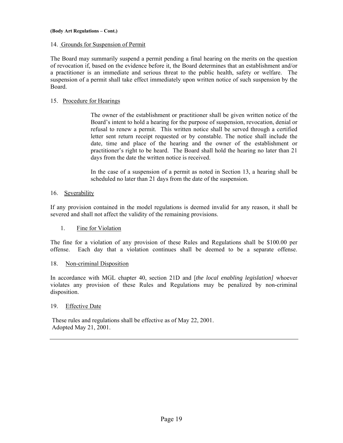## 14. Grounds for Suspension of Permit

The Board may summarily suspend a permit pending a final hearing on the merits on the question of revocation if, based on the evidence before it, the Board determines that an establishment and/or a practitioner is an immediate and serious threat to the public health, safety or welfare. The suspension of a permit shall take effect immediately upon written notice of such suspension by the Board.

# 15. Procedure for Hearings

The owner of the establishment or practitioner shall be given written notice of the Board's intent to hold a hearing for the purpose of suspension, revocation, denial or refusal to renew a permit. This written notice shall be served through a certified letter sent return receipt requested or by constable. The notice shall include the date, time and place of the hearing and the owner of the establishment or practitioner's right to be heard. The Board shall hold the hearing no later than 21 days from the date the written notice is received.

In the case of a suspension of a permit as noted in Section 13, a hearing shall be scheduled no later than 21 days from the date of the suspension.

## 16. Severability

If any provision contained in the model regulations is deemed invalid for any reason, it shall be severed and shall not affect the validity of the remaining provisions.

## 1. Fine for Violation

The fine for a violation of any provision of these Rules and Regulations shall be \$100.00 per offense. Each day that a violation continues shall be deemed to be a separate offense.

## 18. Non-criminal Disposition

In accordance with MGL chapter 40, section 21D and [*the local enabling legislation]* whoever violates any provision of these Rules and Regulations may be penalized by non-criminal disposition.

## 19. Effective Date

 These rules and regulations shall be effective as of May 22, 2001. Adopted May 21, 2001.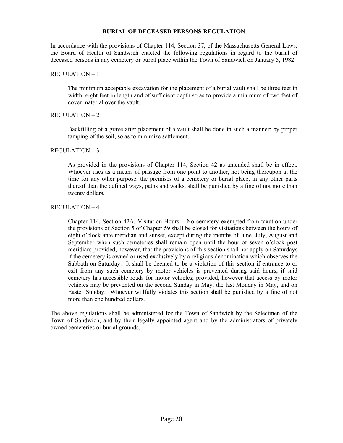## **BURIAL OF DECEASED PERSONS REGULATION**

In accordance with the provisions of Chapter 114, Section 37, of the Massachusetts General Laws, the Board of Health of Sandwich enacted the following regulations in regard to the burial of deceased persons in any cemetery or burial place within the Town of Sandwich on January 5, 1982.

# REGULATION – 1

 The minimum acceptable excavation for the placement of a burial vault shall be three feet in width, eight feet in length and of sufficient depth so as to provide a minimum of two feet of cover material over the vault.

# REGULATION  $-2$

 Backfilling of a grave after placement of a vault shall be done in such a manner; by proper tamping of the soil, so as to minimize settlement.

# REGULATION – 3

 As provided in the provisions of Chapter 114, Section 42 as amended shall be in effect. Whoever uses as a means of passage from one point to another, not being thereupon at the time for any other purpose, the premises of a cemetery or burial place, in any other parts thereof than the defined ways, paths and walks, shall be punished by a fine of not more than twenty dollars.

# REGULATION – 4

 Chapter 114, Section 42A, Visitation Hours – No cemetery exempted from taxation under the provisions of Section 5 of Chapter 59 shall be closed for visitations between the hours of eight o'clock ante meridian and sunset, except during the months of June, July, August and September when such cemeteries shall remain open until the hour of seven o'clock post meridian; provided, however, that the provisions of this section shall not apply on Saturdays if the cemetery is owned or used exclusively by a religious denomination which observes the Sabbath on Saturday. It shall be deemed to be a violation of this section if entrance to or exit from any such cemetery by motor vehicles is prevented during said hours, if said cemetery has accessible roads for motor vehicles; provided, however that access by motor vehicles may be prevented on the second Sunday in May, the last Monday in May, and on Easter Sunday. Whoever willfully violates this section shall be punished by a fine of not more than one hundred dollars.

The above regulations shall be administered for the Town of Sandwich by the Selectmen of the Town of Sandwich, and by their legally appointed agent and by the administrators of privately owned cemeteries or burial grounds.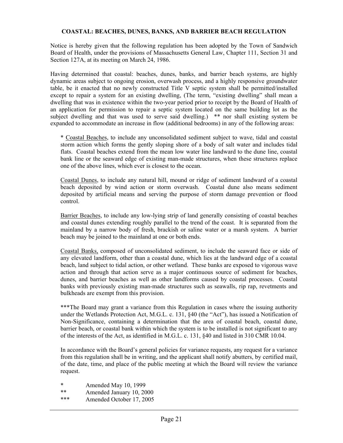# **COASTAL: BEACHES, DUNES, BANKS, AND BARRIER BEACH REGULATION**

Notice is hereby given that the following regulation has been adopted by the Town of Sandwich Board of Health, under the provisions of Massachusetts General Law, Chapter 111, Section 31 and Section 127A, at its meeting on March 24, 1986.

Having determined that coastal: beaches, dunes, banks, and barrier beach systems, are highly dynamic areas subject to ongoing erosion, overwash process, and a highly responsive groundwater table, be it enacted that no newly constructed Title V septic system shall be permitted/installed except to repair a system for an existing dwelling, (The term, "existing dwelling" shall mean a dwelling that was in existence within the two-year period prior to receipt by the Board of Health of an application for permission to repair a septic system located on the same building lot as the subject dwelling and that was used to serve said dwelling.) \*\* nor shall existing system be expanded to accommodate an increase in flow (additional bedrooms) in any of the following areas:

\* Coastal Beaches, to include any unconsolidated sediment subject to wave, tidal and coastal storm action which forms the gently sloping shore of a body of salt water and includes tidal flats. Coastal beaches extend from the mean low water line landward to the dune line, coastal bank line or the seaward edge of existing man-made structures, when these structures replace one of the above lines, which ever is closest to the ocean.

Coastal Dunes, to include any natural hill, mound or ridge of sediment landward of a coastal beach deposited by wind action or storm overwash. Coastal dune also means sediment deposited by artificial means and serving the purpose of storm damage prevention or flood control.

Barrier Beaches, to include any low-lying strip of land generally consisting of coastal beaches and coastal dunes extending roughly parallel to the trend of the coast. It is separated from the mainland by a narrow body of fresh, brackish or saline water or a marsh system. A barrier beach may be joined to the mainland at one or both ends.

Coastal Banks, composed of unconsolidated sediment, to include the seaward face or side of any elevated landform, other than a coastal dune, which lies at the landward edge of a coastal beach, land subject to tidal action, or other wetland. These banks are exposed to vigorous wave action and through that action serve as a major continuous source of sediment for beaches, dunes, and barrier beaches as well as other landforms caused by coastal processes. Coastal banks with previously existing man-made structures such as seawalls, rip rap, revetments and bulkheads are exempt from this provision.

\*\*\*The Board may grant a variance from this Regulation in cases where the issuing authority under the Wetlands Protection Act, M.G.L. c. 131, §40 (the "Act"), has issued a Notification of Non-Significance, containing a determination that the area of coastal beach, coastal dune, barrier beach, or coastal bank within which the system is to be installed is not significant to any of the interests of the Act, as identified in M.G.L. c. 131, §40 and listed in 310 CMR 10.04.

In accordance with the Board's general policies for variance requests, any request for a variance from this regulation shall be in writing, and the applicant shall notify abutters, by certified mail, of the date, time, and place of the public meeting at which the Board will review the variance request.

Amended May 10, 1999

- Amended January 10, 2000
- \*\*\* Amended October 17, 2005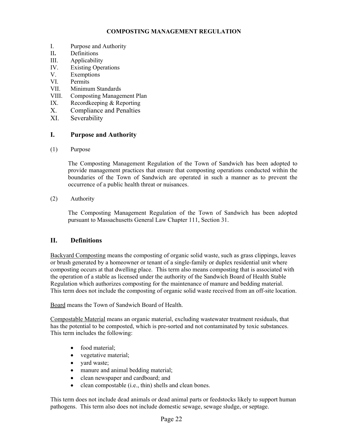# **COMPOSTING MANAGEMENT REGULATION**

- I. Purpose and Authority
- II**.** Definitions
- III. Applicability
- IV. Existing Operations
- V. Exemptions
- VI. Permits
- VII. Minimum Standards
- VIII. Composting Management Plan
- IX. Recordkeeping & Reporting
- X. Compliance and Penalties
- XI. Severability

# **I. Purpose and Authority**

(1) Purpose

The Composting Management Regulation of the Town of Sandwich has been adopted to provide management practices that ensure that composting operations conducted within the boundaries of the Town of Sandwich are operated in such a manner as to prevent the occurrence of a public health threat or nuisances.

(2) Authority

The Composting Management Regulation of the Town of Sandwich has been adopted pursuant to Massachusetts General Law Chapter 111, Section 31.

# **II. Definitions**

Backyard Composting means the composting of organic solid waste, such as grass clippings, leaves or brush generated by a homeowner or tenant of a single-family or duplex residential unit where composting occurs at that dwelling place. This term also means composting that is associated with the operation of a stable as licensed under the authority of the Sandwich Board of Health Stable Regulation which authorizes composting for the maintenance of manure and bedding material. This term does not include the composting of organic solid waste received from an off-site location.

Board means the Town of Sandwich Board of Health.

Compostable Material means an organic material, excluding wastewater treatment residuals, that has the potential to be composted, which is pre-sorted and not contaminated by toxic substances. This term includes the following:

- food material;
- vegetative material;
- yard waste;
- manure and animal bedding material;
- clean newspaper and cardboard; and
- clean compostable (i.e., thin) shells and clean bones.

This term does not include dead animals or dead animal parts or feedstocks likely to support human pathogens. This term also does not include domestic sewage, sewage sludge, or septage.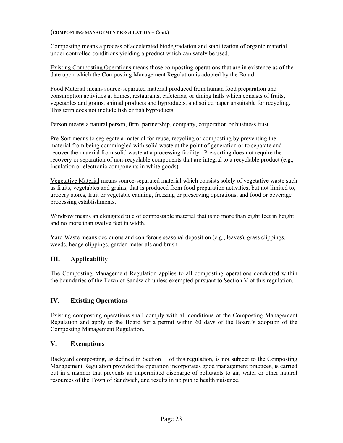## **(COMPOSTING MANAGEMENT REGULATION – Cont.)**

Composting means a process of accelerated biodegradation and stabilization of organic material under controlled conditions yielding a product which can safely be used.

Existing Composting Operations means those composting operations that are in existence as of the date upon which the Composting Management Regulation is adopted by the Board.

Food Material means source-separated material produced from human food preparation and consumption activities at homes, restaurants, cafeterias, or dining halls which consists of fruits, vegetables and grains, animal products and byproducts, and soiled paper unsuitable for recycling. This term does not include fish or fish byproducts.

Person means a natural person, firm, partnership, company, corporation or business trust.

Pre-Sort means to segregate a material for reuse, recycling or composting by preventing the material from being commingled with solid waste at the point of generation or to separate and recover the material from solid waste at a processing facility. Pre-sorting does not require the recovery or separation of non-recyclable components that are integral to a recyclable product (e.g., insulation or electronic components in white goods).

Vegetative Material means source-separated material which consists solely of vegetative waste such as fruits, vegetables and grains, that is produced from food preparation activities, but not limited to, grocery stores, fruit or vegetable canning, freezing or preserving operations, and food or beverage processing establishments.

Windrow means an elongated pile of compostable material that is no more than eight feet in height and no more than twelve feet in width.

Yard Waste means deciduous and coniferous seasonal deposition (e.g., leaves), grass clippings, weeds, hedge clippings, garden materials and brush.

# **III. Applicability**

The Composting Management Regulation applies to all composting operations conducted within the boundaries of the Town of Sandwich unless exempted pursuant to Section V of this regulation.

# **IV. Existing Operations**

Existing composting operations shall comply with all conditions of the Composting Management Regulation and apply to the Board for a permit within 60 days of the Board's adoption of the Composting Management Regulation.

# **V. Exemptions**

Backyard composting, as defined in Section II of this regulation, is not subject to the Composting Management Regulation provided the operation incorporates good management practices, is carried out in a manner that prevents an unpermitted discharge of pollutants to air, water or other natural resources of the Town of Sandwich, and results in no public health nuisance.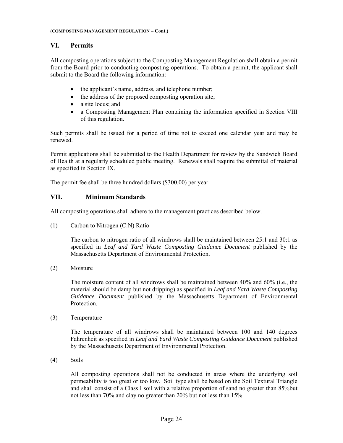# **VI. Permits**

All composting operations subject to the Composting Management Regulation shall obtain a permit from the Board prior to conducting composting operations. To obtain a permit, the applicant shall submit to the Board the following information:

- the applicant's name, address, and telephone number;
- the address of the proposed composting operation site;
- a site locus; and
- a Composting Management Plan containing the information specified in Section VIII of this regulation.

Such permits shall be issued for a period of time not to exceed one calendar year and may be renewed.

Permit applications shall be submitted to the Health Department for review by the Sandwich Board of Health at a regularly scheduled public meeting. Renewals shall require the submittal of material as specified in Section IX.

The permit fee shall be three hundred dollars (\$300.00) per year.

# **VII. Minimum Standards**

All composting operations shall adhere to the management practices described below.

(1) Carbon to Nitrogen (C:N) Ratio

The carbon to nitrogen ratio of all windrows shall be maintained between 25:1 and 30:1 as specified in *Leaf and Yard Waste Composting Guidance Document* published by the Massachusetts Department of Environmental Protection.

(2) Moisture

The moisture content of all windrows shall be maintained between 40% and 60% (i.e., the material should be damp but not dripping) as specified in *Leaf and Yard Waste Composting Guidance Document* published by the Massachusetts Department of Environmental Protection.

(3) Temperature

The temperature of all windrows shall be maintained between 100 and 140 degrees Fahrenheit as specified in *Leaf and Yard Waste Composting Guidance Document* published by the Massachusetts Department of Environmental Protection.

(4) Soils

All composting operations shall not be conducted in areas where the underlying soil permeability is too great or too low. Soil type shall be based on the Soil Textural Triangle and shall consist of a Class I soil with a relative proportion of sand no greater than 85%but not less than 70% and clay no greater than 20% but not less than 15%.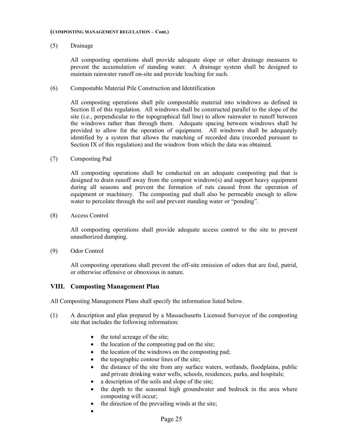#### **(COMPOSTING MANAGEMENT REGULATION – Cont.)**

## (5) Drainage

All composting operations shall provide adequate slope or other drainage measures to prevent the accumulation of standing water. A drainage system shall be designed to maintain rainwater runoff on-site and provide leaching for such.

(6) Compostable Material Pile Construction and Identification

All composting operations shall pile compostable material into windrows as defined in Section II of this regulation. All windrows shall be constructed parallel to the slope of the site (i.e., perpendicular to the topographical fall line) to allow rainwater to runoff between the windrows rather than through them. Adequate spacing between windrows shall be provided to allow for the operation of equipment. All windrows shall be adequately identified by a system that allows the matching of recorded data (recorded pursuant to Section IX of this regulation) and the windrow from which the data was obtained.

(7) Composting Pad

All composting operations shall be conducted on an adequate composting pad that is designed to drain runoff away from the compost windrow(s) and support heavy equipment during all seasons and prevent the formation of ruts caused from the operation of equipment or machinery. The composting pad shall also be permeable enough to allow water to percolate through the soil and prevent standing water or "ponding".

(8) Access Control

All composting operations shall provide adequate access control to the site to prevent unauthorized dumping.

(9) Odor Control

All composting operations shall prevent the off-site emission of odors that are foul, putrid, or otherwise offensive or obnoxious in nature.

# **VIII. Composting Management Plan**

All Composting Management Plans shall specify the information listed below.

- (1) A description and plan prepared by a Massachusetts Licensed Surveyor of the composting site that includes the following information:
	- the total acreage of the site;
	- the location of the composting pad on the site;
	- the location of the windrows on the composting pad;
	- $\bullet$  the topographic contour lines of the site;
	- the distance of the site from any surface waters, wetlands, floodplains, public and private drinking water wells, schools, residences, parks, and hospitals;
	- a description of the soils and slope of the site;
	- the depth to the seasonal high groundwater and bedrock in the area where composting will occur;
	- the direction of the prevailing winds at the site;
	- $\bullet$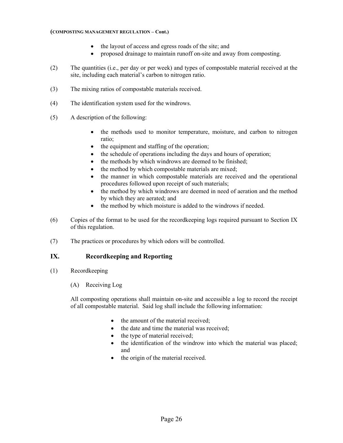## **(COMPOSTING MANAGEMENT REGULATION – Cont.)**

- the layout of access and egress roads of the site; and
- proposed drainage to maintain runoff on-site and away from composting.
- (2) The quantities (i.e., per day or per week) and types of compostable material received at the site, including each material's carbon to nitrogen ratio.
- (3) The mixing ratios of compostable materials received.
- (4) The identification system used for the windrows.
- (5) A description of the following:
	- the methods used to monitor temperature, moisture, and carbon to nitrogen ratio;
	- the equipment and staffing of the operation;
	- the schedule of operations including the days and hours of operation;
	- the methods by which windrows are deemed to be finished;
	- the method by which compostable materials are mixed;
	- the manner in which compostable materials are received and the operational procedures followed upon receipt of such materials;
	- the method by which windrows are deemed in need of aeration and the method by which they are aerated; and
	- the method by which moisture is added to the windrows if needed.
- (6) Copies of the format to be used for the recordkeeping logs required pursuant to Section IX of this regulation.
- (7) The practices or procedures by which odors will be controlled.

# **IX. Recordkeeping and Reporting**

- (1) Recordkeeping
	- (A) Receiving Log

All composting operations shall maintain on-site and accessible a log to record the receipt of all compostable material. Said log shall include the following information:

- the amount of the material received;
- the date and time the material was received;
- the type of material received;
- the identification of the windrow into which the material was placed; and
- the origin of the material received.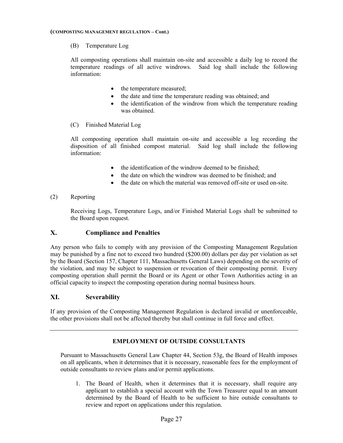(B) Temperature Log

All composting operations shall maintain on-site and accessible a daily log to record the temperature readings of all active windrows. Said log shall include the following information:

- the temperature measured;
- the date and time the temperature reading was obtained; and
- the identification of the windrow from which the temperature reading was obtained.
- (C) Finished Material Log

All composting operation shall maintain on-site and accessible a log recording the disposition of all finished compost material. Said log shall include the following information:

- the identification of the windrow deemed to be finished;
- the date on which the windrow was deemed to be finished; and
- the date on which the material was removed off-site or used on-site.
- (2) Reporting

Receiving Logs, Temperature Logs, and/or Finished Material Logs shall be submitted to the Board upon request.

# **X. Compliance and Penalties**

Any person who fails to comply with any provision of the Composting Management Regulation may be punished by a fine not to exceed two hundred (\$200.00) dollars per day per violation as set by the Board (Section 157, Chapter 111, Massachusetts General Laws) depending on the severity of the violation, and may be subject to suspension or revocation of their composting permit. Every composting operation shall permit the Board or its Agent or other Town Authorities acting in an official capacity to inspect the composting operation during normal business hours.

# **XI. Severability**

If any provision of the Composting Management Regulation is declared invalid or unenforceable, the other provisions shall not be affected thereby but shall continue in full force and effect.

# **EMPLOYMENT OF OUTSIDE CONSULTANTS**

Pursuant to Massachusetts General Law Chapter 44, Section 53g, the Board of Health imposes on all applicants, when it determines that it is necessary, reasonable fees for the employment of outside consultants to review plans and/or permit applications.

1. The Board of Health, when it determines that it is necessary, shall require any applicant to establish a special account with the Town Treasurer equal to an amount determined by the Board of Health to be sufficient to hire outside consultants to review and report on applications under this regulation.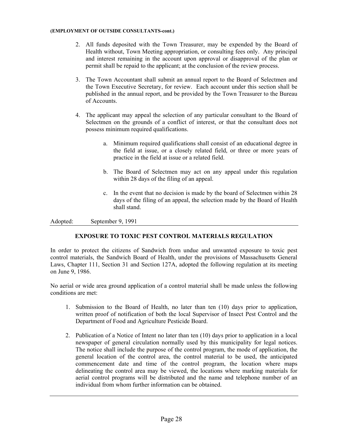#### **(EMPLOYMENT OF OUTSIDE CONSULTANTS-cont.)**

- 2. All funds deposited with the Town Treasurer, may be expended by the Board of Health without, Town Meeting appropriation, or consulting fees only. Any principal and interest remaining in the account upon approval or disapproval of the plan or permit shall be repaid to the applicant; at the conclusion of the review process.
- 3. The Town Accountant shall submit an annual report to the Board of Selectmen and the Town Executive Secretary, for review. Each account under this section shall be published in the annual report, and be provided by the Town Treasurer to the Bureau of Accounts.
- 4. The applicant may appeal the selection of any particular consultant to the Board of Selectmen on the grounds of a conflict of interest, or that the consultant does not possess minimum required qualifications.
	- a. Minimum required qualifications shall consist of an educational degree in the field at issue, or a closely related field, or three or more years of practice in the field at issue or a related field.
	- b. The Board of Selectmen may act on any appeal under this regulation within 28 days of the filing of an appeal.
	- c. In the event that no decision is made by the board of Selectmen within 28 days of the filing of an appeal, the selection made by the Board of Health shall stand.

Adopted: September 9, 1991

# **EXPOSURE TO TOXIC PEST CONTROL MATERIALS REGULATION**

In order to protect the citizens of Sandwich from undue and unwanted exposure to toxic pest control materials, the Sandwich Board of Health, under the provisions of Massachusetts General Laws, Chapter 111, Section 31 and Section 127A, adopted the following regulation at its meeting on June 9, 1986.

No aerial or wide area ground application of a control material shall be made unless the following conditions are met:

- 1. Submission to the Board of Health, no later than ten (10) days prior to application, written proof of notification of both the local Supervisor of Insect Pest Control and the Department of Food and Agriculture Pesticide Board.
- 2. Publication of a Notice of Intent no later than ten (10) days prior to application in a local newspaper of general circulation normally used by this municipality for legal notices. The notice shall include the purpose of the control program, the mode of application, the general location of the control area, the control material to be used, the anticipated commencement date and time of the control program, the location where maps delineating the control area may be viewed, the locations where marking materials for aerial control programs will be distributed and the name and telephone number of an individual from whom further information can be obtained.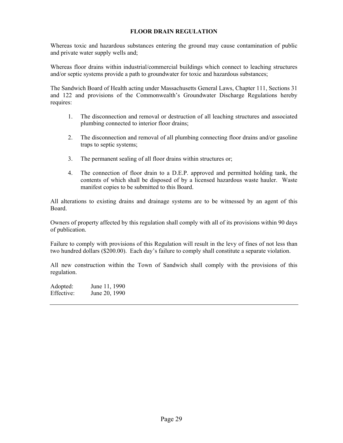# **FLOOR DRAIN REGULATION**

Whereas toxic and hazardous substances entering the ground may cause contamination of public and private water supply wells and;

Whereas floor drains within industrial/commercial buildings which connect to leaching structures and/or septic systems provide a path to groundwater for toxic and hazardous substances;

The Sandwich Board of Health acting under Massachusetts General Laws, Chapter 111, Sections 31 and 122 and provisions of the Commonwealth's Groundwater Discharge Regulations hereby requires:

- 1. The disconnection and removal or destruction of all leaching structures and associated plumbing connected to interior floor drains;
- 2. The disconnection and removal of all plumbing connecting floor drains and/or gasoline traps to septic systems;
- 3. The permanent sealing of all floor drains within structures or;
- 4. The connection of floor drain to a D.E.P. approved and permitted holding tank, the contents of which shall be disposed of by a licensed hazardous waste hauler. Waste manifest copies to be submitted to this Board.

All alterations to existing drains and drainage systems are to be witnessed by an agent of this Board.

Owners of property affected by this regulation shall comply with all of its provisions within 90 days of publication.

Failure to comply with provisions of this Regulation will result in the levy of fines of not less than two hundred dollars (\$200.00). Each day's failure to comply shall constitute a separate violation.

All new construction within the Town of Sandwich shall comply with the provisions of this regulation.

Adopted: June 11, 1990 Effective: June 20, 1990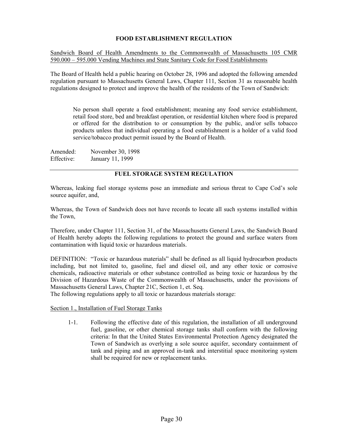# **FOOD ESTABLISHMENT REGULATION**

Sandwich Board of Health Amendments to the Commonwealth of Massachusetts 105 CMR 590.000 – 595.000 Vending Machines and State Sanitary Code for Food Establishments

The Board of Health held a public hearing on October 28, 1996 and adopted the following amended regulation pursuant to Massachusetts General Laws, Chapter 111, Section 31 as reasonable health regulations designed to protect and improve the health of the residents of the Town of Sandwich:

No person shall operate a food establishment; meaning any food service establishment, retail food store, bed and breakfast operation, or residential kitchen where food is prepared or offered for the distribution to or consumption by the public, and/or sells tobacco products unless that individual operating a food establishment is a holder of a valid food service/tobacco product permit issued by the Board of Health.

| Amended:   | November 30, 1998 |
|------------|-------------------|
| Effective: | January 11, 1999  |

# **FUEL STORAGE SYSTEM REGULATION**

Whereas, leaking fuel storage systems pose an immediate and serious threat to Cape Cod's sole source aquifer, and,

Whereas, the Town of Sandwich does not have records to locate all such systems installed within the Town,

Therefore, under Chapter 111, Section 31, of the Massachusetts General Laws, the Sandwich Board of Health hereby adopts the following regulations to protect the ground and surface waters from contamination with liquid toxic or hazardous materials.

DEFINITION: "Toxic or hazardous materials" shall be defined as all liquid hydrocarbon products including, but not limited to, gasoline, fuel and diesel oil, and any other toxic or corrosive chemicals, radioactive materials or other substance controlled as being toxic or hazardous by the Division of Hazardous Waste of the Commonwealth of Massachusetts, under the provisions of Massachusetts General Laws, Chapter 21C, Section 1, et. Seq.

The following regulations apply to all toxic or hazardous materials storage:

Section 1., Installation of Fuel Storage Tanks

1-1. Following the effective date of this regulation, the installation of all underground fuel, gasoline, or other chemical storage tanks shall conform with the following criteria: In that the United States Environmental Protection Agency designated the Town of Sandwich as overlying a sole source aquifer, secondary containment of tank and piping and an approved in-tank and interstitial space monitoring system shall be required for new or replacement tanks.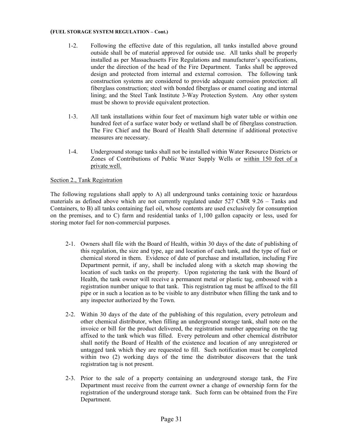## **(FUEL STORAGE SYSTEM REGULATION – Cont.)**

- 1-2. Following the effective date of this regulation, all tanks installed above ground outside shall be of material approved for outside use. All tanks shall be properly installed as per Massachusetts Fire Regulations and manufacturer's specifications, under the direction of the head of the Fire Department. Tanks shall be approved design and protected from internal and external corrosion. The following tank construction systems are considered to provide adequate corrosion protection: all fiberglass construction; steel with bonded fiberglass or enamel coating and internal lining; and the Steel Tank Institute 3-Way Protection System. Any other system must be shown to provide equivalent protection.
- 1-3. All tank installations within four feet of maximum high water table or within one hundred feet of a surface water body or wetland shall be of fiberglass construction. The Fire Chief and the Board of Health Shall determine if additional protective measures are necessary.
- 1-4. Underground storage tanks shall not be installed within Water Resource Districts or Zones of Contributions of Public Water Supply Wells or within 150 feet of a private well.

# Section 2., Tank Registration

The following regulations shall apply to A) all underground tanks containing toxic or hazardous materials as defined above which are not currently regulated under 527 CMR 9.26 – Tanks and Containers, to B) all tanks containing fuel oil, whose contents are used exclusively for consumption on the premises, and to C) farm and residential tanks of 1,100 gallon capacity or less, used for storing motor fuel for non-commercial purposes.

- 2-1. Owners shall file with the Board of Health, within 30 days of the date of publishing of this regulation, the size and type, age and location of each tank, and the type of fuel or chemical stored in them. Evidence of date of purchase and installation, including Fire Department permit, if any, shall be included along with a sketch map showing the location of such tanks on the property. Upon registering the tank with the Board of Health, the tank owner will receive a permanent metal or plastic tag, embossed with a registration number unique to that tank. This registration tag must be affixed to the fill pipe or in such a location as to be visible to any distributor when filling the tank and to any inspector authorized by the Town.
- 2-2. Within 30 days of the date of the publishing of this regulation, every petroleum and other chemical distributor, when filling an underground storage tank, shall note on the invoice or bill for the product delivered, the registration number appearing on the tag affixed to the tank which was filled. Every petroleum and other chemical distributor shall notify the Board of Health of the existence and location of any unregistered or untagged tank which they are requested to fill. Such notification must be completed within two (2) working days of the time the distributor discovers that the tank registration tag is not present.
- 2-3. Prior to the sale of a property containing an underground storage tank, the Fire Department must receive from the current owner a change of ownership form for the registration of the underground storage tank. Such form can be obtained from the Fire Department.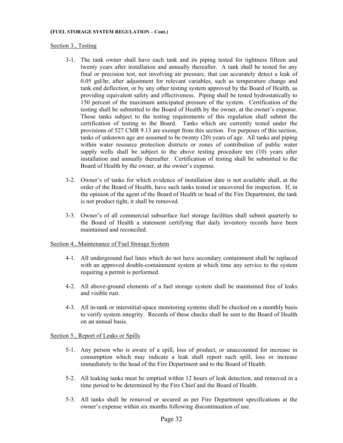### **(FUEL STORAGE SYSTEM REGULATION – Cont.)**

## Section 3., Testing

- 3-1. The tank owner shall have each tank and its piping tested for tightness fifteen and twenty years after installation and annually thereafter. A tank shall be tested for any final or precision test, not involving air pressure, that can accurately detect a leak of 0.05 gal/hr, after adjustment for relevant variables, such as temperature change and tank end deflection, or by any other testing system approved by the Board of Health, as providing equivalent safety and effectiveness. Piping shall be tested hydrostatically to 150 percent of the maximum anticipated pressure of the system. Certification of the testing shall be submitted to the Board of Health by the owner, at the owner's expense. Those tanks subject to the testing requirements of this regulation shall submit the certification of testing to the Board. Tanks which are currently tested under the provisions of 527 CMR 9.13 are exempt from this section. For purposes of this section, tanks of unknown age are assumed to be twenty (20) years of age. All tanks and piping within water resource protection districts or zones of contribution of public water supply wells shall be subject to the above testing procedure ten (10) years after installation and annually thereafter. Certification of testing shall be submitted to the Board of Health by the owner, at the owner's expense.
- 3-2. Owner's of tanks for which evidence of installation date is not available shall, at the order of the Board of Health, have such tanks tested or uncovered for inspection. If, in the opinion of the agent of the Board of Health or head of the Fire Department, the tank is not product tight, it shall be removed.
- 3-3. Owner's of all commercial subsurface fuel storage facilities shall submit quarterly to the Board of Health a statement certifying that daily inventory records have been maintained and reconciled.

## Section 4., Maintenance of Fuel Storage System

- 4-1. All underground fuel lines which do not have secondary containment shall be replaced with an approved double-containment system at which time any service to the system requiring a permit is performed.
- 4-2. All above-ground elements of a fuel storage system shall be maintained free of leaks and visible rust.
- 4-3. All in-tank or interstitial-space monitoring systems shall be checked on a monthly basis to verify system integrity. Records of these checks shall be sent to the Board of Health on an annual basis.

# Section 5., Report of Leaks or Spills

- 5-1. Any person who is aware of a spill, loss of product, or unaccounted for increase in consumption which may indicate a leak shall report such spill, loss or increase immediately to the head of the Fire Department and to the Board of Health.
- 5-2. All leaking tanks must be emptied within 12 hours of leak detection, and removed in a time period to be determined by the Fire Chief and the Board of Health.
- 5-3. All tanks shall be removed or secured as per Fire Department specifications at the owner's expense within six months following discontinuation of use.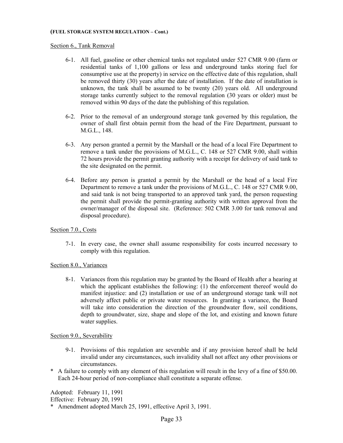## **(FUEL STORAGE SYSTEM REGULATION – Cont.)**

## Section 6., Tank Removal

- 6-1. All fuel, gasoline or other chemical tanks not regulated under 527 CMR 9.00 (farm or residential tanks of 1,100 gallons or less and underground tanks storing fuel for consumptive use at the property) in service on the effective date of this regulation, shall be removed thirty (30) years after the date of installation. If the date of installation is unknown, the tank shall be assumed to be twenty (20) years old. All underground storage tanks currently subject to the removal regulation (30 years or older) must be removed within 90 days of the date the publishing of this regulation.
- 6-2. Prior to the removal of an underground storage tank governed by this regulation, the owner of shall first obtain permit from the head of the Fire Department, pursuant to M.G.L., 148.
- 6-3. Any person granted a permit by the Marshall or the head of a local Fire Department to remove a tank under the provisions of M.G.L., C. 148 or 527 CMR 9.00, shall within 72 hours provide the permit granting authority with a receipt for delivery of said tank to the site designated on the permit.
- 6-4. Before any person is granted a permit by the Marshall or the head of a local Fire Department to remove a tank under the provisions of M.G.L., C. 148 or 527 CMR 9.00, and said tank is not being transported to an approved tank yard, the person requesting the permit shall provide the permit-granting authority with written approval from the owner/manager of the disposal site. (Reference: 502 CMR 3.00 for tank removal and disposal procedure).

# Section 7.0., Costs

7-1. In every case, the owner shall assume responsibility for costs incurred necessary to comply with this regulation.

## Section 8.0., Variances

8-1. Variances from this regulation may be granted by the Board of Health after a hearing at which the applicant establishes the following: (1) the enforcement thereof would do manifest injustice: and (2) installation or use of an underground storage tank will not adversely affect public or private water resources. In granting a variance, the Board will take into consideration the direction of the groundwater flow, soil conditions, depth to groundwater, size, shape and slope of the lot, and existing and known future water supplies.

## Section 9.0., Severability

- 9-1. Provisions of this regulation are severable and if any provision hereof shall be held invalid under any circumstances, such invalidity shall not affect any other provisions or circumstances.
- \* A failure to comply with any element of this regulation will result in the levy of a fine of \$50.00. Each 24-hour period of non-compliance shall constitute a separate offense.

Adopted: February 11, 1991 Effective: February 20, 1991

\* Amendment adopted March 25, 1991, effective April 3, 1991.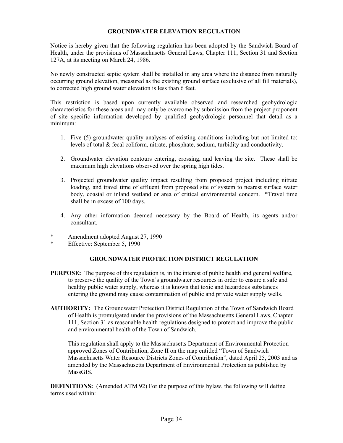## **GROUNDWATER ELEVATION REGULATION**

Notice is hereby given that the following regulation has been adopted by the Sandwich Board of Health, under the provisions of Massachusetts General Laws, Chapter 111, Section 31 and Section 127A, at its meeting on March 24, 1986.

No newly constructed septic system shall be installed in any area where the distance from naturally occurring ground elevation, measured as the existing ground surface (exclusive of all fill materials), to corrected high ground water elevation is less than 6 feet.

This restriction is based upon currently available observed and researched geohydrologic characteristics for these areas and may only be overcome by submission from the project proponent of site specific information developed by qualified geohydrologic personnel that detail as a minimum:

- 1. Five (5) groundwater quality analyses of existing conditions including but not limited to: levels of total & fecal coliform, nitrate, phosphate, sodium, turbidity and conductivity.
- 2. Groundwater elevation contours entering, crossing, and leaving the site. These shall be maximum high elevations observed over the spring high tides.
- 3. Projected groundwater quality impact resulting from proposed project including nitrate loading, and travel time of effluent from proposed site of system to nearest surface water body, coastal or inland wetland or area of critical environmental concern. \*Travel time shall be in excess of 100 days.
- 4. Any other information deemed necessary by the Board of Health, its agents and/or consultant.
- Amendment adopted August 27, 1990
- \* Effective: September 5, 1990

## **GROUNDWATER PROTECTION DISTRICT REGULATION**

- **PURPOSE:** The purpose of this regulation is, in the interest of public health and general welfare, to preserve the quality of the Town's groundwater resources in order to ensure a safe and healthy public water supply, whereas it is known that toxic and hazardous substances entering the ground may cause contamination of public and private water supply wells.
- **AUTHORITY:** The Groundwater Protection District Regulation of the Town of Sandwich Board of Health is promulgated under the provisions of the Massachusetts General Laws, Chapter 111, Section 31 as reasonable health regulations designed to protect and improve the public and environmental health of the Town of Sandwich.

This regulation shall apply to the Massachusetts Department of Environmental Protection approved Zones of Contribution, Zone II on the map entitled "Town of Sandwich Massachusetts Water Resource Districts Zones of Contribution", dated April 25, 2003 and as amended by the Massachusetts Department of Environmental Protection as published by MassGIS.

**DEFINITIONS:** (Amended ATM 92) For the purpose of this bylaw, the following will define terms used within: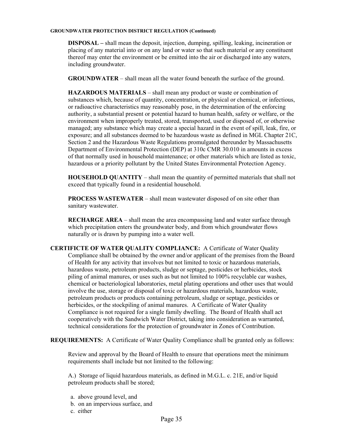#### **GROUNDWATER PROTECTION DISTRICT REGULATION (Continued)**

**DISPOSAL –** shall mean the deposit, injection, dumping, spilling, leaking, incineration or placing of any material into or on any land or water so that such material or any constituent thereof may enter the environment or be emitted into the air or discharged into any waters, including groundwater.

 **GROUNDWATER** – shall mean all the water found beneath the surface of the ground.

**HAZARDOUS MATERIALS** – shall mean any product or waste or combination of substances which, because of quantity, concentration, or physical or chemical, or infectious, or radioactive characteristics may reasonably pose, in the determination of the enforcing authority, a substantial present or potential hazard to human health, safety or welfare, or the environment when improperly treated, stored, transported, used or disposed of, or otherwise managed; any substance which may create a special hazard in the event of spill, leak, fire, or exposure; and all substances deemed to be hazardous waste as defined in MGL Chapter 21C, Section 2 and the Hazardous Waste Regulations promulgated thereunder by Massachusetts Department of Environmental Protection (DEP) at 310c CMR 30.010 in amounts in excess of that normally used in household maintenance; or other materials which are listed as toxic, hazardous or a priority pollutant by the United States Environmental Protection Agency.

**HOUSEHOLD QUANTITY** – shall mean the quantity of permitted materials that shall not exceed that typically found in a residential household.

**PROCESS WASTEWATER** – shall mean wastewater disposed of on site other than sanitary wastewater.

**RECHARGE AREA** – shall mean the area encompassing land and water surface through which precipitation enters the groundwater body, and from which groundwater flows naturally or is drawn by pumping into a water well.

**CERTIFICTE OF WATER QUALITY COMPLIANCE:** A Certificate of Water Quality Compliance shall be obtained by the owner and/or applicant of the premises from the Board of Health for any activity that involves but not limited to toxic or hazardous materials, hazardous waste, petroleum products, sludge or septage, pesticides or herbicides, stock piling of animal manures, or uses such as but not limited to 100% recyclable car washes, chemical or bacteriological laboratories, metal plating operations and other uses that would involve the use, storage or disposal of toxic or hazardous materials, hazardous waste, petroleum products or products containing petroleum, sludge or septage, pesticides or herbicides, or the stockpiling of animal manures. A Certificate of Water Quality Compliance is not required for a single family dwelling. The Board of Health shall act cooperatively with the Sandwich Water District, taking into consideration as warranted, technical considerations for the protection of groundwater in Zones of Contribution.

**REQUIREMENTS:** A Certificate of Water Quality Compliance shall be granted only as follows:

 Review and approval by the Board of Health to ensure that operations meet the minimum requirements shall include but not limited to the following:

 A.) Storage of liquid hazardous materials, as defined in M.G.L. c. 21E, and/or liquid petroleum products shall be stored;

- a. above ground level, and
- b. on an impervious surface, and
- c. either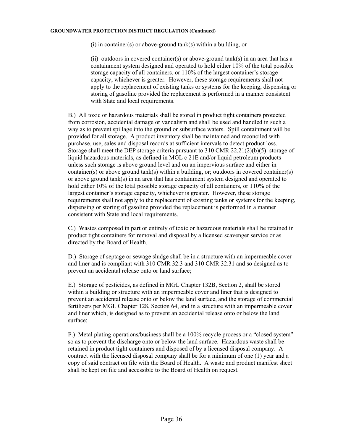#### **GROUNDWATER PROTECTION DISTRICT REGULATION (Continued)**

(i) in container(s) or above-ground tank(s) within a building, or

 (ii) outdoors in covered container(s) or above-ground tank(s) in an area that has a containment system designed and operated to hold either 10% of the total possible storage capacity of all containers, or 110% of the largest container's storage capacity, whichever is greater. However, these storage requirements shall not apply to the replacement of existing tanks or systems for the keeping, dispensing or storing of gasoline provided the replacement is performed in a manner consistent with State and local requirements.

 B.) All toxic or hazardous materials shall be stored in product tight containers protected from corrosion, accidental damage or vandalism and shall be used and handled in such a way as to prevent spillage into the ground or subsurface waters. Spill containment will be provided for all storage. A product inventory shall be maintained and reconciled with purchase, use, sales and disposal records at sufficient intervals to detect product loss. Storage shall meet the DEP storage criteria pursuant to 310 CMR 22.21(2)(b)(5): storage of liquid hazardous materials, as defined in MGL c 21E and/or liquid petroleum products unless such storage is above ground level and on an impervious surface and either in container(s) or above ground tank(s) within a building, or; outdoors in covered container(s) or above ground  $tank(s)$  in an area that has containment system designed and operated to hold either 10% of the total possible storage capacity of all containers, or 110% of the largest container's storage capacity, whichever is greater. However, these storage requirements shall not apply to the replacement of existing tanks or systems for the keeping, dispensing or storing of gasoline provided the replacement is performed in a manner consistent with State and local requirements.

 C.) Wastes composed in part or entirely of toxic or hazardous materials shall be retained in product tight containers for removal and disposal by a licensed scavenger service or as directed by the Board of Health.

 D.) Storage of septage or sewage sludge shall be in a structure with an impermeable cover and liner and is compliant with 310 CMR 32.3 and 310 CMR 32.31 and so designed as to prevent an accidental release onto or land surface;

E.) Storage of pesticides, as defined in MGL Chapter 132B, Section 2, shall be stored within a building or structure with an impermeable cover and liner that is designed to prevent an accidental release onto or below the land surface, and the storage of commercial fertilizers per MGL Chapter 128, Section 64, and in a structure with an impermeable cover and liner which, is designed as to prevent an accidental release onto or below the land surface;

F.) Metal plating operations/business shall be a 100% recycle process or a "closed system" so as to prevent the discharge onto or below the land surface. Hazardous waste shall be retained in product tight containers and disposed of by a licensed disposal company. A contract with the licensed disposal company shall be for a minimum of one (1) year and a copy of said contract on file with the Board of Health. A waste and product manifest sheet shall be kept on file and accessible to the Board of Health on request.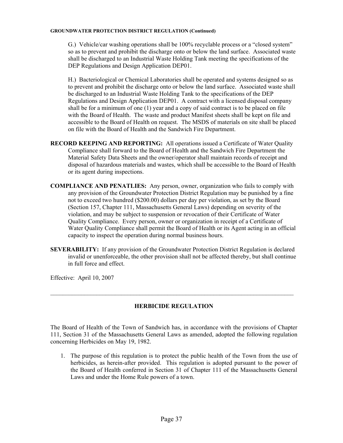#### **GROUNDWATER PROTECTION DISTRICT REGULATION (Continued)**

G.) Vehicle/car washing operations shall be 100% recyclable process or a "closed system" so as to prevent and prohibit the discharge onto or below the land surface. Associated waste shall be discharged to an Industrial Waste Holding Tank meeting the specifications of the DEP Regulations and Design Application DEP01.

H.) Bacteriological or Chemical Laboratories shall be operated and systems designed so as to prevent and prohibit the discharge onto or below the land surface. Associated waste shall be discharged to an Industrial Waste Holding Tank to the specifications of the DEP Regulations and Design Application DEP01. A contract with a licensed disposal company shall be for a minimum of one (1) year and a copy of said contract is to be placed on file with the Board of Health. The waste and product Manifest sheets shall be kept on file and accessible to the Board of Health on request. The MSDS of materials on site shall be placed on file with the Board of Health and the Sandwich Fire Department.

- **RECORD KEEPING AND REPORTING:** All operations issued a Certificate of Water Quality Compliance shall forward to the Board of Health and the Sandwich Fire Department the Material Safety Data Sheets and the owner/operator shall maintain records of receipt and disposal of hazardous materials and wastes, which shall be accessible to the Board of Health or its agent during inspections.
- **COMPLIANCE AND PENATLIES:** Any person, owner, organization who fails to comply with any provision of the Groundwater Protection District Regulation may be punished by a fine not to exceed two hundred (\$200.00) dollars per day per violation, as set by the Board (Section 157, Chapter 111, Massachusetts General Laws) depending on severity of the violation, and may be subject to suspension or revocation of their Certificate of Water Quality Compliance. Every person, owner or organization in receipt of a Certificate of Water Quality Compliance shall permit the Board of Health or its Agent acting in an official capacity to inspect the operation during normal business hours.
- **SEVERABILITY:** If any provision of the Groundwater Protection District Regulation is declared invalid or unenforceable, the other provision shall not be affected thereby, but shall continue in full force and effect.

Effective: April 10, 2007

# **HERBICIDE REGULATION**

 $\mathcal{L}_\mathcal{L} = \{ \mathcal{L}_\mathcal{L} = \{ \mathcal{L}_\mathcal{L} = \{ \mathcal{L}_\mathcal{L} = \{ \mathcal{L}_\mathcal{L} = \{ \mathcal{L}_\mathcal{L} = \{ \mathcal{L}_\mathcal{L} = \{ \mathcal{L}_\mathcal{L} = \{ \mathcal{L}_\mathcal{L} = \{ \mathcal{L}_\mathcal{L} = \{ \mathcal{L}_\mathcal{L} = \{ \mathcal{L}_\mathcal{L} = \{ \mathcal{L}_\mathcal{L} = \{ \mathcal{L}_\mathcal{L} = \{ \mathcal{L}_\mathcal{$ 

The Board of Health of the Town of Sandwich has, in accordance with the provisions of Chapter 111, Section 31 of the Massachusetts General Laws as amended, adopted the following regulation concerning Herbicides on May 19, 1982.

1. The purpose of this regulation is to protect the public health of the Town from the use of herbicides, as herein-after provided. This regulation is adopted pursuant to the power of the Board of Health conferred in Section 31 of Chapter 111 of the Massachusetts General Laws and under the Home Rule powers of a town.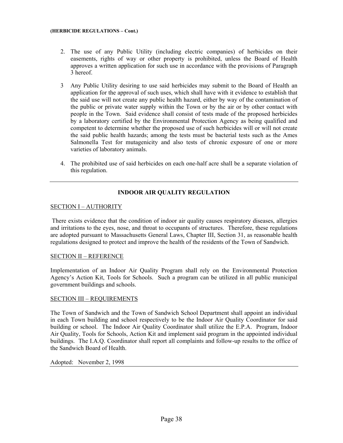#### **(HERBICIDE REGULATIONS – Cont.)**

- 2. The use of any Public Utility (including electric companies) of herbicides on their easements, rights of way or other property is prohibited, unless the Board of Health approves a written application for such use in accordance with the provisions of Paragraph 3 hereof.
- 3 Any Public Utility desiring to use said herbicides may submit to the Board of Health an application for the approval of such uses, which shall have with it evidence to establish that the said use will not create any public health hazard, either by way of the contamination of the public or private water supply within the Town or by the air or by other contact with people in the Town. Said evidence shall consist of tests made of the proposed herbicides by a laboratory certified by the Environmental Protection Agency as being qualified and competent to determine whether the proposed use of such herbicides will or will not create the said public health hazards; among the tests must be bacterial tests such as the Ames Salmonella Test for mutagenicity and also tests of chronic exposure of one or more varieties of laboratory animals.
- 4. The prohibited use of said herbicides on each one-half acre shall be a separate violation of this regulation.

# **INDOOR AIR QUALITY REGULATION**

## SECTION I – AUTHORITY

 There exists evidence that the condition of indoor air quality causes respiratory diseases, allergies and irritations to the eyes, nose, and throat to occupants of structures. Therefore, these regulations are adopted pursuant to Massachusetts General Laws, Chapter III, Section 31, as reasonable health regulations designed to protect and improve the health of the residents of the Town of Sandwich.

## SECTION II – REFERENCE

Implementation of an Indoor Air Quality Program shall rely on the Environmental Protection Agency's Action Kit, Tools for Schools. Such a program can be utilized in all public municipal government buildings and schools.

## SECTION III – REQUIREMENTS

The Town of Sandwich and the Town of Sandwich School Department shall appoint an individual in each Town building and school respectively to be the Indoor Air Quality Coordinator for said building or school. The Indoor Air Quality Coordinator shall utilize the E.P.A. Program, Indoor Air Quality, Tools for Schools, Action Kit and implement said program in the appointed individual buildings. The I.A.Q. Coordinator shall report all complaints and follow-up results to the office of the Sandwich Board of Health.

Adopted: November 2, 1998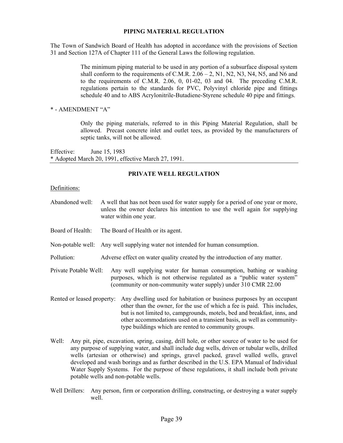### **PIPING MATERIAL REGULATION**

The Town of Sandwich Board of Health has adopted in accordance with the provisions of Section 31 and Section 127A of Chapter 111 of the General Laws the following regulation.

> The minimum piping material to be used in any portion of a subsurface disposal system shall conform to the requirements of C.M.R.  $2.06 - 2$ , N1, N2, N3, N4, N5, and N6 and to the requirements of C.M.R. 2.06, 0, 01-02, 03 and 04. The preceding C.M.R. regulations pertain to the standards for PVC, Polyvinyl chloride pipe and fittings schedule 40 and to ABS Acrylonitrile-Butadiene-Styrene schedule 40 pipe and fittings.

\* - AMENDMENT "A"

Only the piping materials, referred to in this Piping Material Regulation, shall be allowed. Precast concrete inlet and outlet tees, as provided by the manufacturers of septic tanks, will not be allowed.

Effective: June 15, 1983 \* Adopted March 20, 1991, effective March 27, 1991.

## **PRIVATE WELL REGULATION**

#### Definitions:

- Abandoned well: A well that has not been used for water supply for a period of one year or more, unless the owner declares his intention to use the well again for supplying water within one year.
- Board of Health: The Board of Health or its agent.
- Non-potable well: Any well supplying water not intended for human consumption.
- Pollution: Adverse effect on water quality created by the introduction of any matter.
- Private Potable Well: Any well supplying water for human consumption, bathing or washing purposes, which is not otherwise regulated as a "public water system" (community or non-community water supply) under 310 CMR 22.00
- Rented or leased property: Any dwelling used for habitation or business purposes by an occupant other than the owner, for the use of which a fee is paid. This includes, but is not limited to, campgrounds, motels, bed and breakfast, inns, and other accommodations used on a transient basis, as well as communitytype buildings which are rented to community groups.
- Well: Any pit, pipe, excavation, spring, casing, drill hole, or other source of water to be used for any purpose of supplying water, and shall include dug wells, driven or tubular wells, drilled wells (artesian or otherwise) and springs, gravel packed, gravel walled wells, gravel developed and wash borings and as further described in the U.S. EPA Manual of Individual Water Supply Systems. For the purpose of these regulations, it shall include both private potable wells and non-potable wells.
- Well Drillers: Any person, firm or corporation drilling, constructing, or destroying a water supply well.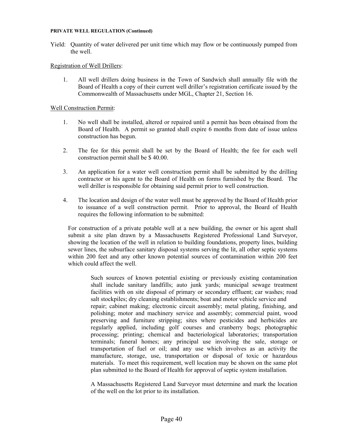#### **PRIVATE WELL REGULATION (Continued)**

Yield: Quantity of water delivered per unit time which may flow or be continuously pumped from the well.

## Registration of Well Drillers:

1. All well drillers doing business in the Town of Sandwich shall annually file with the Board of Health a copy of their current well driller's registration certificate issued by the Commonwealth of Massachusetts under MGL, Chapter 21, Section 16.

## Well Construction Permit:

- 1. No well shall be installed, altered or repaired until a permit has been obtained from the Board of Health. A permit so granted shall expire 6 months from date of issue unless construction has begun.
- 2. The fee for this permit shall be set by the Board of Health; the fee for each well construction permit shall be \$ 40.00.
- 3. An application for a water well construction permit shall be submitted by the drilling contractor or his agent to the Board of Health on forms furnished by the Board. The well driller is responsible for obtaining said permit prior to well construction.
- 4. The location and design of the water well must be approved by the Board of Health prior to issuance of a well construction permit. Prior to approval, the Board of Health requires the following information to be submitted:

For construction of a private potable well at a new building, the owner or his agent shall submit a site plan drawn by a Massachusetts Registered Professional Land Surveyor, showing the location of the well in relation to building foundations, property lines, building sewer lines, the subsurface sanitary disposal systems serving the lit, all other septic systems within 200 feet and any other known potential sources of contamination within 200 feet which could affect the well.

Such sources of known potential existing or previously existing contamination shall include sanitary landfills; auto junk yards; municipal sewage treatment facilities with on site disposal of primary or secondary effluent; car washes; road salt stockpiles; dry cleaning establishments; boat and motor vehicle service and repair; cabinet making; electronic circuit assembly; metal plating, finishing, and polishing; motor and machinery service and assembly; commercial paint, wood preserving and furniture stripping; sites where pesticides and herbicides are regularly applied, including golf courses and cranberry bogs; photographic processing; printing; chemical and bacteriological laboratories; transportation terminals; funeral homes; any principal use involving the sale, storage or transportation of fuel or oil; and any use which involves as an activity the manufacture, storage, use, transportation or disposal of toxic or hazardous materials. To meet this requirement, well location may be shown on the same plot plan submitted to the Board of Health for approval of septic system installation.

A Massachusetts Registered Land Surveyor must determine and mark the location of the well on the lot prior to its installation.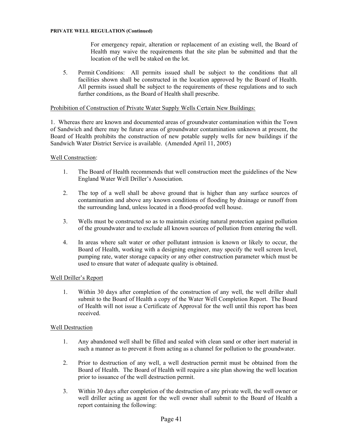#### **PRIVATE WELL REGULATION (Continued)**

For emergency repair, alteration or replacement of an existing well, the Board of Health may waive the requirements that the site plan be submitted and that the location of the well be staked on the lot.

5. Permit Conditions: All permits issued shall be subject to the conditions that all facilities shown shall be constructed in the location approved by the Board of Health. All permits issued shall be subject to the requirements of these regulations and to such further conditions, as the Board of Health shall prescribe.

## Prohibition of Construction of Private Water Supply Wells Certain New Buildings:

1. Whereas there are known and documented areas of groundwater contamination within the Town of Sandwich and there may be future areas of groundwater contamination unknown at present, the Board of Health prohibits the construction of new potable supply wells for new buildings if the Sandwich Water District Service is available. (Amended April 11, 2005)

### Well Construction:

- 1. The Board of Health recommends that well construction meet the guidelines of the New England Water Well Driller's Association.
- 2. The top of a well shall be above ground that is higher than any surface sources of contamination and above any known conditions of flooding by drainage or runoff from the surrounding land, unless located in a flood-proofed well house.
- 3. Wells must be constructed so as to maintain existing natural protection against pollution of the groundwater and to exclude all known sources of pollution from entering the well.
- 4. In areas where salt water or other pollutant intrusion is known or likely to occur, the Board of Health, working with a designing engineer, may specify the well screen level, pumping rate, water storage capacity or any other construction parameter which must be used to ensure that water of adequate quality is obtained.

## Well Driller's Report

1. Within 30 days after completion of the construction of any well, the well driller shall submit to the Board of Health a copy of the Water Well Completion Report. The Board of Health will not issue a Certificate of Approval for the well until this report has been received.

#### Well Destruction

- 1. Any abandoned well shall be filled and sealed with clean sand or other inert material in such a manner as to prevent it from acting as a channel for pollution to the groundwater.
- 2. Prior to destruction of any well, a well destruction permit must be obtained from the Board of Health. The Board of Health will require a site plan showing the well location prior to issuance of the well destruction permit.
- 3. Within 30 days after completion of the destruction of any private well, the well owner or well driller acting as agent for the well owner shall submit to the Board of Health a report containing the following: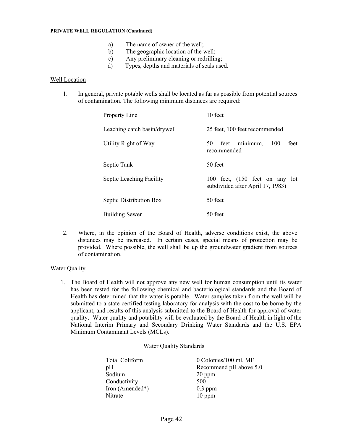#### **PRIVATE WELL REGULATION (Continued)**

- a) The name of owner of the well;
- b) The geographic location of the well;
- c) Any preliminary cleaning or redrilling;
- d) Types, depths and materials of seals used.

## Well Location

1. In general, private potable wells shall be located as far as possible from potential sources of contamination. The following minimum distances are required:

| Property Line                | 10 feet                                                            |
|------------------------------|--------------------------------------------------------------------|
| Leaching catch basin/drywell | 25 feet, 100 feet recommended                                      |
| Utility Right of Way         | minimum,<br>100<br>feet<br>50<br>feet<br>recommended               |
| Septic Tank                  | 50 feet                                                            |
| Septic Leaching Facility     | 100 feet, (150 feet on any lot<br>subdivided after April 17, 1983) |
| Septic Distribution Box      | 50 feet                                                            |
| <b>Building Sewer</b>        | 50 feet                                                            |

2. Where, in the opinion of the Board of Health, adverse conditions exist, the above distances may be increased. In certain cases, special means of protection may be provided. Where possible, the well shall be up the groundwater gradient from sources of contamination.

#### Water Quality

1. The Board of Health will not approve any new well for human consumption until its water has been tested for the following chemical and bacteriological standards and the Board of Health has determined that the water is potable. Water samples taken from the well will be submitted to a state certified testing laboratory for analysis with the cost to be borne by the applicant, and results of this analysis submitted to the Board of Health for approval of water quality. Water quality and potability will be evaluated by the Board of Health in light of the National Interim Primary and Secondary Drinking Water Standards and the U.S. EPA Minimum Contaminant Levels (MCLs).

#### Water Quality Standards

| Total Coliform  | 0 Colonies/100 ml. MF  |
|-----------------|------------------------|
| pH              | Recommend pH above 5.0 |
| Sodium          | $20$ ppm               |
| Conductivity    | 500                    |
| Iron (Amended*) | $0.3$ ppm              |
| Nitrate         | $10$ ppm               |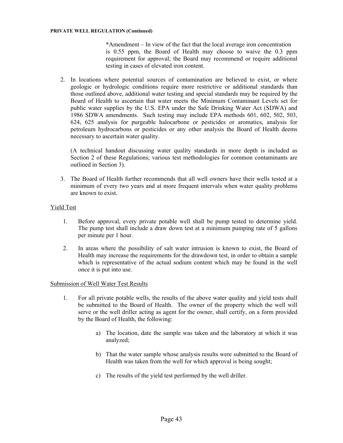\*Amendment – In view of the fact that the local average iron concentration is 0.55 ppm, the Board of Health may choose to waive the 0.3 ppm requirement for approval; the Board may recommend or require additional testing in cases of elevated iron content.

2. In locations where potential sources of contamination are believed to exist, or where geologic or hydrologic conditions require more restrictive or additional standards than those outlined above, additional water testing and special standards may be required by the Board of Health to ascertain that water meets the Minimum Contaminant Levels set for public water supplies by the U.S. EPA under the Safe Drinking Water Act (SDWA) and 1986 SDWA amendments. Such testing may include EPA methods 601, 602, 502, 503, 624, 625 analysis for purgeable halocarbone or pesticides or aromatics, analysis for petroleum hydrocarbons or pesticides or any other analysis the Board of Health deems necessary to ascertain water quality.

(A technical handout discussing water quality standards in more depth is included as Section 2 of these Regulations; various test methodologies for common contaminants are outlined in Section 3).

3. The Board of Health further recommends that all well owners have their wells tested at a minimum of every two years and at more frequent intervals when water quality problems are known to exist.

## Yield Test

- 1. Before approval, every private potable well shall be pump tested to determine yield. The pump test shall include a draw down test at a minimum pumping rate of 5 gallons per minute per 1 hour.
- 2. In areas where the possibility of salt water intrusion is known to exist, the Board of Health may increase the requirements for the drawdown test, in order to obtain a sample which is representative of the actual sodium content which may be found in the well once it is put into use.

## Submission of Well Water Test Results

- 1. For all private potable wells, the results of the above water quality and yield tests shall be submitted to the Board of Health. The owner of the property which the well will serve or the well driller acting as agent for the owner, shall certify, on a form provided by the Board of Health, the following:
	- a) The location, date the sample was taken and the laboratory at which it was analyzed;
	- b) That the water sample whose analysis results were submitted to the Board of Health was taken from the well for which approval is being sought;
	- c) The results of the yield test performed by the well driller.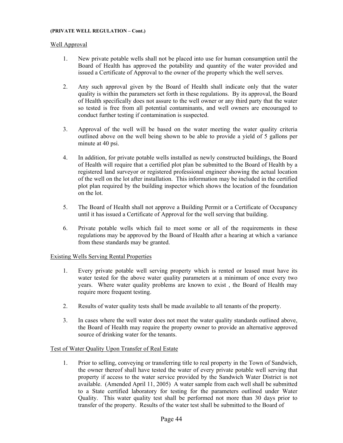#### **(PRIVATE WELL REGULATION – Cont.)**

## Well Approval

- 1. New private potable wells shall not be placed into use for human consumption until the Board of Health has approved the potability and quantity of the water provided and issued a Certificate of Approval to the owner of the property which the well serves.
- 2. Any such approval given by the Board of Health shall indicate only that the water quality is within the parameters set forth in these regulations. By its approval, the Board of Health specifically does not assure to the well owner or any third party that the water so tested is free from all potential contaminants, and well owners are encouraged to conduct further testing if contamination is suspected.
- 3. Approval of the well will be based on the water meeting the water quality criteria outlined above on the well being shown to be able to provide a yield of 5 gallons per minute at 40 psi.
- 4. In addition, for private potable wells installed as newly constructed buildings, the Board of Health will require that a certified plot plan be submitted to the Board of Health by a registered land surveyor or registered professional engineer showing the actual location of the well on the lot after installation. This information may be included in the certified plot plan required by the building inspector which shows the location of the foundation on the lot.
- 5. The Board of Health shall not approve a Building Permit or a Certificate of Occupancy until it has issued a Certificate of Approval for the well serving that building.
- 6. Private potable wells which fail to meet some or all of the requirements in these regulations may be approved by the Board of Health after a hearing at which a variance from these standards may be granted.

## Existing Wells Serving Rental Properties

- 1. Every private potable well serving property which is rented or leased must have its water tested for the above water quality parameters at a minimum of once every two years. Where water quality problems are known to exist , the Board of Health may require more frequent testing.
- 2. Results of water quality tests shall be made available to all tenants of the property.
- 3. In cases where the well water does not meet the water quality standards outlined above, the Board of Health may require the property owner to provide an alternative approved source of drinking water for the tenants.

## Test of Water Quality Upon Transfer of Real Estate

1. Prior to selling, conveying or transferring title to real property in the Town of Sandwich, the owner thereof shall have tested the water of every private potable well serving that property if access to the water service provided by the Sandwich Water District is not available. (Amended April 11, 2005) A water sample from each well shall be submitted to a State certified laboratory for testing for the parameters outlined under Water Quality. This water quality test shall be performed not more than 30 days prior to transfer of the property. Results of the water test shall be submitted to the Board of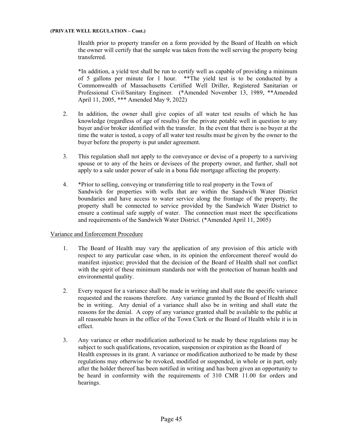#### **(PRIVATE WELL REGULATION – Cont.)**

Health prior to property transfer on a form provided by the Board of Health on which the owner will certify that the sample was taken from the well serving the property being transferred.

\*In addition, a yield test shall be run to certify well as capable of providing a minimum of 5 gallons per minute for 1 hour. \*\*The yield test is to be conducted by a Commonwealth of Massachusetts Certified Well Driller, Registered Sanitarian or Professional Civil/Sanitary Engineer. (\*Amended November 13, 1989, \*\*Amended April 11, 2005, \*\*\* Amended May 9, 2022)

- 2. In addition, the owner shall give copies of all water test results of which he has knowledge (regardless of age of results) for the private potable well in question to any buyer and/or broker identified with the transfer. In the event that there is no buyer at the time the water is tested, a copy of all water test results must be given by the owner to the buyer before the property is put under agreement.
- 3. This regulation shall not apply to the conveyance or devise of a property to a surviving spouse or to any of the heirs or devisees of the property owner, and further, shall not apply to a sale under power of sale in a bona fide mortgage affecting the property.
- 4. \*Prior to selling, conveying or transferring title to real property in the Town of Sandwich for properties with wells that are within the Sandwich Water District boundaries and have access to water service along the frontage of the property, the property shall be connected to service provided by the Sandwich Water District to ensure a continual safe supply of water. The connection must meet the specifications and requirements of the Sandwich Water District. (\*Amended April 11, 2005)

## Variance and Enforcement Procedure

- 1. The Board of Health may vary the application of any provision of this article with respect to any particular case when, in its opinion the enforcement thereof would do manifest injustice; provided that the decision of the Board of Health shall not conflict with the spirit of these minimum standards nor with the protection of human health and environmental quality.
- 2. Every request for a variance shall be made in writing and shall state the specific variance requested and the reasons therefore. Any variance granted by the Board of Health shall be in writing. Any denial of a variance shall also be in writing and shall state the reasons for the denial. A copy of any variance granted shall be available to the public at all reasonable hours in the office of the Town Clerk or the Board of Health while it is in effect.
- 3. Any variance or other modification authorized to be made by these regulations may be subject to such qualifications, revocation, suspension or expiration as the Board of Health expresses in its grant. A variance or modification authorized to be made by these regulations may otherwise be revoked, modified or suspended, in whole or in part, only after the holder thereof has been notified in writing and has been given an opportunity to be heard in conformity with the requirements of 310 CMR 11.00 for orders and hearings.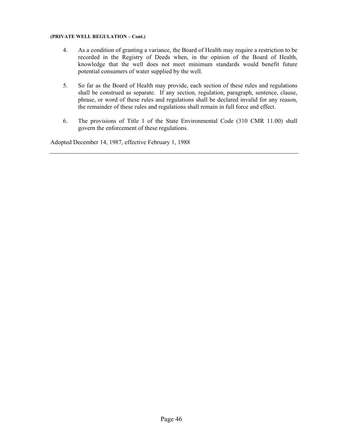#### **(PRIVATE WELL REGULATION – Cont.)**

- 4. As a condition of granting a variance, the Board of Health may require a restriction to be recorded in the Registry of Deeds when, in the opinion of the Board of Health, knowledge that the well does not meet minimum standards would benefit future potential consumers of water supplied by the well.
- 5. So far as the Board of Health may provide, each section of these rules and regulations shall be construed as separate. If any section, regulation, paragraph, sentence, clause, phrase, or word of these rules and regulations shall be declared invalid for any reason, the remainder of these rules and regulations shall remain in full force and effect.
- 6. The provisions of Title 1 of the State Environmental Code (310 CMR 11.00) shall govern the enforcement of these regulations.

Adopted December 14, 1987, effective February 1, 1988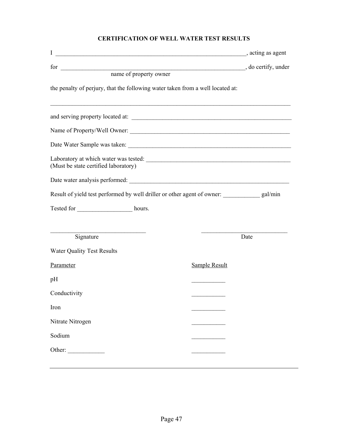# **CERTIFICATION OF WELL WATER TEST RESULTS**

| I                                                                              | acting as agent                                                                  |
|--------------------------------------------------------------------------------|----------------------------------------------------------------------------------|
|                                                                                | do certify, under                                                                |
| for <u>name</u> of property owner                                              |                                                                                  |
| the penalty of perjury, that the following water taken from a well located at: |                                                                                  |
|                                                                                | ,我们也不能在这里的时候,我们也不能在这里的时候,我们也不能会在这里,我们也不能会在这里的时候,我们也不能会在这里的时候,我们也不能会在这里的时候,我们也不能会 |
|                                                                                |                                                                                  |
|                                                                                |                                                                                  |
| (Must be state certified laboratory)                                           | Laboratory at which water was tested:                                            |
|                                                                                |                                                                                  |
|                                                                                | Result of yield test performed by well driller or other agent of owner: gal/min  |
|                                                                                |                                                                                  |
|                                                                                |                                                                                  |
| <u> 1989 - Johann Stein, mars an t-Amerikaansk ferskeider (</u><br>Signature   | Date                                                                             |
| <b>Water Quality Test Results</b>                                              |                                                                                  |
| Parameter                                                                      | <b>Sample Result</b>                                                             |
| pH                                                                             |                                                                                  |
| Conductivity                                                                   |                                                                                  |
| Iron                                                                           |                                                                                  |
| Nitrate Nitrogen                                                               |                                                                                  |
| Sodium                                                                         |                                                                                  |
| Other:                                                                         |                                                                                  |
|                                                                                |                                                                                  |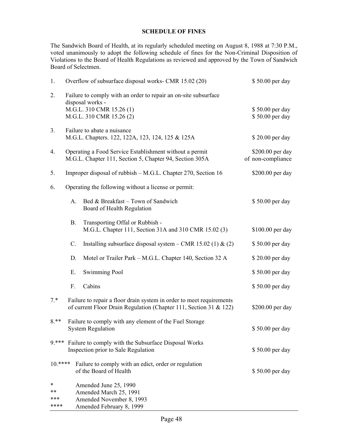## **SCHEDULE OF FINES**

The Sandwich Board of Health, at its regularly scheduled meeting on August 8, 1988 at 7:30 P.M., voted unanimously to adopt the following schedule of fines for the Non-Criminal Disposition of Violations to the Board of Health Regulations as reviewed and approved by the Town of Sandwich Board of Selectmen.

| 1.                     |                                                                                                                                                             | Overflow of subsurface disposal works- CMR 15.02 (20)                                                                                       | \$50.00 per day                    |
|------------------------|-------------------------------------------------------------------------------------------------------------------------------------------------------------|---------------------------------------------------------------------------------------------------------------------------------------------|------------------------------------|
| 2.                     |                                                                                                                                                             | Failure to comply with an order to repair an on-site subsurface<br>disposal works -<br>M.G.L. 310 CMR 15.26 (1)<br>M.G.L. 310 CMR 15.26 (2) | \$50.00 per day<br>\$50.00 per day |
| 3.                     |                                                                                                                                                             | Failure to abate a nuisance<br>M.G.L. Chapters. 122, 122A, 123, 124, 125 & 125A                                                             | \$20.00 per day                    |
| 4.                     | Operating a Food Service Establishment without a permit<br>\$200.00 per day<br>M.G.L. Chapter 111, Section 5, Chapter 94, Section 305A<br>of non-compliance |                                                                                                                                             |                                    |
| 5.                     | \$200.00 per day<br>Improper disposal of rubbish – M.G.L. Chapter 270, Section 16                                                                           |                                                                                                                                             |                                    |
| 6.                     | Operating the following without a license or permit:                                                                                                        |                                                                                                                                             |                                    |
|                        | A.                                                                                                                                                          | Bed & Breakfast - Town of Sandwich<br>Board of Health Regulation                                                                            | \$50.00 per day                    |
|                        | <b>B.</b>                                                                                                                                                   | Transporting Offal or Rubbish -<br>M.G.L. Chapter 111, Section 31A and 310 CMR 15.02 (3)                                                    | \$100.00 per day                   |
|                        | C.                                                                                                                                                          | Installing subsurface disposal system – CMR 15.02 (1) & (2)                                                                                 | \$50.00 per day                    |
|                        | D.                                                                                                                                                          | Motel or Trailer Park - M.G.L. Chapter 140, Section 32 A                                                                                    | \$20.00 per day                    |
|                        | Ε.                                                                                                                                                          | <b>Swimming Pool</b>                                                                                                                        | \$50.00 per day                    |
|                        | F.                                                                                                                                                          | Cabins                                                                                                                                      | \$50.00 per day                    |
| $7.*$                  |                                                                                                                                                             | Failure to repair a floor drain system in order to meet requirements<br>of current Floor Drain Regulation (Chapter 111, Section 31 & 122)   | \$200.00 per day                   |
| $8.**$                 |                                                                                                                                                             | Failure to comply with any element of the Fuel Storage<br><b>System Regulation</b>                                                          | \$50.00 per day                    |
| $9***$                 | Failure to comply with the Subsurface Disposal Works<br>Inspection prior to Sale Regulation                                                                 |                                                                                                                                             | \$50.00 per day                    |
| $10.****$              |                                                                                                                                                             | Failure to comply with an edict, order or regulation<br>of the Board of Health                                                              | \$50.00 per day                    |
| *<br>**<br>***<br>**** |                                                                                                                                                             | Amended June 25, 1990<br>Amended March 25, 1991<br>Amended November 8, 1993<br>Amended February 8, 1999                                     |                                    |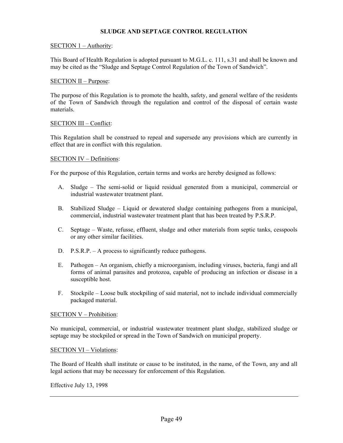## **SLUDGE AND SEPTAGE CONTROL REGULATION**

### SECTION 1 – Authority:

This Board of Health Regulation is adopted pursuant to M.G.L. c. 111, s.31 and shall be known and may be cited as the "Sludge and Septage Control Regulation of the Town of Sandwich".

### SECTION II – Purpose:

The purpose of this Regulation is to promote the health, safety, and general welfare of the residents of the Town of Sandwich through the regulation and control of the disposal of certain waste materials.

### SECTION III – Conflict:

This Regulation shall be construed to repeal and supersede any provisions which are currently in effect that are in conflict with this regulation.

#### SECTION IV – Definitions:

For the purpose of this Regulation, certain terms and works are hereby designed as follows:

- A. Sludge The semi-solid or liquid residual generated from a municipal, commercial or industrial wastewater treatment plant.
- B. Stabilized Sludge Liquid or dewatered sludge containing pathogens from a municipal, commercial, industrial wastewater treatment plant that has been treated by P.S.R.P.
- C. Septage Waste, refusse, effluent, sludge and other materials from septic tanks, cesspools or any other similar facilities.
- D. P.S.R.P. A process to significantly reduce pathogens.
- E. Pathogen An organism, chiefly a microorganism, including viruses, bacteria, fungi and all forms of animal parasites and protozoa, capable of producing an infection or disease in a susceptible host.
- F. Stockpile Loose bulk stockpiling of said material, not to include individual commercially packaged material.

#### SECTION V – Prohibition:

No municipal, commercial, or industrial wastewater treatment plant sludge, stabilized sludge or septage may be stockpiled or spread in the Town of Sandwich on municipal property.

#### SECTION VI – Violations:

The Board of Health shall institute or cause to be instituted, in the name, of the Town, any and all legal actions that may be necessary for enforcement of this Regulation.

Effective July 13, 1998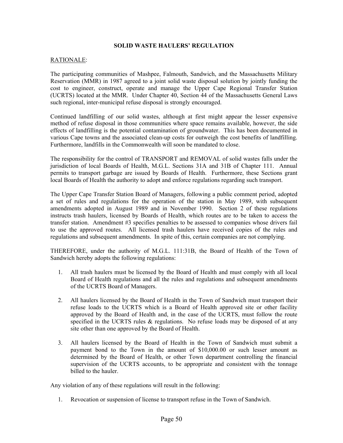## **SOLID WASTE HAULERS' REGULATION**

## RATIONALE:

The participating communities of Mashpee, Falmouth, Sandwich, and the Massachusetts Military Reservation (MMR) in 1987 agreed to a joint solid waste disposal solution by jointly funding the cost to engineer, construct, operate and manage the Upper Cape Regional Transfer Station (UCRTS) located at the MMR. Under Chapter 40, Section 44 of the Massachusetts General Laws such regional, inter-municipal refuse disposal is strongly encouraged.

Continued landfilling of our solid wastes, although at first might appear the lesser expensive method of refuse disposal in those communities where space remains available, however, the side effects of landfilling is the potential contamination of groundwater. This has been documented in various Cape towns and the associated clean-up costs for outweigh the cost benefits of landfilling. Furthermore, landfills in the Commonwealth will soon be mandated to close.

The responsibility for the control of TRANSPORT and REMOVAL of solid wastes falls under the jurisdiction of local Boards of Health, M.G.L. Sections 31A and 31B of Chapter 111. Annual permits to transport garbage are issued by Boards of Health. Furthermore, these Sections grant local Boards of Health the authority to adopt and enforce regulations regarding such transport.

The Upper Cape Transfer Station Board of Managers, following a public comment period, adopted a set of rules and regulations for the operation of the station in May 1989, with subsequent amendments adopted in August 1989 and in November 1990. Section 2 of these regulations instructs trash haulers, licensed by Boards of Health, which routes are to be taken to access the transfer station. Amendment #3 specifies penalties to be assessed to companies whose drivers fail to use the approved routes. All licensed trash haulers have received copies of the rules and regulations and subsequent amendments. In spite of this, certain companies are not complying.

THEREFORE, under the authority of M.G.L. 111:31B, the Board of Health of the Town of Sandwich hereby adopts the following regulations:

- 1. All trash haulers must be licensed by the Board of Health and must comply with all local Board of Health regulations and all the rules and regulations and subsequent amendments of the UCRTS Board of Managers.
- 2. All haulers licensed by the Board of Health in the Town of Sandwich must transport their refuse loads to the UCRTS which is a Board of Health approved site or other facility approved by the Board of Health and, in the case of the UCRTS, must follow the route specified in the UCRTS rules & regulations. No refuse loads may be disposed of at any site other than one approved by the Board of Health.
- 3. All haulers licensed by the Board of Health in the Town of Sandwich must submit a payment bond to the Town in the amount of \$10,000.00 or such lesser amount as determined by the Board of Health, or other Town department controlling the financial supervision of the UCRTS accounts, to be appropriate and consistent with the tonnage billed to the hauler.

Any violation of any of these regulations will result in the following:

1. Revocation or suspension of license to transport refuse in the Town of Sandwich.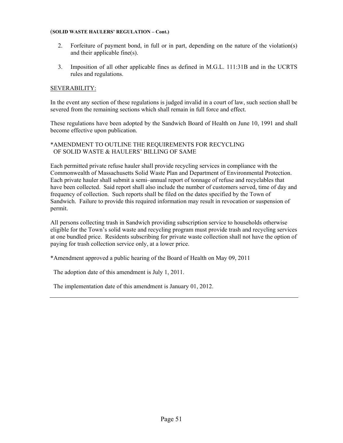#### (**SOLID WASTE HAULERS' REGULATION – Cont.)**

- 2. Forfeiture of payment bond, in full or in part, depending on the nature of the violation(s) and their applicable fine(s).
- 3. Imposition of all other applicable fines as defined in M.G.L. 111:31B and in the UCRTS rules and regulations.

## SEVERABILITY:

In the event any section of these regulations is judged invalid in a court of law, such section shall be severed from the remaining sections which shall remain in full force and effect.

These regulations have been adopted by the Sandwich Board of Health on June 10, 1991 and shall become effective upon publication.

## \*AMENDMENT TO OUTLINE THE REQUIREMENTS FOR RECYCLING OF SOLID WASTE & HAULERS' BILLING OF SAME

Each permitted private refuse hauler shall provide recycling services in compliance with the Commonwealth of Massachusetts Solid Waste Plan and Department of Environmental Protection. Each private hauler shall submit a semi–annual report of tonnage of refuse and recyclables that have been collected. Said report shall also include the number of customers served, time of day and frequency of collection. Such reports shall be filed on the dates specified by the Town of Sandwich. Failure to provide this required information may result in revocation or suspension of permit.

All persons collecting trash in Sandwich providing subscription service to households otherwise eligible for the Town's solid waste and recycling program must provide trash and recycling services at one bundled price. Residents subscribing for private waste collection shall not have the option of paying for trash collection service only, at a lower price.

\*Amendment approved a public hearing of the Board of Health on May 09, 2011

The adoption date of this amendment is July 1, 2011.

The implementation date of this amendment is January 01, 2012.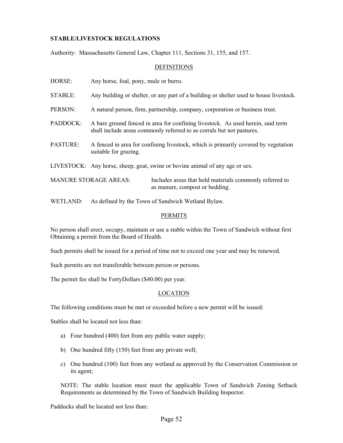## **STABLE/LIVESTOCK REGULATIONS**

Authority: Massachusetts General Law, Chapter 111, Sections 31, 155, and 157.

### DEFINITIONS

HORSE: Any horse, foal, pony, mule or burro.

STABLE: Any building or shelter, or any part of a building or shelter used to house livestock.

PERSON: A natural person, firm, partnership, company, corporation or business trust.

- PADDOCK: A bare ground fenced in area for confining livestock. As used herein, said term shall include areas commonly referred to as corrals but not pastures.
- PASTURE: A fenced in area for confining livestock, which is primarily covered by vegetation suitable for grazing.
- LIVESTOCK: Any horse, sheep, goat, swine or bovine animal of any age or sex.

MANURE STORAGE AREAS: Includes areas that hold materials commonly referred to as manure, compost or bedding.

WETLAND: As defined by the Town of Sandwich Wetland Bylaw.

### PERMITS

No person shall erect, occupy, maintain or use a stable within the Town of Sandwich without first Obtaining a permit from the Board of Health.

Such permits shall be issued for a period of time not to exceed one year and may be renewed.

Such permits are not transferable between person or persons.

The permit fee shall be FortyDollars (\$40.00) per year.

#### LOCATION

The following conditions must be met or exceeded before a new permit will be issued:

Stables shall be located not less than:

- a) Four hundred (400) feet from any public water supply;
- b) One hundred fifty (150) feet from any private well;
- c) One hundred (100) feet from any wetland as approved by the Conservation Commission or its agent;

NOTE: The stable location must meet the applicable Town of Sandwich Zoning Setback Requirements as determined by the Town of Sandwich Building Inspector.

Paddocks shall be located not less than: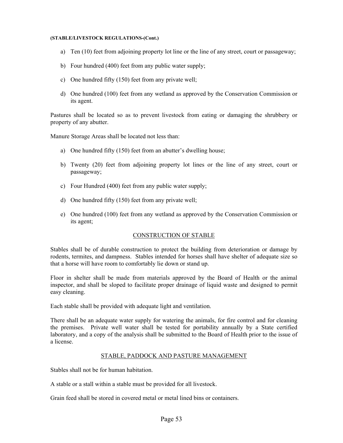- a) Ten (10) feet from adjoining property lot line or the line of any street, court or passageway;
- b) Four hundred (400) feet from any public water supply;
- c) One hundred fifty (150) feet from any private well;
- d) One hundred (100) feet from any wetland as approved by the Conservation Commission or its agent.

Pastures shall be located so as to prevent livestock from eating or damaging the shrubbery or property of any abutter.

Manure Storage Areas shall be located not less than:

- a) One hundred fifty (150) feet from an abutter's dwelling house;
- b) Twenty (20) feet from adjoining property lot lines or the line of any street, court or passageway;
- c) Four Hundred (400) feet from any public water supply;
- d) One hundred fifty (150) feet from any private well;
- e) One hundred (100) feet from any wetland as approved by the Conservation Commission or its agent;

#### CONSTRUCTION OF STABLE

Stables shall be of durable construction to protect the building from deterioration or damage by rodents, termites, and dampness. Stables intended for horses shall have shelter of adequate size so that a horse will have room to comfortably lie down or stand up.

Floor in shelter shall be made from materials approved by the Board of Health or the animal inspector, and shall be sloped to facilitate proper drainage of liquid waste and designed to permit easy cleaning.

Each stable shall be provided with adequate light and ventilation.

There shall be an adequate water supply for watering the animals, for fire control and for cleaning the premises. Private well water shall be tested for portability annually by a State certified laboratory, and a copy of the analysis shall be submitted to the Board of Health prior to the issue of a license.

## STABLE, PADDOCK AND PASTURE MANAGEMENT

Stables shall not be for human habitation.

A stable or a stall within a stable must be provided for all livestock.

Grain feed shall be stored in covered metal or metal lined bins or containers.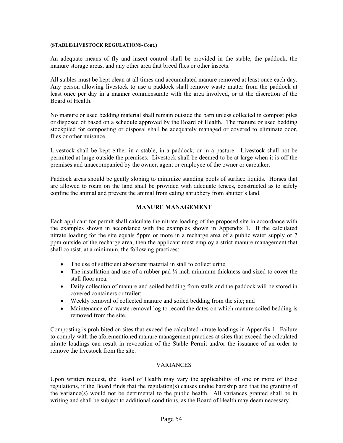An adequate means of fly and insect control shall be provided in the stable, the paddock, the manure storage areas, and any other area that breed flies or other insects.

All stables must be kept clean at all times and accumulated manure removed at least once each day. Any person allowing livestock to use a paddock shall remove waste matter from the paddock at least once per day in a manner commensurate with the area involved, or at the discretion of the Board of Health.

No manure or used bedding material shall remain outside the barn unless collected in compost piles or disposed of based on a schedule approved by the Board of Health. The manure or used bedding stockpiled for composting or disposal shall be adequately managed or covered to eliminate odor, flies or other nuisance.

Livestock shall be kept either in a stable, in a paddock, or in a pasture. Livestock shall not be permitted at large outside the premises. Livestock shall be deemed to be at large when it is off the premises and unaccompanied by the owner, agent or employee of the owner or caretaker.

Paddock areas should be gently sloping to minimize standing pools of surface liquids. Horses that are allowed to roam on the land shall be provided with adequate fences, constructed as to safely confine the animal and prevent the animal from eating shrubbery from abutter's land.

## **MANURE MANAGEMENT**

Each applicant for permit shall calculate the nitrate loading of the proposed site in accordance with the examples shown in accordance with the examples shown in Appendix 1. If the calculated nitrate loading for the site equals 5ppm or more in a recharge area of a public water supply or 7 ppm outside of the recharge area, then the applicant must employ a strict manure management that shall consist, at a minimum, the following practices:

- The use of sufficient absorbent material in stall to collect urine.
- The installation and use of a rubber pad  $\frac{1}{4}$  inch minimum thickness and sized to cover the stall floor area.
- Daily collection of manure and soiled bedding from stalls and the paddock will be stored in covered containers or trailer;
- Weekly removal of collected manure and soiled bedding from the site; and
- Maintenance of a waste removal log to record the dates on which manure soiled bedding is removed from the site.

Composting is prohibited on sites that exceed the calculated nitrate loadings in Appendix 1. Failure to comply with the aforementioned manure management practices at sites that exceed the calculated nitrate loadings can result in revocation of the Stable Permit and/or the issuance of an order to remove the livestock from the site.

#### VARIANCES

Upon written request, the Board of Health may vary the applicability of one or more of these regulations, if the Board finds that the regulation(s) causes undue hardship and that the granting of the variance(s) would not be detrimental to the public health. All variances granted shall be in writing and shall be subject to additional conditions, as the Board of Health may deem necessary.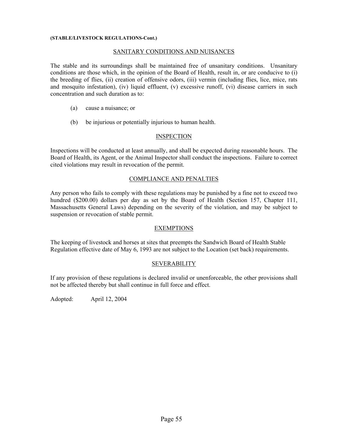### SANITARY CONDITIONS AND NUISANCES

The stable and its surroundings shall be maintained free of unsanitary conditions. Unsanitary conditions are those which, in the opinion of the Board of Health, result in, or are conducive to (i) the breeding of flies, (ii) creation of offensive odors, (iii) vermin (including flies, lice, mice, rats and mosquito infestation), (iv) liquid effluent, (v) excessive runoff, (vi) disease carriers in such concentration and such duration as to:

- (a) cause a nuisance; or
- (b) be injurious or potentially injurious to human health.

## **INSPECTION**

Inspections will be conducted at least annually, and shall be expected during reasonable hours. The Board of Health, its Agent, or the Animal Inspector shall conduct the inspections. Failure to correct cited violations may result in revocation of the permit.

### COMPLIANCE AND PENALTIES

Any person who fails to comply with these regulations may be punished by a fine not to exceed two hundred (\$200.00) dollars per day as set by the Board of Health (Section 157, Chapter 111, Massachusetts General Laws) depending on the severity of the violation, and may be subject to suspension or revocation of stable permit.

## EXEMPTIONS

The keeping of livestock and horses at sites that preempts the Sandwich Board of Health Stable Regulation effective date of May 6, 1993 are not subject to the Location (set back) requirements.

## **SEVERABILITY**

If any provision of these regulations is declared invalid or unenforceable, the other provisions shall not be affected thereby but shall continue in full force and effect.

Adopted: April 12, 2004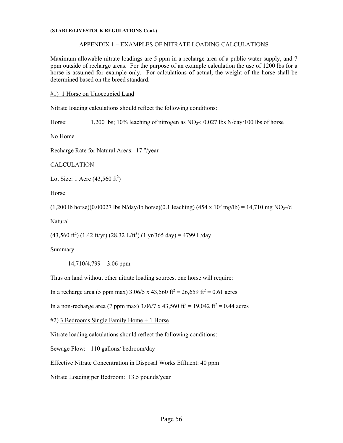### APPENDIX 1 – EXAMPLES OF NITRATE LOADING CALCULATIONS

Maximum allowable nitrate loadings are 5 ppm in a recharge area of a public water supply, and 7 ppm outside of recharge areas. For the purpose of an example calculation the use of 1200 lbs for a horse is assumed for example only. For calculations of actual, the weight of the horse shall be determined based on the breed standard.

### #1) 1 Horse on Unoccupied Land

Nitrate loading calculations should reflect the following conditions:

Horse: 1,200 lbs; 10% leaching of nitrogen as  $NO<sub>3</sub>$ ; 0.027 lbs  $N/day/100$  lbs of horse

No Home

Recharge Rate for Natural Areas: 17 "/year

CALCULATION

Lot Size: 1 Acre  $(43,560 \text{ ft}^2)$ 

Horse

 $(1,200 \text{ lb horse})(0.00027 \text{ lbs N/day/lb horse})(0.1 \text{ leading}) (454 \text{ x } 10^3 \text{ mg/lb}) = 14,710 \text{ mg NO}_3$ -/d

Natural

 $(43,560 \text{ ft}^2)$   $(1.42 \text{ ft/yr})$   $(28.32 \text{ L/ft}^3)$   $(1 \text{ yr/}365 \text{ day}) = 4799 \text{ L/day}$ 

Summary

 $14,710/4,799 = 3.06$  ppm

Thus on land without other nitrate loading sources, one horse will require:

In a recharge area (5 ppm max)  $3.06/5 \times 43{,}560 \text{ ft}^2 = 26{,}659 \text{ ft}^2 = 0.61 \text{ acres}$ 

In a non-recharge area (7 ppm max)  $3.06/7 \times 43{,}560 \text{ ft}^2 = 19{,}042 \text{ ft}^2 = 0.44 \text{ acres}$ 

#2) 3 Bedrooms Single Family Home + 1 Horse

Nitrate loading calculations should reflect the following conditions:

Sewage Flow: 110 gallons/ bedroom/day

Effective Nitrate Concentration in Disposal Works Effluent: 40 ppm

Nitrate Loading per Bedroom: 13.5 pounds/year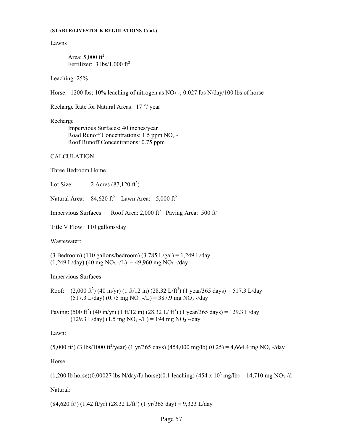Lawns

Area:  $5,000 \text{ ft}^2$ Fertilizer:  $3 \text{ lbs}/1,000 \text{ ft}^2$ 

Leaching: 25%

Horse: 1200 lbs; 10% leaching of nitrogen as  $NO<sub>3</sub>$  -; 0.027 lbs  $N/day/100$  lbs of horse

Recharge Rate for Natural Areas: 17 "/ year

Recharge

 Impervious Surfaces: 40 inches/year Road Runoff Concentrations: 1.5 ppm NO3 - Roof Runoff Concentrations: 0.75 ppm

CALCULATION

Three Bedroom Home

Lot Size:  $2 \text{ Acres } (87,120 \text{ ft}^2)$ 

Natural Area:  $84,620 \text{ ft}^2$  Lawn Area:  $5,000 \text{ ft}^2$ 

Impervious Surfaces: Roof Area: 2,000 ft<sup>2</sup> Paving Area: 500 ft<sup>2</sup>

Title V Flow: 110 gallons/day

Wastewater:

(3 Bedroom) (110 gallons/bedroom) (3.785 L/gal) = 1,249 L/day  $(1,249 \text{ L/day})$  (40 mg NO<sub>3</sub> -/L) = 49,960 mg NO<sub>3</sub> -/day

Impervious Surfaces:

- Roof:  $(2,000 \text{ ft}^2)$  (40 in/yr) (1 ft/12 in) (28.32 L/ft<sup>3</sup>) (1 year/365 days) = 517.3 L/day  $(517.3 \text{ L/day})$   $(0.75 \text{ mg NO}_3 - /L) = 387.9 \text{ mg NO}_3 - /day)$
- Paving:  $(500 \text{ ft}^2)$   $(40 \text{ in/yr})$   $(1 \text{ ft/12 in})$   $(28.32 \text{ L/ ft}^3)$   $(1 \text{ year/365 days}) = 129.3 \text{ L/day}$  $(129.3 \text{ L/day}) (1.5 \text{ mg NO}_3 - \text{/L}) = 194 \text{ mg NO}_3 - \text{/day})$

Lawn:

 $(5,000 \text{ ft}^2)$  (3 lbs/1000 ft<sup>2</sup>/year) (1 yr/365 days) (454,000 mg/lb) (0.25) = 4,664.4 mg NO<sub>3</sub> -/day

Horse:

 $(1,200 \text{ lb horse})(0.00027 \text{ lbs N/day/lb horse})(0.1 \text{ leading}) (454 \text{ x } 10^3 \text{ mg/lb}) = 14,710 \text{ mg NO}_3$ -/d

Natural:

 $(84,620 \text{ ft}^2)$   $(1.42 \text{ ft/yr})$   $(28.32 \text{ L/ft}^3)$   $(1 \text{ yr/}365 \text{ day}) = 9,323 \text{ L/day}$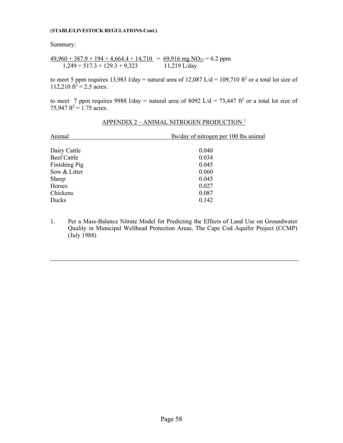Summary:

$$
\frac{49,960 + 387.9 + 194 + 4,664.4 + 14,710}{1,249 + 517.3 + 129.3 + 9,323} = \frac{69,916 \text{ mg NO}_{3} - 6.2 \text{ ppm}}{11,219 \text{ L/day}}
$$

to meet 5 ppm requires 13,983 l/day = natural area of 12,087 L/d = 109,710 ft<sup>2</sup> or a total lot size of 112,210 ft<sup>2</sup> = 2.5 acres.

to meet 7 ppm requires 9988 l/day = natural area of 8092 L/d = 73,447 ft<sup>2</sup> or a total lot size of 75,947 ft<sup>2</sup> = 1.75 acres.

| Animal             | lbs/day of nitrogen per 100 lbs animal |
|--------------------|----------------------------------------|
| Dairy Cattle       | 0.040                                  |
| <b>Beef Cattle</b> | 0.034                                  |
| Finishing Pig      | 0.045                                  |
| Sow & Litter       | 0.060                                  |
| Sheep              | 0.045                                  |
| Horses             | 0.027                                  |
| Chickens           | 0.087                                  |
| Ducks              | 0.142                                  |

# APPENDIX 2 – ANIMAL NITROGEN PRODUCTION <sup>1</sup>

1. Per a Mass-Balance Nitrate Model for Predicting the Effects of Land Use on Groundwater Quality in Municipal Wellhead Protection Areas, The Cape Cod Aquifer Project (CCMP) (July 1988)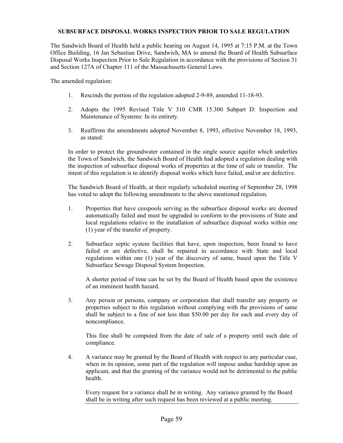## **SUBSURFACE DISPOSAL WORKS INSPECTION PRIOR TO SALE REGULATION**

The Sandwich Board of Health held a public hearing on August 14, 1995 at 7:15 P.M. at the Town Office Building, 16 Jan Sebastian Drive, Sandwich, MA to amend the Board of Health Subsurface Disposal Works Inspection Prior to Sale Regulation in accordance with the provisions of Section 31 and Section 127A of Chapter 111 of the Massachusetts General Laws.

The amended regulation:

- 1. Rescinds the portion of the regulation adopted 2-9-89, amended 11-18-93.
- 2. Adopts the 1995 Revised Title V 310 CMR 15.300 Subpart D: Inspection and Maintenance of Systems: In its entirety.
- 3. Reaffirms the amendments adopted November 8, 1993, effective November 18, 1993, as stated:

In order to protect the groundwater contained in the single source aquifer which underlies the Town of Sandwich, the Sandwich Board of Health had adopted a regulation dealing with the inspection of subsurface disposal works of properties at the time of sale or transfer. The intent of this regulation is to identify disposal works which have failed, and/or are defective.

The Sandwich Board of Health, at their regularly scheduled meeting of September 28, 1998 has voted to adopt the following amendments to the above mentioned regulation.

- 1. Properties that have cesspools serving as the subsurface disposal works are deemed automatically failed and must be upgraded to conform to the provisions of State and local regulations relative to the installation of subsurface disposal works within one (1) year of the transfer of property.
- 2. Subsurface septic system facilities that have, upon inspection, been found to have failed or are defective, shall be repaired in accordance with State and local regulations within one (1) year of the discovery of same, based upon the Title V Subsurface Sewage Disposal System Inspection.

A shorter period of time can be set by the Board of Health based upon the existence of an imminent health hazard.

3. Any person or persons, company or corporation that shall transfer any property or properties subject to this regulation without complying with the provisions of same shall be subject to a fine of not less than \$50.00 per day for each and every day of noncompliance.

This fine shall be computed from the date of sale of a property until such date of compliance.

4. A variance may be granted by the Board of Health with respect to any particular case, when in its opinion, some part of the regulation will impose undue hardship upon an applicant, and that the granting of the variance would not be detrimental to the public health.

Every request for a variance shall be in writing. Any variance granted by the Board shall be in writing after such request has been reviewed at a public meeting.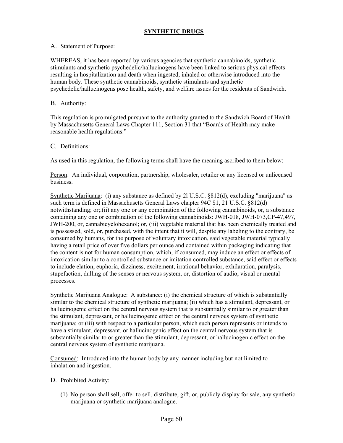## **SYNTHETIC DRUGS**

## A. Statement of Purpose:

WHEREAS, it has been reported by various agencies that synthetic cannabinoids, synthetic stimulants and synthetic psychedelic/hallucinogens have been linked to serious physical effects resulting in hospitalization and death when ingested, inhaled or otherwise introduced into the human body. These synthetic cannabinoids, synthetic stimulants and synthetic psychedelic/hallucinogens pose health, safety, and welfare issues for the residents of Sandwich.

## B. Authority:

This regulation is promulgated pursuant to the authority granted to the Sandwich Board of Health by Massachusetts General Laws Chapter 111, Section 31 that "Boards of Health may make reasonable health regulations."

## C. Definitions:

As used in this regulation, the following terms shall have the meaning ascribed to them below:

Person: An individual, corporation, partnership, wholesaler, retailer or any licensed or unlicensed business.

Synthetic Marijuana: (i) any substance as defined by 2l U.S.C. §812(d), excluding "marijuana" as such term is defined in Massachusetts General Laws chapter 94C \$1, 21 U.S.C. §812(d) notwithstanding; or;.(ii) any one or any combination of the following cannabinoids, or, a substance containing any one or combination of the following cannabinoids: JWH-018, JWH-073,CP-47,497, JWH-200, or, cannabicyclohexanol; or, (iii) vegetable material that has been chemically treated and is possessed, sold, or, purchased, with the intent that it will, despite any labeling to the contrary, be consumed by humans, for the purpose of voluntary intoxication, said vegetable material typically having a retail price of over five dollars per ounce and contained within packaging indicating that the content is not for human consumption, which, if consumed, may induce an effect or effects of intoxication similar to a controlled substance or imitation controlled substance, said effect or effects to include elation, euphoria, dizziness, excitement, irrational behavior, exhilaration, paralysis, stupefaction, dulling of the senses or nervous system, or, distortion of audio, visual or mental processes.

Synthetic Marijuana Analogue: A substance: (i) the chemical structure of which is substantially similar to the chemical structure of synthetic marijuana; (ii) which has a stimulant, depressant, or hallucinogenic effect on the central nervous system that is substantially similar to or greater than the stimulant, depressant, or hallucinogenic effect on the central nervous system of synthetic marijuana; or (iii) with respect to a particular person, which such person represents or intends to have a stimulant, depressant, or hallucinogenic effect on the central nervous system that is substantially similar to or greater than the stimulant, depressant, or hallucinogenic effect on the central nervous system of synthetic marijuana.

Consumed: Introduced into the human body by any manner including but not limited to inhalation and ingestion.

## D. Prohibited Activity:

(1) No person shall sell, offer to sell, distribute, gift, or, publicly display for sale, any synthetic marijuana or synthetic marijuana analogue.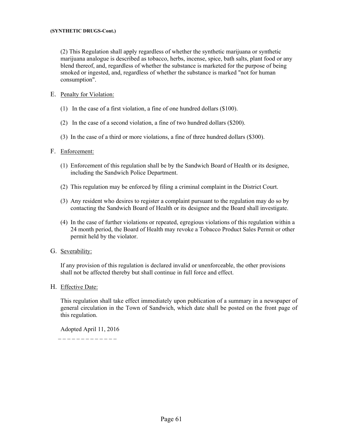(2) This Regulation shall apply regardless of whether the synthetic marijuana or synthetic marijuana analogue is described as tobacco, herbs, incense, spice, bath salts, plant food or any blend thereof, and, regardless of whether the substance is marketed for the purpose of being smoked or ingested, and, regardless of whether the substance is marked "not for human consumption".

## E. Penalty for Violation:

- (1) In the case of a first violation, a fine of one hundred dollars (\$100).
- (2) In the case of a second violation, a fine of two hundred dollars (\$200).
- (3) In the case of a third or more violations, a fine of three hundred dollars (\$300).

## F. Enforcement:

- (1) Enforcement of this regulation shall be by the Sandwich Board of Health or its designee, including the Sandwich Police Department.
- (2) This regulation may be enforced by filing a criminal complaint in the District Court.
- (3) Any resident who desires to register a complaint pursuant to the regulation may do so by contacting the Sandwich Board of Health or its designee and the Board shall investigate.
- (4) In the case of further violations or repeated, egregious violations of this regulation within a 24 month period, the Board of Health may revoke a Tobacco Product Sales Permit or other permit held by the violator.

## G. Severability:

If any provision of this regulation is declared invalid or unenforceable, the other provisions shall not be affected thereby but shall continue in full force and effect.

## H. Effective Date:

This regulation shall take effect immediately upon publication of a summary in a newspaper of general circulation in the Town of Sandwich, which date shall be posted on the front page of this regulation.

Adopted April 11, 2016

\_ \_ \_ \_ \_ \_ \_ \_ \_ \_ \_ \_ \_ \_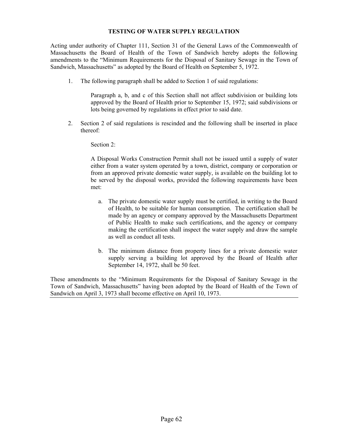## **TESTING OF WATER SUPPLY REGULATION**

Acting under authority of Chapter 111, Section 31 of the General Laws of the Commonwealth of Massachusetts the Board of Health of the Town of Sandwich hereby adopts the following amendments to the "Minimum Requirements for the Disposal of Sanitary Sewage in the Town of Sandwich, Massachusetts" as adopted by the Board of Health on September 5, 1972.

1. The following paragraph shall be added to Section 1 of said regulations:

Paragraph a, b, and c of this Section shall not affect subdivision or building lots approved by the Board of Health prior to September 15, 1972; said subdivisions or lots being governed by regulations in effect prior to said date.

2. Section 2 of said regulations is rescinded and the following shall be inserted in place thereof:

Section 2:

A Disposal Works Construction Permit shall not be issued until a supply of water either from a water system operated by a town, district, company or corporation or from an approved private domestic water supply, is available on the building lot to be served by the disposal works, provided the following requirements have been met:

- a. The private domestic water supply must be certified, in writing to the Board of Health, to be suitable for human consumption. The certification shall be made by an agency or company approved by the Massachusetts Department of Public Health to make such certifications, and the agency or company making the certification shall inspect the water supply and draw the sample as well as conduct all tests.
- b. The minimum distance from property lines for a private domestic water supply serving a building lot approved by the Board of Health after September 14, 1972, shall be 50 feet.

These amendments to the "Minimum Requirements for the Disposal of Sanitary Sewage in the Town of Sandwich, Massachusetts" having been adopted by the Board of Health of the Town of Sandwich on April 3, 1973 shall become effective on April 10, 1973.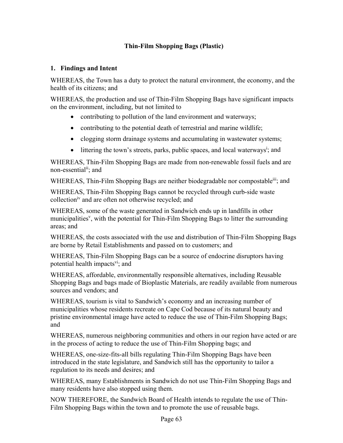# **Thin-Film Shopping Bags (Plastic)**

# **1. Findings and Intent**

WHEREAS, the Town has a duty to protect the natural environment, the economy, and the health of its citizens; and

WHEREAS, the production and use of Thin-Film Shopping Bags have significant impacts on the environment, including, but not limited to

- contributing to pollution of the land environment and waterways;
- contributing to the potential death of terrestrial and marine wildlife;
- clogging storm drainage systems and accumulating in wastewater systems;
- $\bullet$  littering the town's streets, parks, public spaces, and local waterways<sup>i</sup>; and

WHEREAS, Thin-Film Shopping Bags are made from non-renewable fossil fuels and are non-essential<sup>ii</sup>; and

WHEREAS, Thin-Film Shopping Bags are neither biodegradable nor compostable<sup>iii</sup>; and

WHEREAS, Thin-Film Shopping Bags cannot be recycled through curb-side waste collectioniv and are often not otherwise recycled; and

WHEREAS, some of the waste generated in Sandwich ends up in landfills in other municipalities<sup>v</sup>, with the potential for Thin-Film Shopping Bags to litter the surrounding areas; and

WHEREAS, the costs associated with the use and distribution of Thin-Film Shopping Bags are borne by Retail Establishments and passed on to customers; and

WHEREAS, Thin-Film Shopping Bags can be a source of endocrine disruptors having potential health impacts<sup>vi</sup>; and

WHEREAS, affordable, environmentally responsible alternatives, including Reusable Shopping Bags and bags made of Bioplastic Materials, are readily available from numerous sources and vendors; and

WHEREAS, tourism is vital to Sandwich's economy and an increasing number of municipalities whose residents recreate on Cape Cod because of its natural beauty and pristine environmental image have acted to reduce the use of Thin-Film Shopping Bags; and

WHEREAS, numerous neighboring communities and others in our region have acted or are in the process of acting to reduce the use of Thin-Film Shopping bags; and

WHEREAS, one-size-fits-all bills regulating Thin-Film Shopping Bags have been introduced in the state legislature, and Sandwich still has the opportunity to tailor a regulation to its needs and desires; and

WHEREAS, many Establishments in Sandwich do not use Thin-Film Shopping Bags and many residents have also stopped using them.

NOW THEREFORE, the Sandwich Board of Health intends to regulate the use of Thin-Film Shopping Bags within the town and to promote the use of reusable bags.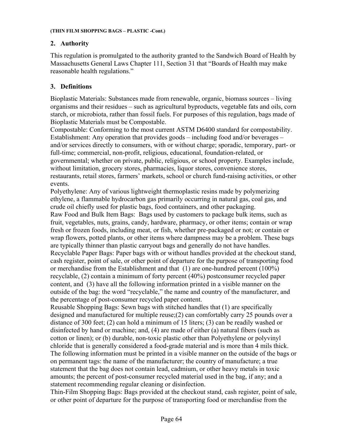# **2. Authority**

This regulation is promulgated to the authority granted to the Sandwich Board of Health by Massachusetts General Laws Chapter 111, Section 31 that "Boards of Health may make reasonable health regulations."

# **3. Definitions**

Bioplastic Materials: Substances made from renewable, organic, biomass sources – living organisms and their residues – such as agricultural byproducts, vegetable fats and oils, corn starch, or microbiota, rather than fossil fuels. For purposes of this regulation, bags made of Bioplastic Materials must be Compostable.

Compostable: Conforming to the most current ASTM D6400 standard for compostability. Establishment: Any operation that provides goods – including food and/or beverages – and/or services directly to consumers, with or without charge; sporadic, temporary, part- or full-time; commercial, non-profit, religious, educational, foundation-related, or governmental; whether on private, public, religious, or school property. Examples include, without limitation, grocery stores, pharmacies, liquor stores, convenience stores, restaurants, retail stores, farmers' markets, school or church fund-raising activities, or other events.

Polyethylene: Any of various lightweight thermoplastic resins made by polymerizing ethylene, a flammable hydrocarbon gas primarily occurring in natural gas, coal gas, and crude oil chiefly used for plastic bags, food containers, and other packaging.

Raw Food and Bulk Item Bags: Bags used by customers to package bulk items, such as fruit, vegetables, nuts, grains, candy, hardware, pharmacy, or other items; contain or wrap fresh or frozen foods, including meat, or fish, whether pre-packaged or not; or contain or wrap flowers, potted plants, or other items where dampness may be a problem. These bags are typically thinner than plastic carryout bags and generally do not have handles. Recyclable Paper Bags: Paper bags with or without handles provided at the checkout stand, cash register, point of sale, or other point of departure for the purpose of transporting food or merchandise from the Establishment and that (1) are one-hundred percent (100%) recyclable, (2) contain a minimum of forty percent (40%) postconsumer recycled paper content, and (3) have all the following information printed in a visible manner on the outside of the bag: the word "recyclable," the name and country of the manufacturer, and the percentage of post-consumer recycled paper content.

Reusable Shopping Bags: Sewn bags with stitched handles that (1) are specifically designed and manufactured for multiple reuse;(2) can comfortably carry 25 pounds over a distance of 300 feet; (2) can hold a minimum of 15 liters; (3) can be readily washed or disinfected by hand or machine; and, (4) are made of either (a) natural fibers (such as cotton or linen); or (b) durable, non-toxic plastic other than Polyethylene or polyvinyl chloride that is generally considered a food-grade material and is more than 4 mils thick. The following information must be printed in a visible manner on the outside of the bags or on permanent tags: the name of the manufacturer; the country of manufacture; a true statement that the bag does not contain lead, cadmium, or other heavy metals in toxic amounts; the percent of post-consumer recycled material used in the bag, if any; and a statement recommending regular cleaning or disinfection.

Thin-Film Shopping Bags: Bags provided at the checkout stand, cash register, point of sale, or other point of departure for the purpose of transporting food or merchandise from the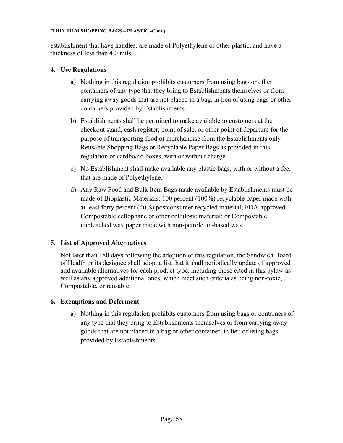## **(THIN FILM SHOPPING BAGS – PLASTIC -Cont.)**

establishment that have handles, are made of Polyethylene or other plastic, and have a thickness of less than 4.0 mils.

# **4. Use Regulations**

- a) Nothing in this regulation prohibits customers from using bags or other containers of any type that they bring to Establishments themselves or from carrying away goods that are not placed in a bag, in lieu of using bags or other containers provided by Establishments.
- b) Establishments shall be permitted to make available to customers at the checkout stand, cash register, point of sale, or other point of departure for the purpose of transporting food or merchandise from the Establishments only Reusable Shopping Bags or Recyclable Paper Bags as provided in this regulation or cardboard boxes, with or without charge.
- c) No Establishment shall make available any plastic bags, with or without a fee, that are made of Polyethylene.
- d) Any Raw Food and Bulk Item Bags made available by Establishments must be made of Bioplastic Materials; 100 percent (100%) recyclable paper made with at least forty percent (40%) postconsumer recycled material; FDA-approved Compostable cellophane or other cellulosic material; or Compostable unbleached wax paper made with non-petroleum-based wax.

# **5. List of Approved Alternatives**

Not later than 180 days following the adoption of this regulation, the Sandwich Board of Health or its designee shall adopt a list that it shall periodically update of approved and available alternatives for each product type, including those cited in this bylaw as well as any approved additional ones, which meet such criteria as being non-toxic, Compostable, or reusable.

# **6. Exemptions and Deferment**

a) Nothing in this regulation prohibits customers from using bags or containers of any type that they bring to Establishments themselves or from carrying away goods that are not placed in a bag or other container, in lieu of using bags provided by Establishments.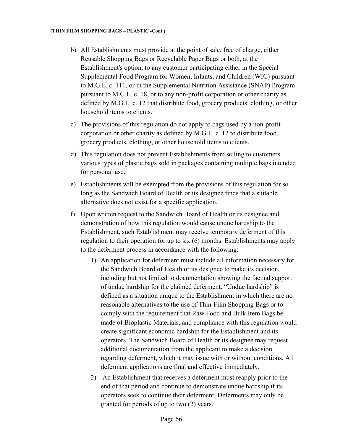- b) All Establishments must provide at the point of sale, free of charge, either Reusable Shopping Bags or Recyclable Paper Bags or both, at the Establishment's option, to any customer participating either in the Special Supplemental Food Program for Women, Infants, and Children (WIC) pursuant to M.G.L. c. 111, or in the Supplemental Nutrition Assistance (SNAP) Program pursuant to M.G.L. c. 18, or to any non-profit corporation or other charity as defined by M.G.L. c. 12 that distribute food, grocery products, clothing, or other household items to clients.
- c) The provisions of this regulation do not apply to bags used by a non-profit corporation or other charity as defined by M.G.L. c. 12 to distribute food, grocery products, clothing, or other household items to clients.
- d) This regulation does not prevent Establishments from selling to customers various types of plastic bags sold in packages containing multiple bags intended for personal use.
- e) Establishments will be exempted from the provisions of this regulation for so long as the Sandwich Board of Health or its designee finds that a suitable alternative does not exist for a specific application.
- f) Upon written request to the Sandwich Board of Health or its designee and demonstration of how this regulation would cause undue hardship to the Establishment, such Establishment may receive temporary deferment of this regulation to their operation for up to six (6) months. Establishments may apply to the deferment process in accordance with the following:
	- 1) An application for deferment must include all information necessary for the Sandwich Board of Health or its designee to make its decision, including but not limited to documentation showing the factual support of undue hardship for the claimed deferment. "Undue hardship" is defined as a situation unique to the Establishment in which there are no reasonable alternatives to the use of Thin-Film Shopping Bags or to comply with the requirement that Raw Food and Bulk Item Bags be made of Bioplastic Materials, and compliance with this regulation would create significant economic hardship for the Establishment and its operators. The Sandwich Board of Health or its designee may request additional documentation from the applicant to make a decision regarding deferment, which it may issue with or without conditions. All deferment applications are final and effective immediately.
	- 2) An Establishment that receives a deferment must reapply prior to the end of that period and continue to demonstrate undue hardship if its operators seek to continue their deferment. Deferments may only be granted for periods of up to two (2) years.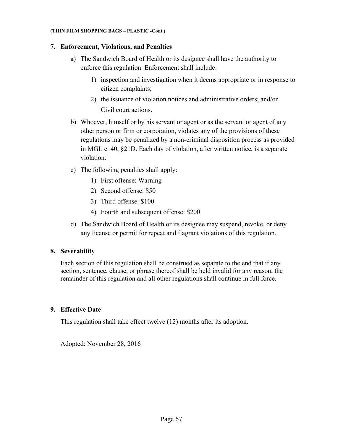### **(THIN FILM SHOPPING BAGS – PLASTIC -Cont.)**

# **7. Enforcement, Violations, and Penalties**

- a) The Sandwich Board of Health or its designee shall have the authority to enforce this regulation. Enforcement shall include:
	- 1) inspection and investigation when it deems appropriate or in response to citizen complaints;
	- 2) the issuance of violation notices and administrative orders; and/or Civil court actions.
- b) Whoever, himself or by his servant or agent or as the servant or agent of any other person or firm or corporation, violates any of the provisions of these regulations may be penalized by a non-criminal disposition process as provided in MGL c. 40, §21D. Each day of violation, after written notice, is a separate violation.
- c) The following penalties shall apply:
	- 1) First offense: Warning
	- 2) Second offense: \$50
	- 3) Third offense: \$100
	- 4) Fourth and subsequent offense: \$200
- d) The Sandwich Board of Health or its designee may suspend, revoke, or deny any license or permit for repeat and flagrant violations of this regulation.

# **8. Severability**

Each section of this regulation shall be construed as separate to the end that if any section, sentence, clause, or phrase thereof shall be held invalid for any reason, the remainder of this regulation and all other regulations shall continue in full force.

# **9. Effective Date**

This regulation shall take effect twelve (12) months after its adoption.

Adopted: November 28, 2016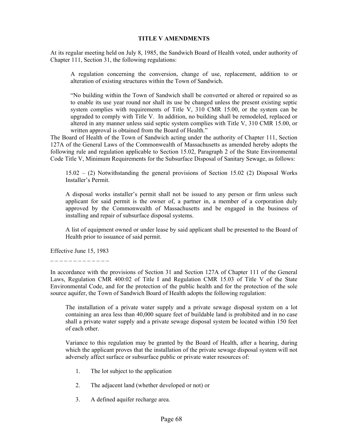## **TITLE V AMENDMENTS**

At its regular meeting held on July 8, 1985, the Sandwich Board of Health voted, under authority of Chapter 111, Section 31, the following regulations:

A regulation concerning the conversion, change of use, replacement, addition to or alteration of existing structures within the Town of Sandwich.

"No building within the Town of Sandwich shall be converted or altered or repaired so as to enable its use year round nor shall its use be changed unless the present existing septic system complies with requirements of Title V, 310 CMR 15.00, or the system can be upgraded to comply with Title V. In addition, no building shall be remodeled, replaced or altered in any manner unless said septic system complies with Title V, 310 CMR 15.00, or written approval is obtained from the Board of Health."

The Board of Health of the Town of Sandwich acting under the authority of Chapter 111, Section 127A of the General Laws of the Commonwealth of Massachusetts as amended hereby adopts the following rule and regulation applicable to Section 15.02, Paragraph 2 of the State Environmental Code Title V, Minimum Requirements for the Subsurface Disposal of Sanitary Sewage, as follows:

15.02 – (2) Notwithstanding the general provisions of Section 15.02 (2) Disposal Works Installer's Permit.

A disposal works installer's permit shall not be issued to any person or firm unless such applicant for said permit is the owner of, a partner in, a member of a corporation duly approved by the Commonwealth of Massachusetts and be engaged in the business of installing and repair of subsurface disposal systems.

A list of equipment owned or under lease by said applicant shall be presented to the Board of Health prior to issuance of said permit.

Effective June 15, 1983

\_ \_ \_ \_ \_ \_ \_ \_ \_ \_ \_ \_ \_

In accordance with the provisions of Section 31 and Section 127A of Chapter 111 of the General Laws, Regulation CMR 400:02 of Title I and Regulation CMR 15.03 of Title V of the State Environmental Code, and for the protection of the public health and for the protection of the sole source aquifer, the Town of Sandwich Board of Health adopts the following regulation:

The installation of a private water supply and a private sewage disposal system on a lot containing an area less than 40,000 square feet of buildable land is prohibited and in no case shall a private water supply and a private sewage disposal system be located within 150 feet of each other.

Variance to this regulation may be granted by the Board of Health, after a hearing, during which the applicant proves that the installation of the private sewage disposal system will not adversely affect surface or subsurface public or private water resources of:

- 1. The lot subject to the application
- 2. The adjacent land (whether developed or not) or
- 3. A defined aquifer recharge area.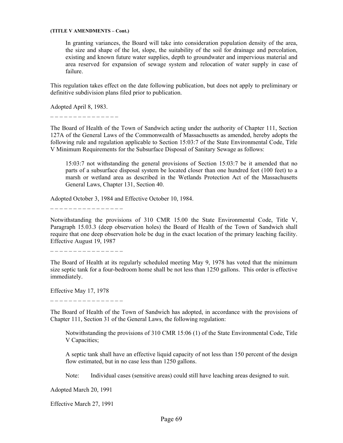#### **(TITLE V AMENDMENTS – Cont.)**

In granting variances, the Board will take into consideration population density of the area, the size and shape of the lot, slope, the suitability of the soil for drainage and percolation, existing and known future water supplies, depth to groundwater and impervious material and area reserved for expansion of sewage system and relocation of water supply in case of failure.

This regulation takes effect on the date following publication, but does not apply to preliminary or definitive subdivision plans filed prior to publication.

Adopted April 8, 1983.

\_ \_ \_ \_ \_ \_ \_ \_ \_ \_ \_ \_ \_ \_ \_

The Board of Health of the Town of Sandwich acting under the authority of Chapter 111, Section 127A of the General Laws of the Commonwealth of Massachusetts as amended, hereby adopts the following rule and regulation applicable to Section 15:03:7 of the State Environmental Code, Title V Minimum Requirements for the Subsurface Disposal of Sanitary Sewage as follows:

15:03:7 not withstanding the general provisions of Section 15:03:7 be it amended that no parts of a subsurface disposal system be located closer than one hundred feet (100 feet) to a marsh or wetland area as described in the Wetlands Protection Act of the Massachusetts General Laws, Chapter 131, Section 40.

Adopted October 3, 1984 and Effective October 10, 1984.

\_ \_ \_ \_ \_ \_ \_ \_ \_ \_ \_ \_ \_ \_ \_ \_

Notwithstanding the provisions of 310 CMR 15.00 the State Environmental Code, Title V, Paragraph 15.03.3 (deep observation holes) the Board of Health of the Town of Sandwich shall require that one deep observation hole be dug in the exact location of the primary leaching facility. Effective August 19, 1987

\_ \_ \_ \_ \_ \_ \_ \_ \_ \_ \_ \_ \_ \_ \_ \_

The Board of Health at its regularly scheduled meeting May 9, 1978 has voted that the minimum size septic tank for a four-bedroom home shall be not less than 1250 gallons. This order is effective immediately.

Effective May 17, 1978

\_ \_ \_ \_ \_ \_ \_ \_ \_ \_ \_ \_ \_ \_ \_ \_

The Board of Health of the Town of Sandwich has adopted, in accordance with the provisions of Chapter 111, Section 31 of the General Laws, the following regulation:

Notwithstanding the provisions of 310 CMR 15:06 (1) of the State Environmental Code, Title V Capacities;

A septic tank shall have an effective liquid capacity of not less than 150 percent of the design flow estimated, but in no case less than 1250 gallons.

Note: Individual cases (sensitive areas) could still have leaching areas designed to suit.

Adopted March 20, 1991

Effective March 27, 1991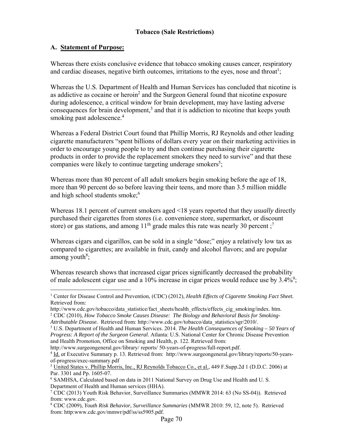# **A. Statement of Purpose:**

1

Whereas there exists conclusive evidence that tobacco smoking causes cancer, respiratory and cardiac diseases, negative birth outcomes, irritations to the eyes, nose and throat<sup>1</sup>;

Whereas the U.S. Department of Health and Human Services has concluded that nicotine is as addictive as cocaine or heroin<sup>2</sup> and the Surgeon General found that nicotine exposure during adolescence, a critical window for brain development, may have lasting adverse consequences for brain development, $3$  and that it is addiction to nicotine that keeps youth smoking past adolescence.<sup>4</sup>

Whereas a Federal District Court found that Phillip Morris, RJ Reynolds and other leading cigarette manufacturers "spent billions of dollars every year on their marketing activities in order to encourage young people to try and then continue purchasing their cigarette products in order to provide the replacement smokers they need to survive" and that these companies were likely to continue targeting underage smokers<sup>5</sup>;

Whereas more than 80 percent of all adult smokers begin smoking before the age of 18, more than 90 percent do so before leaving their teens, and more than 3.5 million middle and high school students smoke;<sup>6</sup>

Whereas 18.1 percent of current smokers aged <18 years reported that they *usually* directly purchased their cigarettes from stores (i.e. convenience store, supermarket, or discount store) or gas stations, and among  $11<sup>th</sup>$  grade males this rate was nearly 30 percent;<sup>7</sup>

Whereas cigars and cigarillos, can be sold in a single "dose;" enjoy a relatively low tax as compared to cigarettes; are available in fruit, candy and alcohol flavors; and are popular among youth $8$ ;

Whereas research shows that increased cigar prices significantly decreased the probability of male adolescent cigar use and a 10% increase in cigar prices would reduce use by  $3.4\%$ <sup>9</sup>;

8 CDC (2009), *Youth Risk Behavior, Surveillance Summaries* (MMWR 2010: 59, 12, note 5). Retrieved from: http:www.cdc.gov/mmwr/pdf/ss/ss5905.pdf.

<sup>&</sup>lt;sup>1</sup> Center for Disease Control and Prevention, (CDC) (2012), *Health Effects of Cigarette Smoking Fact Sheet.* Retrieved from*:* 

http://www.cdc.gov/tobacco/data\_statistice/fact\_sheets/health\_effects/effects\_cig\_smoking/index. htm. <sup>2</sup> CDC (2010), *How Tobacco Smoke Causes Disease: The Biology and Behavioral Basis for Smoking-Attributable Disease.* Retrieved from: http://www.cdc.gov/tobacco/data\_statistics/sgr/2010/.

<sup>3</sup> U.S. Department of Health and Human Services. 2014. *The Health Consequences of Smoking – 50 Years of Progress: A Report of the Surgeon General*. Atlanta: U.S. National Center for Chronic Disease Prevention and Health Promotion, Office on Smoking and Health, p. 122. Retrieved from:

http://www.surgeongeneral.gov/library/ reports/ 50-years-of-progress/full-report.pdf. 4

Id. *at* Executive Summary p. 13. Retrieved from: http://www.surgeongeneral.gov/library/reports/50-yearsof-progress/exec-summary.pdf

<sup>&</sup>lt;sup>5</sup> United States v. Phillip Morris, Inc., RJ Reynolds Tobacco Co., et al., 449 F.Supp.2d 1 (D.D.C. 2006) at Par. 3301 and Pp. 1605-07.

<sup>&</sup>lt;sup>6</sup> SAMHSA, Calculated based on data in 2011 National Survey on Drug Use and Health and U.S. Department of Health and Human services (HHA).

<sup>7</sup> CDC (2013) Youth Risk Behavior, Surveillance Summaries (MMWR 2014: 63 (No SS-04)). Retrieved from: www.cdc.gov.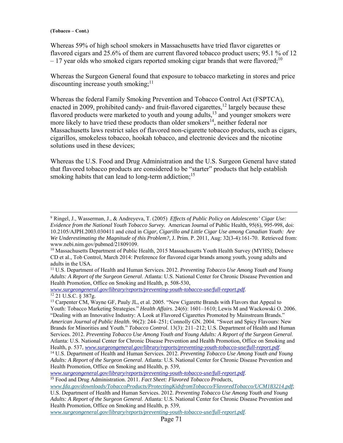Whereas 59% of high school smokers in Massachusetts have tried flavor cigarettes or flavored cigars and 25.6% of them are current flavored tobacco product users; 95.1 % of 12  $-17$  year olds who smoked cigars reported smoking cigar brands that were flavored;<sup>10</sup>

Whereas the Surgeon General found that exposure to tobacco marketing in stores and price discounting increase youth smoking;  $11$ 

Whereas the federal Family Smoking Prevention and Tobacco Control Act (FSPTCA), enacted in 2009, prohibited candy- and fruit-flavored cigarettes,<sup>12</sup> largely because these flavored products were marketed to youth and young adults,<sup>13</sup> and younger smokers were more likely to have tried these products than older smokers<sup>14</sup>, neither federal nor Massachusetts laws restrict sales of flavored non-cigarette tobacco products, such as cigars, cigarillos, smokeless tobacco, hookah tobacco, and electronic devices and the nicotine solutions used in these devices;

Whereas the U.S. Food and Drug Administration and the U.S. Surgeon General have stated that flavored tobacco products are considered to be "starter" products that help establish smoking habits that can lead to long-term addiction;<sup>15</sup>

*www.surgeongeneral.gov/library/reports/preventing-youth-tobacco-use/full-report.pdf*. 12 21 U.S.C. § 387g.

*www.surgeongeneral.gov/library/reports/preventing-youth-tobacco-use/full-report.pdf*.

*www.surgeongeneral.gov/library/reports/preventing-youth-tobacco-use/full-report.pdf*.

<sup>-&</sup>lt;br>9 Ringel, J., Wasserman, J., & Andreyeva, T. (2005) *Effects of Public Policy on Adolescents' Cigar Use: Evidence from the National Youth Tobacco Survey.* American Journal of Public Health, 95(6), 995-998, doi: 10.2105/AJPH.2003.030411 and cited in *Cigar, Cigarillo and Little Cigar Use among Canadian Youth: Are We Underestimating the Magnitude of this Problem?,* J. Prim. P. 2011, Aug: 32(3-4):161-70. Retrieved from: www.nebi.nim.gov/pubmed/21809109.

 $10$  Massachusetts Department of Public Health, 2015 Massachusetts Youth Health Survey (MYHS); Delneve CD et al., Tob Control, March 2014: Preference for flavored cigar brands among youth, young adults and adults in the USA.

<sup>11</sup> U.S. Department of Health and Human Services. 2012. *Preventing Tobacco Use Among Youth and Young Adults: A Report of the Surgeon General*. Atlanta: U.S. National Center for Chronic Disease Prevention and Health Promotion, Office on Smoking and Health, p. 508-530,

<sup>&</sup>lt;sup>13</sup> Carpenter CM, Wayne GF, Pauly JL, et al. 2005. "New Cigarette Brands with Flavors that Appeal to Youth: Tobacco Marketing Strategies." *Health Affairs*. 24(6): 1601–1610; Lewis M and Wackowski O. 2006. "Dealing with an Innovative Industry: A Look at Flavored Cigarettes Promoted by Mainstream Brands." *American Journal of Public Health*. 96(2): 244–251; Connolly GN. 2004. "Sweet and Spicy Flavours: New Brands for Minorities and Youth." *Tobacco Control*. 13(3): 211–212; U.S. Department of Health and Human Services. 2012. *Preventing Tobacco Use Among Youth and Young Adults: A Report of the Surgeon General*.

Atlanta: U.S. National Center for Chronic Disease Prevention and Health Promotion, Office on Smoking and

Health, p. 537, *www.surgeongeneral.gov/library/reports/preventing-youth-tobacco-use/full-report.pdf*. 14 U.S. Department of Health and Human Services. 2012. *Preventing Tobacco Use Among Youth and Young Adults: A Report of the Surgeon General*. Atlanta: U.S. National Center for Chronic Disease Prevention and Health Promotion, Office on Smoking and Health, p. 539,

<sup>15</sup> Food and Drug Administration. 2011. *Fact Sheet: Flavored Tobacco Products*,

*www.fda.gov/downloads/TobaccoProducts/ProtectingKidsfromTobacco/FlavoredTobacco/UCM183214.pdf*; U.S. Department of Health and Human Services. 2012. *Preventing Tobacco Use Among Youth and Young* 

*Adults: A Report of the Surgeon General*. Atlanta: U.S. National Center for Chronic Disease Prevention and Health Promotion, Office on Smoking and Health, p. 539,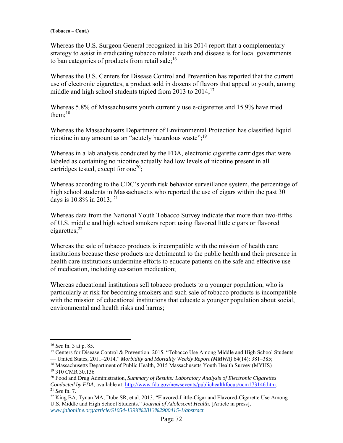Whereas the U.S. Surgeon General recognized in his 2014 report that a complementary strategy to assist in eradicating tobacco related death and disease is for local governments to ban categories of products from retail sale;  $16$ 

Whereas the U.S. Centers for Disease Control and Prevention has reported that the current use of electronic cigarettes, a product sold in dozens of flavors that appeal to youth, among middle and high school students tripled from 2013 to  $2014$ ;<sup>17</sup>

Whereas 5.8% of Massachusetts youth currently use e-cigarettes and 15.9% have tried them: $18$ 

Whereas the Massachusetts Department of Environmental Protection has classified liquid nicotine in any amount as an "acutely hazardous waste"; $^{19}$ 

Whereas in a lab analysis conducted by the FDA, electronic cigarette cartridges that were labeled as containing no nicotine actually had low levels of nicotine present in all cartridges tested, except for one<sup>20</sup>;

Whereas according to the CDC's youth risk behavior surveillance system, the percentage of high school students in Massachusetts who reported the use of cigars within the past 30 days is  $10.8\%$  in 2013; <sup>21</sup>

Whereas data from the National Youth Tobacco Survey indicate that more than two-fifths of U.S. middle and high school smokers report using flavored little cigars or flavored cigarettes; $^{22}$ 

Whereas the sale of tobacco products is incompatible with the mission of health care institutions because these products are detrimental to the public health and their presence in health care institutions undermine efforts to educate patients on the safe and effective use of medication, including cessation medication;

Whereas educational institutions sell tobacco products to a younger population, who is particularly at risk for becoming smokers and such sale of tobacco products is incompatible with the mission of educational institutions that educate a younger population about social, environmental and health risks and harms;

 $\overline{a}$ 

<sup>16</sup> *See* fn. 3 at p. 85.

<sup>&</sup>lt;sup>17</sup> Centers for Disease Control & Prevention. 2015. "Tobacco Use Among Middle and High School Students — United States, 2011–2014," *Morbidity and Mortality Weekly Report (MMWR)* 64(14): 381–385;

<sup>&</sup>lt;sup>18</sup> Massachusetts Department of Public Health, 2015 Massachusetts Youth Health Survey (MYHS) 19 310 CMR 30.136

<sup>&</sup>lt;sup>20</sup> Food and Drug Administration, *Summary of Results: Laboratory Analysis of Electronic Cigarettes Conducted by FDA*, available at: http://www.fda.gov/newsevents/publichealthfocus/ucm173146.htm.

<sup>&</sup>lt;sup>21</sup> *See* fn. 7. <br><sup>22</sup> King BA, Tynan MA, Dube SR, et al. 2013. "Flavored-Little-Cigar and Flavored-Cigarette Use Among U.S. Middle and High School Students." *Journal of Adolescent Health*. [Article in press], *www.jahonline.org/article/S1054-139X%2813%2900415-1/abstract.*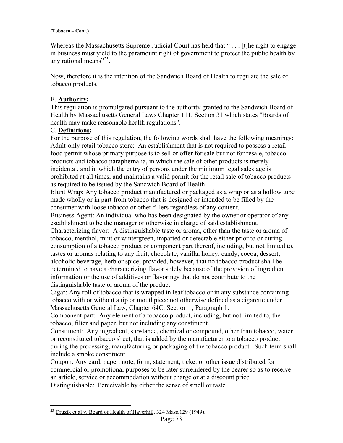Whereas the Massachusetts Supreme Judicial Court has held that "... [t]he right to engage in business must yield to the paramount right of government to protect the public health by any rational means"<sup>23</sup>.

Now, therefore it is the intention of the Sandwich Board of Health to regulate the sale of tobacco products.

# B. **Authority:**

This regulation is promulgated pursuant to the authority granted to the Sandwich Board of Health by Massachusetts General Laws Chapter 111, Section 31 which states "Boards of health may make reasonable health regulations".

# C. **Definitions:**

For the purpose of this regulation, the following words shall have the following meanings: Adult-only retail tobacco store: An establishment that is not required to possess a retail food permit whose primary purpose is to sell or offer for sale but not for resale, tobacco products and tobacco paraphernalia, in which the sale of other products is merely incidental, and in which the entry of persons under the minimum legal sales age is prohibited at all times, and maintains a valid permit for the retail sale of tobacco products as required to be issued by the Sandwich Board of Health.

Blunt Wrap: Any tobacco product manufactured or packaged as a wrap or as a hollow tube made wholly or in part from tobacco that is designed or intended to be filled by the consumer with loose tobacco or other fillers regardless of any content.

Business Agent: An individual who has been designated by the owner or operator of any establishment to be the manager or otherwise in charge of said establishment.

Characterizing flavor: A distinguishable taste or aroma, other than the taste or aroma of tobacco, menthol, mint or wintergreen, imparted or detectable either prior to or during consumption of a tobacco product or component part thereof, including, but not limited to, tastes or aromas relating to any fruit, chocolate, vanilla, honey, candy, cocoa, dessert, alcoholic beverage, herb or spice; provided, however, that no tobacco product shall be determined to have a characterizing flavor solely because of the provision of ingredient information or the use of additives or flavorings that do not contribute to the distinguishable taste or aroma of the product.

Cigar: Any roll of tobacco that is wrapped in leaf tobacco or in any substance containing tobacco with or without a tip or mouthpiece not otherwise defined as a cigarette under Massachusetts General Law, Chapter 64C, Section 1, Paragraph 1.

Component part: Any element of a tobacco product, including, but not limited to, the tobacco, filter and paper, but not including any constituent.

Constituent: Any ingredient, substance, chemical or compound, other than tobacco, water or reconstituted tobacco sheet, that is added by the manufacturer to a tobacco product during the processing, manufacturing or packaging of the tobacco product. Such term shall include a smoke constituent.

Coupon: Any card, paper, note, form, statement, ticket or other issue distributed for commercial or promotional purposes to be later surrendered by the bearer so as to receive an article, service or accommodation without charge or at a discount price. Distinguishable: Perceivable by either the sense of smell or taste.

 $\overline{a}$ <sup>23</sup> Druzik et al v. Board of Health of Haverhill, 324 Mass.129 (1949).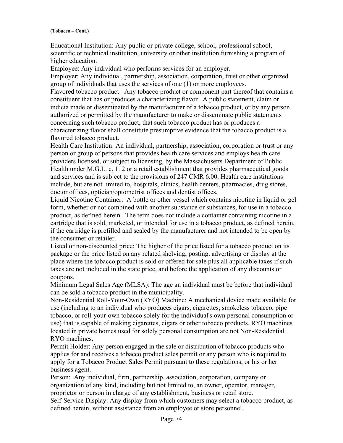Educational Institution: Any public or private college, school, professional school, scientific or technical institution, university or other institution furnishing a program of higher education.

Employee: Any individual who performs services for an employer.

Employer: Any individual, partnership, association, corporation, trust or other organized group of individuals that uses the services of one (1) or more employees.

Flavored tobacco product: Any tobacco product or component part thereof that contains a constituent that has or produces a characterizing flavor. A public statement, claim or indicia made or disseminated by the manufacturer of a tobacco product, or by any person authorized or permitted by the manufacturer to make or disseminate public statements concerning such tobacco product, that such tobacco product has or produces a characterizing flavor shall constitute presumptive evidence that the tobacco product is a flavored tobacco product.

Health Care Institution: An individual, partnership, association, corporation or trust or any person or group of persons that provides health care services and employs health care providers licensed, or subject to licensing, by the Massachusetts Department of Public Health under M.G.L. c. 112 or a retail establishment that provides pharmaceutical goods and services and is subject to the provisions of 247 CMR 6.00. Health care institutions include, but are not limited to, hospitals, clinics, health centers, pharmacies, drug stores, doctor offices, optician/optometrist offices and dentist offices.

Liquid Nicotine Container: A bottle or other vessel which contains nicotine in liquid or gel form, whether or not combined with another substance or substances, for use in a tobacco product, as defined herein. The term does not include a container containing nicotine in a cartridge that is sold, marketed, or intended for use in a tobacco product, as defined herein, if the cartridge is prefilled and sealed by the manufacturer and not intended to be open by the consumer or retailer.

Listed or non-discounted price: The higher of the price listed for a tobacco product on its package or the price listed on any related shelving, posting, advertising or display at the place where the tobacco product is sold or offered for sale plus all applicable taxes if such taxes are not included in the state price, and before the application of any discounts or coupons.

Minimum Legal Sales Age (MLSA): The age an individual must be before that individual can be sold a tobacco product in the municipality.

Non-Residential Roll-Your-Own (RYO) Machine: A mechanical device made available for use (including to an individual who produces cigars, cigarettes, smokeless tobacco, pipe tobacco, or roll-your-own tobacco solely for the individual's own personal consumption or use) that is capable of making cigarettes, cigars or other tobacco products. RYO machines located in private homes used for solely personal consumption are not Non-Residential RYO machines.

Permit Holder: Any person engaged in the sale or distribution of tobacco products who applies for and receives a tobacco product sales permit or any person who is required to apply for a Tobacco Product Sales Permit pursuant to these regulations, or his or her business agent.

Person: Any individual, firm, partnership, association, corporation, company or organization of any kind, including but not limited to, an owner, operator, manager, proprietor or person in charge of any establishment, business or retail store.

Self-Service Display: Any display from which customers may select a tobacco product, as defined herein, without assistance from an employee or store personnel.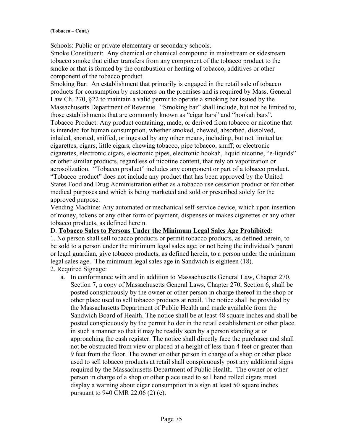Schools: Public or private elementary or secondary schools.

Smoke Constituent: Any chemical or chemical compound in mainstream or sidestream tobacco smoke that either transfers from any component of the tobacco product to the smoke or that is formed by the combustion or heating of tobacco, additives or other component of the tobacco product.

Smoking Bar: An establishment that primarily is engaged in the retail sale of tobacco products for consumption by customers on the premises and is required by Mass. General Law Ch. 270, §22 to maintain a valid permit to operate a smoking bar issued by the Massachusetts Department of Revenue. "Smoking bar" shall include, but not be limited to, those establishments that are commonly known as "cigar bars" and "hookah bars". Tobacco Product: Any product containing, made, or derived from tobacco or nicotine that is intended for human consumption, whether smoked, chewed, absorbed, dissolved, inhaled, snorted, sniffed, or ingested by any other means, including, but not limited to: cigarettes, cigars, little cigars, chewing tobacco, pipe tobacco, snuff; or electronic cigarettes, electronic cigars, electronic pipes, electronic hookah, liquid nicotine, "e-liquids" or other similar products, regardless of nicotine content, that rely on vaporization or aerosolization. "Tobacco product" includes any component or part of a tobacco product. "Tobacco product" does not include any product that has been approved by the United States Food and Drug Administration either as a tobacco use cessation product or for other medical purposes and which is being marketed and sold or prescribed solely for the approved purpose.

Vending Machine: Any automated or mechanical self-service device, which upon insertion of money, tokens or any other form of payment, dispenses or makes cigarettes or any other tobacco products, as defined herein.

# D. **Tobacco Sales to Persons Under the Minimum Legal Sales Age Prohibited:**

1. No person shall sell tobacco products or permit tobacco products, as defined herein, to be sold to a person under the minimum legal sales age; or not being the individual's parent or legal guardian, give tobacco products, as defined herein, to a person under the minimum legal sales age. The minimum legal sales age in Sandwich is eighteen (18). 2. Required Signage:

a. In conformance with and in addition to Massachusetts General Law, Chapter 270, Section 7, a copy of Massachusetts General Laws, Chapter 270, Section 6, shall be posted conspicuously by the owner or other person in charge thereof in the shop or other place used to sell tobacco products at retail. The notice shall be provided by the Massachusetts Department of Public Health and made available from the Sandwich Board of Health. The notice shall be at least 48 square inches and shall be posted conspicuously by the permit holder in the retail establishment or other place in such a manner so that it may be readily seen by a person standing at or approaching the cash register. The notice shall directly face the purchaser and shall not be obstructed from view or placed at a height of less than 4 feet or greater than 9 feet from the floor. The owner or other person in charge of a shop or other place used to sell tobacco products at retail shall conspicuously post any additional signs required by the Massachusetts Department of Public Health. The owner or other person in charge of a shop or other place used to sell hand rolled cigars must display a warning about cigar consumption in a sign at least 50 square inches pursuant to 940 CMR 22.06 (2) (e).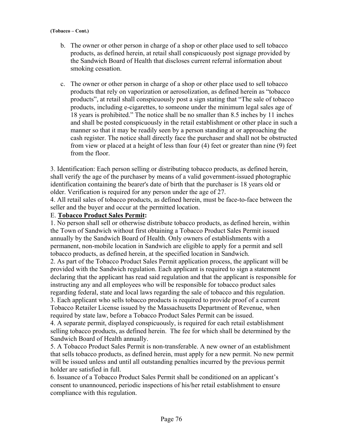- b. The owner or other person in charge of a shop or other place used to sell tobacco products, as defined herein, at retail shall conspicuously post signage provided by the Sandwich Board of Health that discloses current referral information about smoking cessation.
- c. The owner or other person in charge of a shop or other place used to sell tobacco products that rely on vaporization or aerosolization, as defined herein as "tobacco products", at retail shall conspicuously post a sign stating that "The sale of tobacco products, including e-cigarettes, to someone under the minimum legal sales age of 18 years is prohibited." The notice shall be no smaller than 8.5 inches by 11 inches and shall be posted conspicuously in the retail establishment or other place in such a manner so that it may be readily seen by a person standing at or approaching the cash register. The notice shall directly face the purchaser and shall not be obstructed from view or placed at a height of less than four (4) feet or greater than nine (9) feet from the floor.

3. Identification: Each person selling or distributing tobacco products, as defined herein, shall verify the age of the purchaser by means of a valid government-issued photographic identification containing the bearer's date of birth that the purchaser is 18 years old or older. Verification is required for any person under the age of 27.

4. All retail sales of tobacco products, as defined herein, must be face-to-face between the seller and the buyer and occur at the permitted location.

# E. **Tobacco Product Sales Permit:**

1. No person shall sell or otherwise distribute tobacco products, as defined herein, within the Town of Sandwich without first obtaining a Tobacco Product Sales Permit issued annually by the Sandwich Board of Health. Only owners of establishments with a permanent, non-mobile location in Sandwich are eligible to apply for a permit and sell tobacco products, as defined herein, at the specified location in Sandwich.

2. As part of the Tobacco Product Sales Permit application process, the applicant will be provided with the Sandwich regulation. Each applicant is required to sign a statement declaring that the applicant has read said regulation and that the applicant is responsible for instructing any and all employees who will be responsible for tobacco product sales regarding federal, state and local laws regarding the sale of tobacco and this regulation.

3. Each applicant who sells tobacco products is required to provide proof of a current Tobacco Retailer License issued by the Massachusetts Department of Revenue, when required by state law, before a Tobacco Product Sales Permit can be issued.

4. A separate permit, displayed conspicuously, is required for each retail establishment selling tobacco products, as defined herein. The fee for which shall be determined by the Sandwich Board of Health annually.

5. A Tobacco Product Sales Permit is non-transferable. A new owner of an establishment that sells tobacco products, as defined herein, must apply for a new permit. No new permit will be issued unless and until all outstanding penalties incurred by the previous permit holder are satisfied in full.

6. Issuance of a Tobacco Product Sales Permit shall be conditioned on an applicant's consent to unannounced, periodic inspections of his/her retail establishment to ensure compliance with this regulation.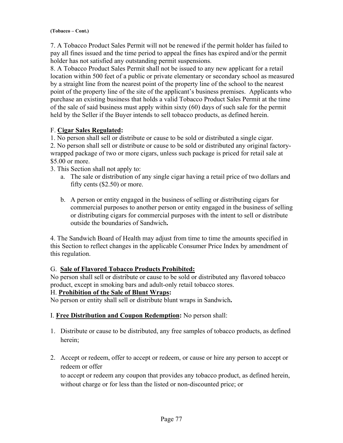7. A Tobacco Product Sales Permit will not be renewed if the permit holder has failed to pay all fines issued and the time period to appeal the fines has expired and/or the permit holder has not satisfied any outstanding permit suspensions.

8. A Tobacco Product Sales Permit shall not be issued to any new applicant for a retail location within 500 feet of a public or private elementary or secondary school as measured by a straight line from the nearest point of the property line of the school to the nearest point of the property line of the site of the applicant's business premises. Applicants who purchase an existing business that holds a valid Tobacco Product Sales Permit at the time of the sale of said business must apply within sixty (60) days of such sale for the permit held by the Seller if the Buyer intends to sell tobacco products, as defined herein.

# F. **Cigar Sales Regulated:**

1. No person shall sell or distribute or cause to be sold or distributed a single cigar.

2. No person shall sell or distribute or cause to be sold or distributed any original factorywrapped package of two or more cigars, unless such package is priced for retail sale at \$5.00 or more.

3. This Section shall not apply to:

- a. The sale or distribution of any single cigar having a retail price of two dollars and fifty cents (\$2.50) or more.
- b. A person or entity engaged in the business of selling or distributing cigars for commercial purposes to another person or entity engaged in the business of selling or distributing cigars for commercial purposes with the intent to sell or distribute outside the boundaries of Sandwich**.**

4. The Sandwich Board of Health may adjust from time to time the amounts specified in this Section to reflect changes in the applicable Consumer Price Index by amendment of this regulation.

# G. **Sale of Flavored Tobacco Products Prohibited:**

No person shall sell or distribute or cause to be sold or distributed any flavored tobacco product, except in smoking bars and adult-only retail tobacco stores.

# H. **Prohibition of the Sale of Blunt Wraps:**

No person or entity shall sell or distribute blunt wraps in Sandwich**.**

# I. **Free Distribution and Coupon Redemption:** No person shall:

- 1. Distribute or cause to be distributed, any free samples of tobacco products, as defined herein;
- 2. Accept or redeem, offer to accept or redeem, or cause or hire any person to accept or redeem or offer

to accept or redeem any coupon that provides any tobacco product, as defined herein, without charge or for less than the listed or non-discounted price; or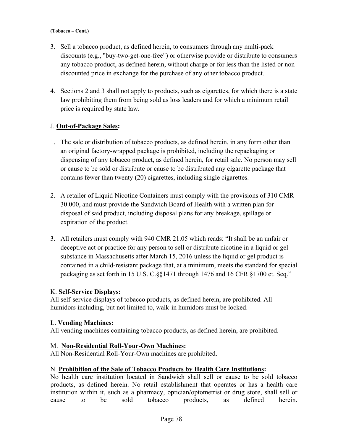- 3. Sell a tobacco product, as defined herein, to consumers through any multi-pack discounts (e.g., "buy-two-get-one-free") or otherwise provide or distribute to consumers any tobacco product, as defined herein, without charge or for less than the listed or nondiscounted price in exchange for the purchase of any other tobacco product.
- 4. Sections 2 and 3 shall not apply to products, such as cigarettes, for which there is a state law prohibiting them from being sold as loss leaders and for which a minimum retail price is required by state law.

# J. **Out-of-Package Sales:**

- 1. The sale or distribution of tobacco products, as defined herein, in any form other than an original factory-wrapped package is prohibited, including the repackaging or dispensing of any tobacco product, as defined herein, for retail sale. No person may sell or cause to be sold or distribute or cause to be distributed any cigarette package that contains fewer than twenty (20) cigarettes, including single cigarettes.
- 2. A retailer of Liquid Nicotine Containers must comply with the provisions of 310 CMR 30.000, and must provide the Sandwich Board of Health with a written plan for disposal of said product, including disposal plans for any breakage, spillage or expiration of the product.
- 3. All retailers must comply with 940 CMR 21.05 which reads: "It shall be an unfair or deceptive act or practice for any person to sell or distribute nicotine in a liquid or gel substance in Massachusetts after March 15, 2016 unless the liquid or gel product is contained in a child-resistant package that, at a minimum, meets the standard for special packaging as set forth in 15 U.S. C.§§1471 through 1476 and 16 CFR §1700 et. Seq."

# K. **Self-Service Displays:**

All self-service displays of tobacco products, as defined herein, are prohibited. All humidors including, but not limited to, walk-in humidors must be locked.

# L. **Vending Machines:**

All vending machines containing tobacco products, as defined herein, are prohibited.

# M. **Non-Residential Roll-Your-Own Machines:**

All Non-Residential Roll-Your-Own machines are prohibited.

# N. **Prohibition of the Sale of Tobacco Products by Health Care Institutions:**

No health care institution located in Sandwich shall sell or cause to be sold tobacco products, as defined herein. No retail establishment that operates or has a health care institution within it, such as a pharmacy, optician/optometrist or drug store, shall sell or cause to be sold tobacco products, as defined herein.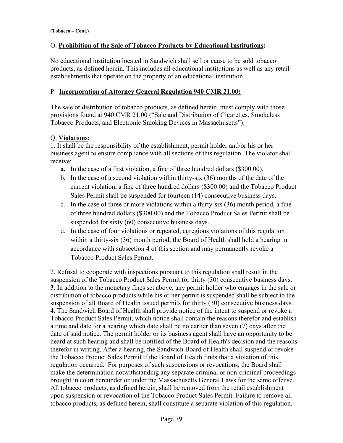# O. **Prohibition of the Sale of Tobacco Products by Educational Institutions:**

No educational institution located in Sandwich shall sell or cause to be sold tobacco products, as defined herein. This includes all educational institutions as well as any retail establishments that operate on the property of an educational institution.

# P. **Incorporation of Attorney General Regulation 940 CMR 21.00:**

The sale or distribution of tobacco products, as defined herein, must comply with those provisions found at 940 CMR 21.00 ("Sale and Distribution of Cigarettes, Smokeless Tobacco Products, and Electronic Smoking Devices in Massachusetts").

# Q. **Violations:**

1. It shall be the responsibility of the establishment, permit holder and/or his or her business agent to ensure compliance with all sections of this regulation. The violator shall receive:

- **a.** In the case of a first violation, a fine of three hundred dollars (\$300.00).
- b. In the case of a second violation within thirty-six (36) months of the date of the current violation, a fine of three hundred dollars (\$300.00) and the Tobacco Product Sales Permit shall be suspended for fourteen (14) consecutive business days.
- c. In the case of three or more violations within a thirty-six (36) month period, a fine of three hundred dollars (\$300.00) and the Tobacco Product Sales Permit shall be suspended for sixty (60) consecutive business days.
- d. In the case of four violations or repeated, egregious violations of this regulation within a thirty-six (36) month period, the Board of Health shall hold a hearing in accordance with subsection 4 of this section and may permanently revoke a Tobacco Product Sales Permit.

2. Refusal to cooperate with inspections pursuant to this regulation shall result in the suspension of the Tobacco Product Sales Permit for thirty (30) consecutive business days. 3. In addition to the monetary fines set above, any permit holder who engages in the sale or distribution of tobacco products while his or her permit is suspended shall be subject to the suspension of all Board of Health issued permits for thirty (30) consecutive business days. 4. The Sandwich Board of Health shall provide notice of the intent to suspend or revoke a Tobacco Product Sales Permit, which notice shall contain the reasons therefor and establish a time and date for a hearing which date shall be no earlier than seven (7) days after the date of said notice. The permit holder or its business agent shall have an opportunity to be heard at such hearing and shall be notified of the Board of Health's decision and the reasons therefor in writing. After a hearing, the Sandwich Board of Health shall suspend or revoke the Tobacco Product Sales Permit if the Board of Health finds that a violation of this regulation occurred. For purposes of such suspensions or revocations, the Board shall make the determination notwithstanding any separate criminal or non-criminal proceedings brought in court hereunder or under the Massachusetts General Laws for the same offense. All tobacco products, as defined herein, shall be removed from the retail establishment upon suspension or revocation of the Tobacco Product Sales Permit. Failure to remove all tobacco products, as defined herein, shall constitute a separate violation of this regulation.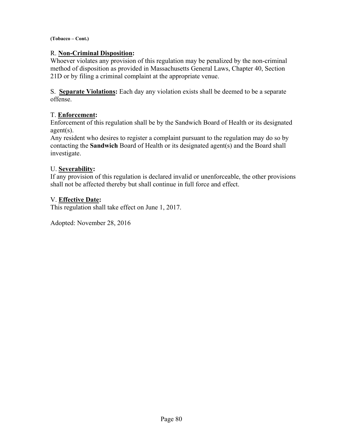# R. **Non-Criminal Disposition:**

Whoever violates any provision of this regulation may be penalized by the non-criminal method of disposition as provided in Massachusetts General Laws, Chapter 40, Section 21D or by filing a criminal complaint at the appropriate venue.

S. **Separate Violations:** Each day any violation exists shall be deemed to be a separate offense.

# T. **Enforcement:**

Enforcement of this regulation shall be by the Sandwich Board of Health or its designated agent(s).

Any resident who desires to register a complaint pursuant to the regulation may do so by contacting the **Sandwich** Board of Health or its designated agent(s) and the Board shall investigate.

# U. **Severability:**

If any provision of this regulation is declared invalid or unenforceable, the other provisions shall not be affected thereby but shall continue in full force and effect.

# V. **Effective Date:**

This regulation shall take effect on June 1, 2017.

Adopted: November 28, 2016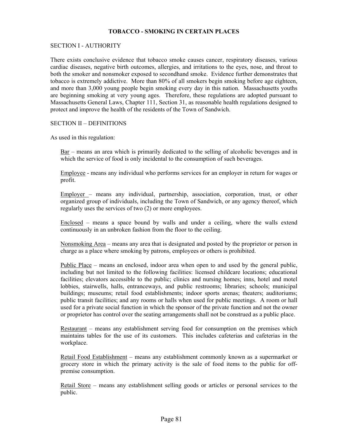# **TOBACCO - SMOKING IN CERTAIN PLACES**

### SECTION I - AUTHORITY

There exists conclusive evidence that tobacco smoke causes cancer, respiratory diseases, various cardiac diseases, negative birth outcomes, allergies, and irritations to the eyes, nose, and throat to both the smoker and nonsmoker exposed to secondhand smoke. Evidence further demonstrates that tobacco is extremely addictive. More than 80% of all smokers begin smoking before age eighteen, and more than 3,000 young people begin smoking every day in this nation. Massachusetts youths are beginning smoking at very young ages. Therefore, these regulations are adopted pursuant to Massachusetts General Laws, Chapter 111, Section 31, as reasonable health regulations designed to protect and improve the health of the residents of the Town of Sandwich.

### SECTION II – DEFINITIONS

As used in this regulation:

Bar – means an area which is primarily dedicated to the selling of alcoholic beverages and in which the service of food is only incidental to the consumption of such beverages.

Employee - means any individual who performs services for an employer in return for wages or profit.

Employer – means any individual, partnership, association, corporation, trust, or other organized group of individuals, including the Town of Sandwich, or any agency thereof, which regularly uses the services of two (2) or more employees.

Enclosed – means a space bound by walls and under a ceiling, where the walls extend continuously in an unbroken fashion from the floor to the ceiling.

Nonsmoking Area – means any area that is designated and posted by the proprietor or person in charge as a place where smoking by patrons, employees or others is prohibited.

Public Place – means an enclosed, indoor area when open to and used by the general public, including but not limited to the following facilities: licensed childcare locations; educational facilities; elevators accessible to the public; clinics and nursing homes; inns, hotel and motel lobbies, stairwells, halls, entranceways, and public restrooms; libraries; schools; municipal buildings; museums; retail food establishments; indoor sports arenas; theaters; auditoriums; public transit facilities; and any rooms or halls when used for public meetings. A room or hall used for a private social function in which the sponsor of the private function and not the owner or proprietor has control over the seating arrangements shall not be construed as a public place.

Restaurant – means any establishment serving food for consumption on the premises which maintains tables for the use of its customers. This includes cafeterias and cafeterias in the workplace.

Retail Food Establishment – means any establishment commonly known as a supermarket or grocery store in which the primary activity is the sale of food items to the public for offpremise consumption.

Retail Store – means any establishment selling goods or articles or personal services to the public.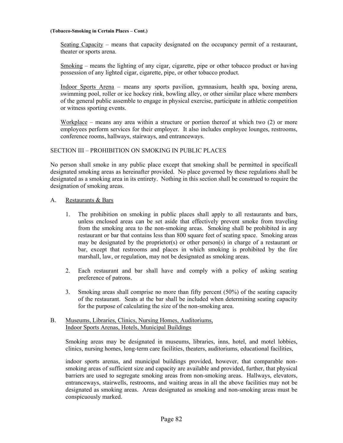#### **(Tobacco-Smoking in Certain Places – Cont.)**

Seating Capacity – means that capacity designated on the occupancy permit of a restaurant, theater or sports arena.

Smoking – means the lighting of any cigar, cigarette, pipe or other tobacco product or having possession of any lighted cigar, cigarette, pipe, or other tobacco product.

Indoor Sports Arena – means any sports pavilion, gymnasium, health spa, boxing arena, swimming pool, roller or ice hockey rink, bowling alley, or other similar place where members of the general public assemble to engage in physical exercise, participate in athletic competition or witness sporting events.

Workplace – means any area within a structure or portion thereof at which two (2) or more employees perform services for their employer. It also includes employee lounges, restrooms, conference rooms, hallways, stairways, and entranceways.

# SECTION III – PROHIBITION ON SMOKING IN PUBLIC PLACES

No person shall smoke in any public place except that smoking shall be permitted in specificall designated smoking areas as hereinafter provided. No place governed by these regulations shall be designated as a smoking area in its entirety. Nothing in this section shall be construed to require the designation of smoking areas.

### A. Restaurants & Bars

- 1. The prohibition on smoking in public places shall apply to all restaurants and bars, unless enclosed areas can be set aside that effectively prevent smoke from traveling from the smoking area to the non-smoking areas. Smoking shall be prohibited in any restaurant or bar that contains less than 800 square feet of seating space. Smoking areas may be designated by the proprietor(s) or other person(s) in charge of a restaurant or bar, except that restrooms and places in which smoking is prohibited by the fire marshall, law, or regulation, may not be designated as smoking areas.
- 2. Each restaurant and bar shall have and comply with a policy of asking seating preference of patrons.
- 3. Smoking areas shall comprise no more than fifty percent (50%) of the seating capacity of the restaurant. Seats at the bar shall be included when determining seating capacity for the purpose of calculating the size of the non-smoking area.

### B. Museums, Libraries, Clinics, Nursing Homes, Auditoriums, Indoor Sports Arenas, Hotels, Municipal Buildings

Smoking areas may be designated in museums, libraries, inns, hotel, and motel lobbies, clinics, nursing homes, long-term care facilities, theaters, auditoriums, educational facilities,

indoor sports arenas, and municipal buildings provided, however, that comparable nonsmoking areas of sufficient size and capacity are available and provided, further, that physical barriers are used to segregate smoking areas from non-smoking areas. Hallways, elevators, entranceways, stairwells, restrooms, and waiting areas in all the above facilities may not be designated as smoking areas. Areas designated as smoking and non-smoking areas must be conspicuously marked.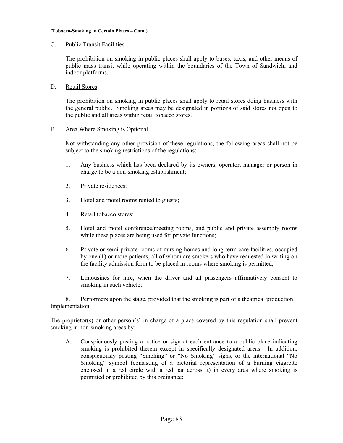#### **(Tobacco-Smoking in Certain Places – Cont.)**

## C. Public Transit Facilities

The prohibition on smoking in public places shall apply to buses, taxis, and other means of public mass transit while operating within the boundaries of the Town of Sandwich, and indoor platforms.

# D. Retail Stores

The prohibition on smoking in public places shall apply to retail stores doing business with the general public. Smoking areas may be designated in portions of said stores not open to the public and all areas within retail tobacco stores.

### E. Area Where Smoking is Optional

Not withstanding any other provision of these regulations, the following areas shall not be subject to the smoking restrictions of the regulations:

- 1. Any business which has been declared by its owners, operator, manager or person in charge to be a non-smoking establishment;
- 2. Private residences;
- 3. Hotel and motel rooms rented to guests;
- 4. Retail tobacco stores;
- 5. Hotel and motel conference/meeting rooms, and public and private assembly rooms while these places are being used for private functions;
- 6. Private or semi-private rooms of nursing homes and long-term care facilities, occupied by one (1) or more patients, all of whom are smokers who have requested in writing on the facility admission form to be placed in rooms where smoking is permitted;
- 7. Limousines for hire, when the driver and all passengers affirmatively consent to smoking in such vehicle;

8. Performers upon the stage, provided that the smoking is part of a theatrical production. Implementation

The proprietor(s) or other person(s) in charge of a place covered by this regulation shall prevent smoking in non-smoking areas by:

A. Conspicuously posting a notice or sign at each entrance to a public place indicating smoking is prohibited therein except in specifically designated areas. In addition, conspicuously posting "Smoking" or "No Smoking" signs, or the international "No Smoking" symbol (consisting of a pictorial representation of a burning cigarette enclosed in a red circle with a red bar across it) in every area where smoking is permitted or prohibited by this ordinance;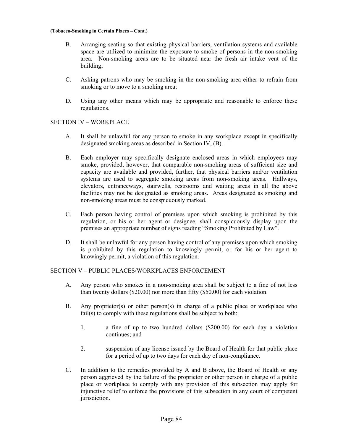#### **(Tobacco-Smoking in Certain Places – Cont.)**

- B. Arranging seating so that existing physical barriers, ventilation systems and available space are utilized to minimize the exposure to smoke of persons in the non-smoking area. Non-smoking areas are to be situated near the fresh air intake vent of the building;
- C. Asking patrons who may be smoking in the non-smoking area either to refrain from smoking or to move to a smoking area;
- D. Using any other means which may be appropriate and reasonable to enforce these regulations.

# SECTION IV – WORKPLACE

- A. It shall be unlawful for any person to smoke in any workplace except in specifically designated smoking areas as described in Section IV, (B).
- B. Each employer may specifically designate enclosed areas in which employees may smoke, provided, however, that comparable non-smoking areas of sufficient size and capacity are available and provided, further, that physical barriers and/or ventilation systems are used to segregate smoking areas from non-smoking areas. Hallways, elevators, entranceways, stairwells, restrooms and waiting areas in all the above facilities may not be designated as smoking areas. Areas designated as smoking and non-smoking areas must be conspicuously marked.
- C. Each person having control of premises upon which smoking is prohibited by this regulation, or his or her agent or designee, shall conspicuously display upon the premises an appropriate number of signs reading "Smoking Prohibited by Law".
- D. It shall be unlawful for any person having control of any premises upon which smoking is prohibited by this regulation to knowingly permit, or for his or her agent to knowingly permit, a violation of this regulation.

# SECTION V – PUBLIC PLACES/WORKPLACES ENFORCEMENT

- A. Any person who smokes in a non-smoking area shall be subject to a fine of not less than twenty dollars (\$20.00) nor more than fifty (\$50.00) for each violation.
- B. Any proprietor(s) or other person(s) in charge of a public place or workplace who fail(s) to comply with these regulations shall be subject to both:
	- 1. a fine of up to two hundred dollars (\$200.00) for each day a violation continues; and
	- 2. suspension of any license issued by the Board of Health for that public place for a period of up to two days for each day of non-compliance.
- C. In addition to the remedies provided by A and B above, the Board of Health or any person aggrieved by the failure of the proprietor or other person in charge of a public place or workplace to comply with any provision of this subsection may apply for injunctive relief to enforce the provisions of this subsection in any court of competent jurisdiction.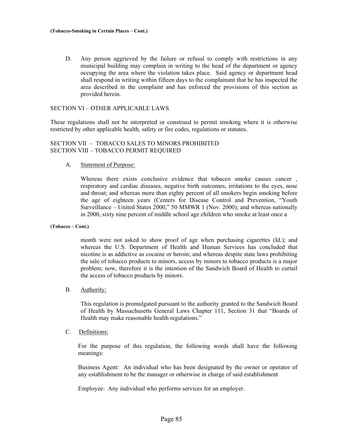D. Any person aggrieved by the failure or refusal to comply with restrictions in any municipal building may complain in writing to the head of the department or agency occupying the area where the violation takes place. Said agency or department head shall respond in writing within fifteen days to the complainant that he has inspected the area described in the complaint and has enforced the provisions of this section as provided herein.

#### SECTION VI – OTHER APPLICABLE LAWS

These regulations shall not be interpreted or construed to permit smoking where it is otherwise restricted by other applicable health, safety or fire codes, regulations or statutes.

## SECTION VII – TOBACCO SALES TO MINORS PROHIBITED SECTION VIII – TOBACCO PERMIT REQUIRED

A. Statement of Purpose:

Whereas there exists conclusive evidence that tobacco smoke causes cancer, respiratory and cardiac diseases, negative birth outcomes, irritations to the eyes, nose and throat; and whereas more than eighty percent of all smokers begin smoking before the age of eighteen years (Centers for Disease Control and Prevention, "Youth Surveillance – United States 2000," 50 MMWR 1 (Nov. 2000); and whereas nationally in 2000, sixty nine percent of middle school age children who smoke at least once a

#### **(Tobacco – Cont.)**

month were not asked to show proof of age when purchasing cigarettes (Id.); and whereas the U.S. Department of Health and Human Services has concluded that nicotine is as addictive as cocaine or heroin; and whereas despite state laws prohibiting the sale of tobacco products to minors, access by minors to tobacco products is a major problem; now, therefore it is the intention of the Sandwich Board of Health to curtail the access of tobacco products by minors.

#### B. Authority:

This regulation is promulgated pursuant to the authority granted to the Sandwich Board of Health by Massachusetts General Laws Chapter 111, Section 31 that "Boards of Health may make reasonable health regulations."

C. Definitions:

For the purpose of this regulation, the following words shall have the following meanings:

Business Agent: An individual who has been designated by the owner or operator of any establishment to be the manager or otherwise in charge of said establishment

Employee: Any individual who performs services for an employer.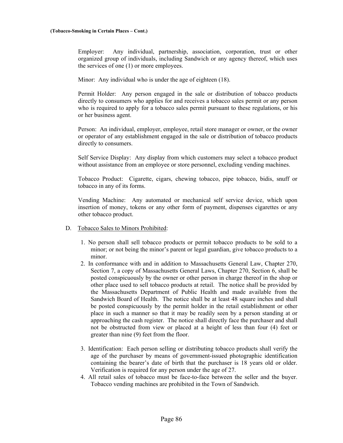Employer: Any individual, partnership, association, corporation, trust or other organized group of individuals, including Sandwich or any agency thereof, which uses the services of one (1) or more employees.

Minor: Any individual who is under the age of eighteen (18).

Permit Holder: Any person engaged in the sale or distribution of tobacco products directly to consumers who applies for and receives a tobacco sales permit or any person who is required to apply for a tobacco sales permit pursuant to these regulations, or his or her business agent.

Person: An individual, employer, employee, retail store manager or owner, or the owner or operator of any establishment engaged in the sale or distribution of tobacco products directly to consumers.

Self Service Display: Any display from which customers may select a tobacco product without assistance from an employee or store personnel, excluding vending machines.

Tobacco Product: Cigarette, cigars, chewing tobacco, pipe tobacco, bidis, snuff or tobacco in any of its forms.

Vending Machine: Any automated or mechanical self service device, which upon insertion of money, tokens or any other form of payment, dispenses cigarettes or any other tobacco product.

- D. Tobacco Sales to Minors Prohibited:
	- 1. No person shall sell tobacco products or permit tobacco products to be sold to a minor; or not being the minor's parent or legal guardian, give tobacco products to a minor.
	- 2. In conformance with and in addition to Massachusetts General Law, Chapter 270, Section 7, a copy of Massachusetts General Laws, Chapter 270, Section 6, shall be posted conspicuously by the owner or other person in charge thereof in the shop or other place used to sell tobacco products at retail. The notice shall be provided by the Massachusetts Department of Public Health and made available from the Sandwich Board of Health. The notice shall be at least 48 square inches and shall be posted conspicuously by the permit holder in the retail establishment or other place in such a manner so that it may be readily seen by a person standing at or approaching the cash register. The notice shall directly face the purchaser and shall not be obstructed from view or placed at a height of less than four (4) feet or greater than nine (9) feet from the floor.
	- 3. Identification: Each person selling or distributing tobacco products shall verify the age of the purchaser by means of government-issued photographic identification containing the bearer's date of birth that the purchaser is 18 years old or older. Verification is required for any person under the age of 27.
	- 4. All retail sales of tobacco must be face-to-face between the seller and the buyer. Tobacco vending machines are prohibited in the Town of Sandwich.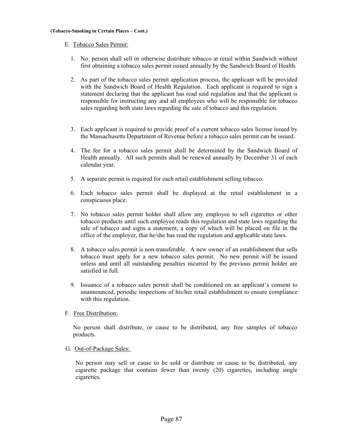# E. Tobacco Sales Permit:

- 1. No. person shall sell or otherwise distribute tobacco at retail within Sandwich without first obtaining a tobacco sales permit issued annually by the Sandwich Board of Health.
- 2. As part of the tobacco sales permit application process, the applicant will be provided with the Sandwich Board of Health Regulation. Each applicant is required to sign a statement declaring that the applicant has read said regulation and that the applicant is responsible for instructing any and all employees who will be responsible for tobacco sales regarding both state laws regarding the sale of tobacco and this regulation.
- 3. Each applicant is required to provide proof of a current tobacco sales license issued by the Massachusetts Department of Revenue before a tobacco sales permit can be issued.
- 4. The fee for a tobacco sales permit shall be determined by the Sandwich Board of Health annually. All such permits shall be renewed annually by December 31 of each calendar year.
- 5. A separate permit is required for each retail establishment selling tobacco.
- 6. Each tobacco sales permit shall be displayed at the retail establishment in a conspicuous place.
- 7. No tobacco sales permit holder shall allow any employee to sell cigarettes or other tobacco products until such employee reads this regulation and state laws regarding the sale of tobacco and signs a statement, a copy of which will be placed on file in the office of the employer, that he/she has read the regulation and applicable state laws.
- 8. A tobacco sales permit is non-transferable. A new owner of an establishment that sells tobacco must apply for a new tobacco sales permit. No new permit will be issued unless and until all outstanding penalties incurred by the previous permit holder are satisfied in full.
- 9. Issuance of a tobacco sales permit shall be conditioned on an applicant's consent to unannounced, periodic inspections of his/her retail establishment to ensure compliance with this regulation.

# F. Free Distribution:

No person shall distribute, or cause to be distributed, any free samples of tobacco products.

G. Out-of-Package Sales:

 No person may sell or cause to be sold or distribute or cause to be distributed, any cigarette package that contains fewer than twenty (20) cigarettes, including single cigarettes.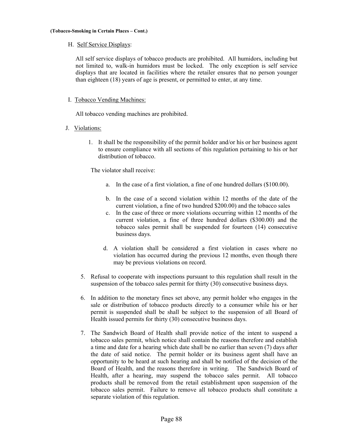H. Self Service Displays:

All self service displays of tobacco products are prohibited. All humidors, including but not limited to, walk-in humidors must be locked. The only exception is self service displays that are located in facilities where the retailer ensures that no person younger than eighteen (18) years of age is present, or permitted to enter, at any time.

### I. Tobacco Vending Machines:

All tobacco vending machines are prohibited.

- J. Violations:
	- 1. It shall be the responsibility of the permit holder and/or his or her business agent to ensure compliance with all sections of this regulation pertaining to his or her distribution of tobacco.

The violator shall receive:

- a. In the case of a first violation, a fine of one hundred dollars (\$100.00).
- b. In the case of a second violation within 12 months of the date of the current violation, a fine of two hundred \$200.00) and the tobacco sales
- c. In the case of three or more violations occurring within 12 months of the current violation, a fine of three hundred dollars (\$300.00) and the tobacco sales permit shall be suspended for fourteen (14) consecutive business days.
- d. A violation shall be considered a first violation in cases where no violation has occurred during the previous 12 months, even though there may be previous violations on record.
- 5. Refusal to cooperate with inspections pursuant to this regulation shall result in the suspension of the tobacco sales permit for thirty (30) consecutive business days.
- 6. In addition to the monetary fines set above, any permit holder who engages in the sale or distribution of tobacco products directly to a consumer while his or her permit is suspended shall be shall be subject to the suspension of all Board of Health issued permits for thirty (30) consecutive business days.
- 7. The Sandwich Board of Health shall provide notice of the intent to suspend a tobacco sales permit, which notice shall contain the reasons therefore and establish a time and date for a hearing which date shall be no earlier than seven (7) days after the date of said notice. The permit holder or its business agent shall have an opportunity to be heard at such hearing and shall be notified of the decision of the Board of Health, and the reasons therefore in writing. The Sandwich Board of Health, after a hearing, may suspend the tobacco sales permit. All tobacco products shall be removed from the retail establishment upon suspension of the tobacco sales permit. Failure to remove all tobacco products shall constitute a separate violation of this regulation.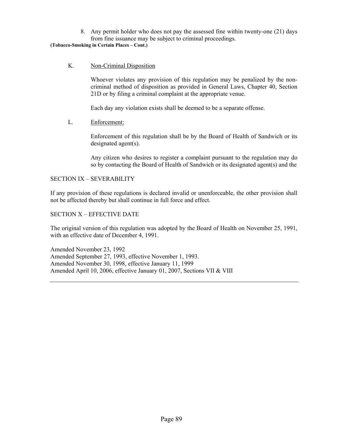8. Any permit holder who does not pay the assessed fine within twenty-one (21) days from fine issuance may be subject to criminal proceedings.

#### **(Tobacco-Smoking in Certain Places – Cont.)**

K. Non-Criminal Disposition

Whoever violates any provision of this regulation may be penalized by the noncriminal method of disposition as provided in General Laws, Chapter 40, Section 21D or by filing a criminal complaint at the appropriate venue.

Each day any violation exists shall be deemed to be a separate offense.

# L. Enforcement:

Enforcement of this regulation shall be by the Board of Health of Sandwich or its designated agent(s).

Any citizen who desires to register a complaint pursuant to the regulation may do so by contacting the Board of Health of Sandwich or its designated agent(s) and the

# SECTION IX – SEVERABILITY

If any provision of these regulations is declared invalid or unenforceable, the other provision shall not be affected thereby but shall continue in full force and effect.

# SECTION X – EFFECTIVE DATE

The original version of this regulation was adopted by the Board of Health on November 25, 1991, with an effective date of December 4, 1991.

Amended November 23, 1992 Amended September 27, 1993, effective November 1, 1993. Amended November 30, 1998, effective January 11, 1999 Amended April 10, 2006, effective January 01, 2007, Sections VII & VIII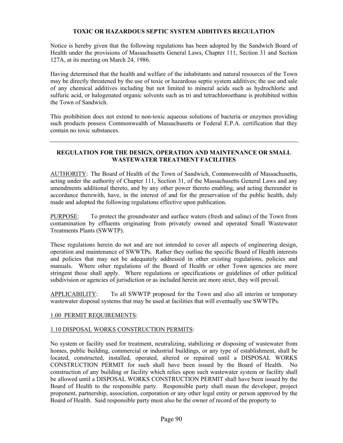# **TOXIC OR HAZARDOUS SEPTIC SYSTEM ADDITIVES REGULATION**

Notice is hereby given that the following regulations has been adopted by the Sandwich Board of Health under the provisions of Massachusetts General Laws, Chapter 111, Section 31 and Section 127A, at its meeting on March 24, 1986.

Having determined that the health and welfare of the inhabitants and natural resources of the Town may be directly threatened by the use of toxic or hazardous septic system additives; the use and sale of any chemical additives including but not limited to mineral acids such as hydrochloric and sulfuric acid, or halogenated organic solvents such as tri and tetrachloroethane is prohibited within the Town of Sandwich.

This prohibition does not extend to non-toxic aqueous solutions of bacteria or enzymes providing such products possess Commonwealth of Massachusetts or Federal E.P.A. certification that they contain no toxic substances.

# **REGULATION FOR THE DESIGN, OPERATION AND MAINTENANCE OR SMALL WASTEWATER TREATMENT FACILITIES**

AUTHORITY: The Board of Health of the Town of Sandwich, Commonwealth of Massachusetts, acting under the authority of Chapter 111, Section 31, of the Massachusetts General Laws and any amendments additional thereto, and by any other power thereto enabling, and acting thereunder in accordance therewith, have, in the interest of and for the preservation of the public health, duly made and adopted the following regulations effective upon publication.

PURPOSE: To protect the groundwater and surface waters (fresh and saline) of the Town from contamination by effluents originating from privately owned and operated Small Wastewater Treatments Plants (SWWTP).

These regulations herein do not and are not intended to cover all aspects of engineering design, operation and maintenance of SWWTPs. Rather they outline the specific Board of Health interests and policies that may not be adequately addressed in other existing regulations, policies and manuals. Where other regulations of the Board of Health or other Town agencies are more stringent those shall apply. Where regulations or specifications or guidelines of other political subdivision or agencies of jurisdiction or as included herein are more strict, they will prevail.

APPLICABILITY: To all SWWTP proposed for the Town and also all interim or temporary wastewater disposal systems that may be used at facilities that will eventually use SWWTPs.

# 1.00 PERMIT REQUIREMENTS:

# 1.10 DISPOSAL WORKS CONSTRUCTION PERMITS:

No system or facility used for treatment, neutralizing, stabilizing or disposing of wastewater from homes, public building, commercial or industrial buildings, or any type of establishment, shall be located, constructed, installed, operated, altered or repaired until a DISPOSAL WORKS CONSTRUCTION PERMIT for such shall have been issued by the Board of Health. No construction of any building or facility which relies upon such wastewater system or facility shall be allowed until a DISPOSAL WORKS CONSTRUCTION PERMIT shall have been issued by the Board of Health to the responsible party. Responsible party shall mean the developer, project proponent, partnership, association, corporation or any other legal entity or person approved by the Board of Health. Said responsible party must also be the owner of record of the property to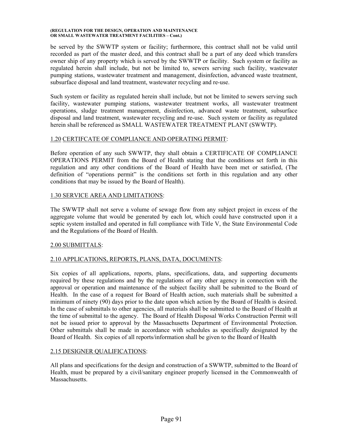be served by the SWWTP system or facility; furthermore, this contract shall not be valid until recorded as part of the master deed, and this contract shall be a part of any deed which transfers owner ship of any property which is served by the SWWTP or facility. Such system or facility as regulated herein shall include, but not be limited to, sewers serving such facility, wastewater pumping stations, wastewater treatment and management, disinfection, advanced waste treatment, subsurface disposal and land treatment, wastewater recycling and re-use.

Such system or facility as regulated herein shall include, but not be limited to sewers serving such facility, wastewater pumping stations, wastewater treatment works, all wastewater treatment operations, sludge treatment management, disinfection, advanced waste treatment, subsurface disposal and land treatment, wastewater recycling and re-use. Such system or facility as regulated herein shall be referenced as SMALL WASTEWATER TREATMENT PLANT (SWWTP).

# 1.20 CERTIFCATE OF COMPLIANCE AND OPERATING PERMIT:

Before operation of any such SWWTP, they shall obtain a CERTIFICATE OF COMPLIANCE OPERATIONS PERMIT from the Board of Health stating that the conditions set forth in this regulation and any other conditions of the Board of Health have been met or satisfied, (The definition of "operations permit" is the conditions set forth in this regulation and any other conditions that may be issued by the Board of Health).

# 1.30 SERVICE AREA AND LIMITATIONS:

The SWWTP shall not serve a volume of sewage flow from any subject project in excess of the aggregate volume that would be generated by each lot, which could have constructed upon it a septic system installed and operated in full compliance with Title V, the State Environmental Code and the Regulations of the Board of Health.

# 2.00 SUBMITTALS:

# 2.10 APPLICATIONS, REPORTS, PLANS, DATA, DOCUMENTS:

Six copies of all applications, reports, plans, specifications, data, and supporting documents required by these regulations and by the regulations of any other agency in connection with the approval or operation and maintenance of the subject facility shall be submitted to the Board of Health. In the case of a request for Board of Health action, such materials shall be submitted a minimum of ninety (90) days prior to the date upon which action by the Board of Health is desired. In the case of submittals to other agencies, all materials shall be submitted to the Board of Health at the time of submittal to the agency. The Board of Health Disposal Works Construction Permit will not be issued prior to approval by the Massachusetts Department of Environmental Protection. Other submittals shall be made in accordance with schedules as specifically designated by the Board of Health. Six copies of all reports/information shall be given to the Board of Health

# 2.15 DESIGNER QUALIFICATIONS:

All plans and specifications for the design and construction of a SWWTP, submitted to the Board of Health, must be prepared by a civil/sanitary engineer properly licensed in the Commonwealth of Massachusetts.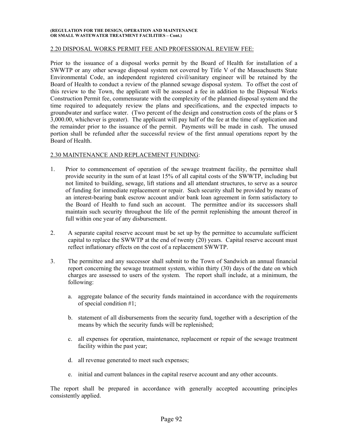#### 2.20 DISPOSAL WORKS PERMIT FEE AND PROFESSIONAL REVIEW FEE:

Prior to the issuance of a disposal works permit by the Board of Health for installation of a SWWTP or any other sewage disposal system not covered by Title V of the Massachusetts State Environmental Code, an independent registered civil/sanitary engineer will be retained by the Board of Health to conduct a review of the planned sewage disposal system. To offset the cost of this review to the Town, the applicant will be assessed a fee in addition to the Disposal Works Construction Permit fee, commensurate with the complexity of the planned disposal system and the time required to adequately review the plans and specifications, and the expected impacts to groundwater and surface water. (Two percent of the design and construction costs of the plans or \$ 3,000.00, whichever is greater). The applicant will pay half of the fee at the time of application and the remainder prior to the issuance of the permit. Payments will be made in cash. The unused portion shall be refunded after the successful review of the first annual operations report by the Board of Health.

#### 2.30 MAINTENANCE AND REPLACEMENT FUNDING:

- 1. Prior to commencement of operation of the sewage treatment facility, the permittee shall provide security in the sum of at least 15% of all capital costs of the SWWTP, including but not limited to building, sewage, lift stations and all attendant structures, to serve as a source of funding for immediate replacement or repair. Such security shall be provided by means of an interest-bearing bank escrow account and/or bank loan agreement in form satisfactory to the Board of Health to fund such an account. The permittee and/or its successors shall maintain such security throughout the life of the permit replenishing the amount thereof in full within one year of any disbursement.
- 2. A separate capital reserve account must be set up by the permittee to accumulate sufficient capital to replace the SWWTP at the end of twenty (20) years. Capital reserve account must reflect inflationary effects on the cost of a replacement SWWTP.
- 3. The permittee and any successor shall submit to the Town of Sandwich an annual financial report concerning the sewage treatment system, within thirty (30) days of the date on which charges are assessed to users of the system. The report shall include, at a minimum, the following:
	- a. aggregate balance of the security funds maintained in accordance with the requirements of special condition #1;
	- b. statement of all disbursements from the security fund, together with a description of the means by which the security funds will be replenished;
	- c. all expenses for operation, maintenance, replacement or repair of the sewage treatment facility within the past year;
	- d. all revenue generated to meet such expenses;
	- e. initial and current balances in the capital reserve account and any other accounts.

The report shall be prepared in accordance with generally accepted accounting principles consistently applied.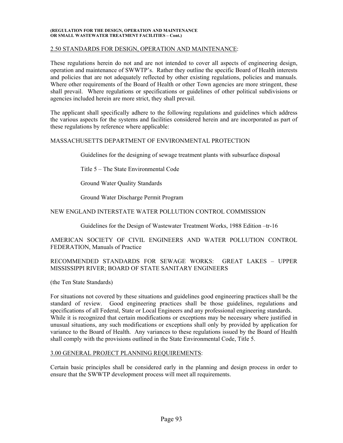#### 2.50 STANDARDS FOR DESIGN, OPERATION AND MAINTENANCE:

These regulations herein do not and are not intended to cover all aspects of engineering design, operation and maintenance of SWWTP's. Rather they outline the specific Board of Health interests and policies that are not adequately reflected by other existing regulations, policies and manuals. Where other requirements of the Board of Health or other Town agencies are more stringent, these shall prevail. Where regulations or specifications or guidelines of other political subdivisions or agencies included herein are more strict, they shall prevail.

The applicant shall specifically adhere to the following regulations and guidelines which address the various aspects for the systems and facilities considered herein and are incorporated as part of these regulations by reference where applicable:

### MASSACHUSETTS DEPARTMENT OF ENVIRONMENTAL PROTECTION

Guidelines for the designing of sewage treatment plants with subsurface disposal

Title 5 – The State Environmental Code

Ground Water Quality Standards

Ground Water Discharge Permit Program

### NEW ENGLAND INTERSTATE WATER POLLUTION CONTROL COMMISSION

Guidelines for the Design of Wastewater Treatment Works, 1988 Edition –tr-16

AMERICAN SOCIETY OF CIVIL ENGINEERS AND WATER POLLUTION CONTROL FEDERATION, Manuals of Practice

# RECOMMENDED STANDARDS FOR SEWAGE WORKS: GREAT LAKES – UPPER MISSISSIPPI RIVER; BOARD OF STATE SANITARY ENGINEERS

(the Ten State Standards)

For situations not covered by these situations and guidelines good engineering practices shall be the standard of review. Good engineering practices shall be those guidelines, regulations and specifications of all Federal, State or Local Engineers and any professional engineering standards. While it is recognized that certain modifications or exceptions may be necessary where justified in unusual situations, any such modifications or exceptions shall only by provided by application for variance to the Board of Health. Any variances to these regulations issued by the Board of Health shall comply with the provisions outlined in the State Environmental Code, Title 5.

#### 3.00 GENERAL PROJECT PLANNING REQUIREMENTS:

Certain basic principles shall be considered early in the planning and design process in order to ensure that the SWWTP development process will meet all requirements.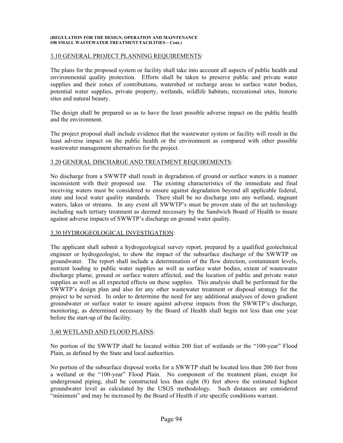#### 3.10 GENERAL PROJECT PLANNING REQUIREMENTS:

The plans for the proposed system or facility shall take into account all aspects of public health and environmental quality protection. Efforts shall be taken to preserve public and private water supplies and their zones of contributions, watershed or recharge areas to surface water bodies, potential water supplies, private property, wetlands, wildlife habitats, recreational sites, historic sites and natural beauty.

The design shall be prepared so as to have the least possible adverse impact on the public health and the environment.

The project proposal shall include evidence that the wastewater system or facility will result in the least adverse impact on the public health or the environment as compared with other possible wastewater management alternatives for the project.

# 3.20 GENERAL DISCHARGE AND TREATMENT REQUIREMENTS:

No discharge from a SWWTP shall result in degradation of ground or surface waters in a manner inconsistent with their proposed use. The existing characteristics of the immediate and final receiving waters must be considered to ensure against degradation beyond all applicable federal, state and local water quality standards. There shall be no discharge into any wetland, stagnant waters, lakes or streams. In any event all SWWTP's must be proven state of the art technology including such tertiary treatment as deemed necessary by the Sandwich Board of Health to insure against adverse impacts of SWWTP's discharge on ground water quality.

#### 3.30 HYDROGEOLOGICAL INVESTIGATION:

The applicant shall submit a hydrogeological survey report, prepared by a qualified geotechnical engineer or hydrogeologist, to show the impact of the subsurface discharge of the SWWTP on groundwater. The report shall include a determination of the flow direction, contaminant levels, nutrient loading to public water supplies as well as surface water bodies, extent of wastewater discharge plume, ground or surface waters affected, and the location of public and private water supplies as well as all expected effects on these supplies. This analysis shall be performed for the SWWTP's design plan and also for any other wastewater treatment or disposal strategy for the project to be served. In order to determine the need for any additional analyses of down gradient groundwater or surface water to insure against adverse impacts from the SWWTP's discharge, monitoring, as determined necessary by the Board of Health shall begin not less than one year before the start-up of the facility.

#### 3.40 WETLAND AND FLOOD PLAINS:

No portion of the SWWTP shall be located within 200 feet of wetlands or the "100-year" Flood Plain, as defined by the State and local authorities.

No portion of the subsurface disposal works for a SWWTP shall be located less than 200 feet from a wetland or the "100-year" Flood Plain. No component of the treatment plant, except for underground piping, shall be constructed less than eight (8) feet above the estimated highest groundwater level as calculated by the USGS methodology. Such distances are considered "minimum" and may be increased by the Board of Health if site specific conditions warrant.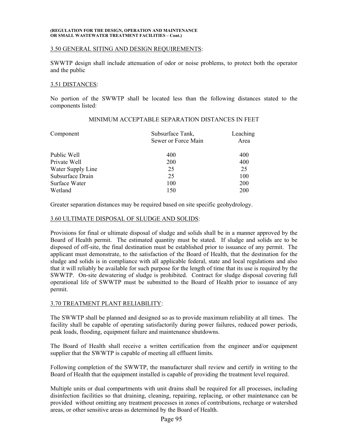#### 3.50 GENERAL SITING AND DESIGN REQUIREMENTS:

SWWTP design shall include attenuation of odor or noise problems, to protect both the operator and the public

## 3.51 DISTANCES:

No portion of the SWWTP shall be located less than the following distances stated to the components listed:

| Component         | Subsurface Tank,<br>Sewer or Force Main | Leaching<br>Area |
|-------------------|-----------------------------------------|------------------|
| Public Well       | 400                                     | 400              |
| Private Well      | 200                                     | 400              |
| Water Supply Line | 25                                      | 25               |
| Subsurface Drain  | 25                                      | 100              |
| Surface Water     | 100                                     | <b>200</b>       |
| Wetland           | 150                                     | 200              |

# MINIMUM ACCEPTABLE SEPARATION DISTANCES IN FEET

Greater separation distances may be required based on site specific geohydrology.

### 3.60 ULTIMATE DISPOSAL OF SLUDGE AND SOLIDS:

Provisions for final or ultimate disposal of sludge and solids shall be in a manner approved by the Board of Health permit. The estimated quantity must be stated. If sludge and solids are to be disposed of off-site, the final destination must be established prior to issuance of any permit. The applicant must demonstrate, to the satisfaction of the Board of Health, that the destination for the sludge and solids is in compliance with all applicable federal, state and local regulations and also that it will reliably be available for such purpose for the length of time that its use is required by the SWWTP. On-site dewatering of sludge is prohibited. Contract for sludge disposal covering full operational life of SWWTP must be submitted to the Board of Health prior to issuance of any permit.

# 3.70 TREATMENT PLANT RELIABILITY:

The SWWTP shall be planned and designed so as to provide maximum reliability at all times. The facility shall be capable of operating satisfactorily during power failures, reduced power periods, peak loads, flooding, equipment failure and maintenance shutdowns.

The Board of Health shall receive a written certification from the engineer and/or equipment supplier that the SWWTP is capable of meeting all effluent limits.

Following completion of the SWWTP, the manufacturer shall review and certify in writing to the Board of Health that the equipment installed is capable of providing the treatment level required.

Multiple units or dual compartments with unit drains shall be required for all processes, including disinfection facilities so that draining, cleaning, repairing, replacing, or other maintenance can be provided without omitting any treatment processes in zones of contributions, recharge or watershed areas, or other sensitive areas as determined by the Board of Health.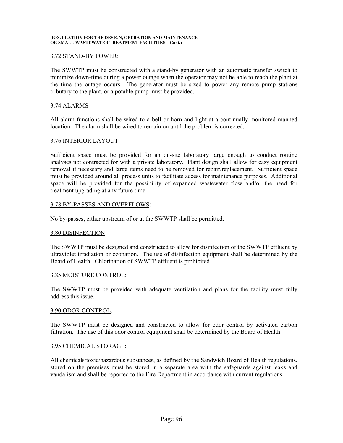### 3.72 STAND-BY POWER:

The SWWTP must be constructed with a stand-by generator with an automatic transfer switch to minimize down-time during a power outage when the operator may not be able to reach the plant at the time the outage occurs. The generator must be sized to power any remote pump stations tributary to the plant, or a potable pump must be provided.

#### 3.74 ALARMS

All alarm functions shall be wired to a bell or horn and light at a continually monitored manned location. The alarm shall be wired to remain on until the problem is corrected.

### 3.76 INTERIOR LAYOUT:

Sufficient space must be provided for an on-site laboratory large enough to conduct routine analyses not contracted for with a private laboratory. Plant design shall allow for easy equipment removal if necessary and large items need to be removed for repair/replacement. Sufficient space must be provided around all process units to facilitate access for maintenance purposes. Additional space will be provided for the possibility of expanded wastewater flow and/or the need for treatment upgrading at any future time.

### 3.78 BY-PASSES AND OVERFLOWS:

No by-passes, either upstream of or at the SWWTP shall be permitted.

#### 3.80 DISINFECTION:

The SWWTP must be designed and constructed to allow for disinfection of the SWWTP effluent by ultraviolet irradiation or ozonation. The use of disinfection equipment shall be determined by the Board of Health. Chlorination of SWWTP effluent is prohibited.

#### 3.85 MOISTURE CONTROL:

The SWWTP must be provided with adequate ventilation and plans for the facility must fully address this issue.

### 3.90 ODOR CONTROL:

The SWWTP must be designed and constructed to allow for odor control by activated carbon filtration. The use of this odor control equipment shall be determined by the Board of Health.

# 3.95 CHEMICAL STORAGE:

All chemicals/toxic/hazardous substances, as defined by the Sandwich Board of Health regulations, stored on the premises must be stored in a separate area with the safeguards against leaks and vandalism and shall be reported to the Fire Department in accordance with current regulations.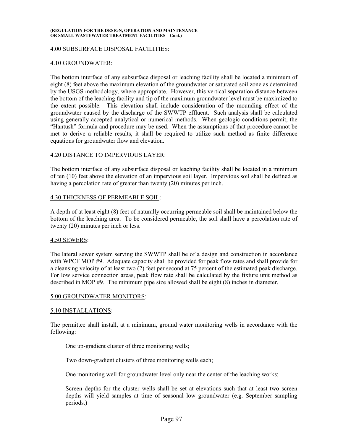#### 4.00 SUBSURFACE DISPOSAL FACILITIES:

#### 4.10 GROUNDWATER:

The bottom interface of any subsurface disposal or leaching facility shall be located a minimum of eight (8) feet above the maximum elevation of the groundwater or saturated soil zone as determined by the USGS methodology, where appropriate. However, this vertical separation distance between the bottom of the leaching facility and tip of the maximum groundwater level must be maximized to the extent possible. This elevation shall include consideration of the mounding effect of the groundwater caused by the discharge of the SWWTP effluent. Such analysis shall be calculated using generally accepted analytical or numerical methods. When geologic conditions permit, the "Hantush" formula and procedure may be used. When the assumptions of that procedure cannot be met to derive a reliable results, it shall be required to utilize such method as finite difference equations for groundwater flow and elevation.

#### 4.20 DISTANCE TO IMPERVIOUS LAYER:

The bottom interface of any subsurface disposal or leaching facility shall be located in a minimum of ten (10) feet above the elevation of an impervious soil layer. Impervious soil shall be defined as having a percolation rate of greater than twenty (20) minutes per inch.

#### 4.30 THICKNESS OF PERMEABLE SOIL:

A depth of at least eight (8) feet of naturally occurring permeable soil shall be maintained below the bottom of the leaching area. To be considered permeable, the soil shall have a percolation rate of twenty (20) minutes per inch or less.

#### 4.50 SEWERS:

The lateral sewer system serving the SWWTP shall be of a design and construction in accordance with WPCF MOP #9. Adequate capacity shall be provided for peak flow rates and shall provide for a cleansing velocity of at least two (2) feet per second at 75 percent of the estimated peak discharge. For low service connection areas, peak flow rate shall be calculated by the fixture unit method as described in MOP #9. The minimum pipe size allowed shall be eight (8) inches in diameter.

#### 5.00 GROUNDWATER MONITORS:

#### 5.10 INSTALLATIONS:

The permittee shall install, at a minimum, ground water monitoring wells in accordance with the following:

One up-gradient cluster of three monitoring wells;

Two down-gradient clusters of three monitoring wells each;

One monitoring well for groundwater level only near the center of the leaching works;

Screen depths for the cluster wells shall be set at elevations such that at least two screen depths will yield samples at time of seasonal low groundwater (e.g. September sampling periods.)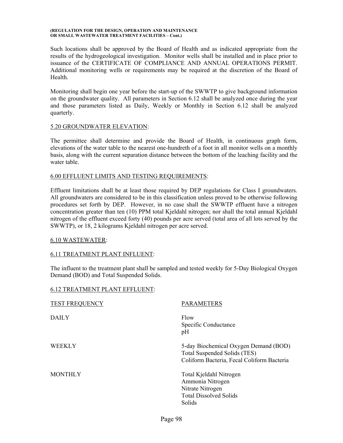Such locations shall be approved by the Board of Health and as indicated appropriate from the results of the hydrogeological investigation. Monitor wells shall be installed and in place prior to issuance of the CERTIFICATE OF COMPLIANCE AND ANNUAL OPERATIONS PERMIT. Additional monitoring wells or requirements may be required at the discretion of the Board of Health.

Monitoring shall begin one year before the start-up of the SWWTP to give background information on the groundwater quality. All parameters in Section 6.12 shall be analyzed once during the year and those parameters listed as Daily, Weekly or Monthly in Section 6.12 shall be analyzed quarterly.

### 5.20 GROUNDWATER ELEVATION:

The permittee shall determine and provide the Board of Health, in continuous graph form, elevations of the water table to the nearest one-hundreth of a foot in all monitor wells on a monthly basis, along with the current separation distance between the bottom of the leaching facility and the water table.

### 6.00 EFFLUENT LIMITS AND TESTING REQUIREMENTS:

Effluent limitations shall be at least those required by DEP regulations for Class I groundwaters. All groundwaters are considered to be in this classification unless proved to be otherwise following procedures set forth by DEP. However, in no case shall the SWWTP effluent have a nitrogen concentration greater than ten (10) PPM total Kjeldahl nitrogen; nor shall the total annual Kjeldahl nitrogen of the effluent exceed forty (40) pounds per acre served (total area of all lots served by the SWWTP), or 18, 2 kilograms Kjeldahl nitrogen per acre served.

# 6.10 WASTEWATER:

# 6.11 TREATMENT PLANT INFLUENT:

The influent to the treatment plant shall be sampled and tested weekly for 5-Day Biological Oxygen Demand (BOD) and Total Suspended Solids.

#### 6.12 TREATMENT PLANT EFFLUENT:

| <b>TEST FREQUENCY</b> | <b>PARAMETERS</b>                                                                                                   |
|-----------------------|---------------------------------------------------------------------------------------------------------------------|
| <b>DAILY</b>          | Flow<br>Specific Conductance<br>pH                                                                                  |
| <b>WEEKLY</b>         | 5-day Biochemical Oxygen Demand (BOD)<br>Total Suspended Solids (TES)<br>Coliform Bacteria, Fecal Coliform Bacteria |
| <b>MONTHLY</b>        | Total Kjeldahl Nitrogen<br>Ammonia Nitrogen<br>Nitrate Nitrogen<br><b>Total Dissolved Solids</b><br>Solids          |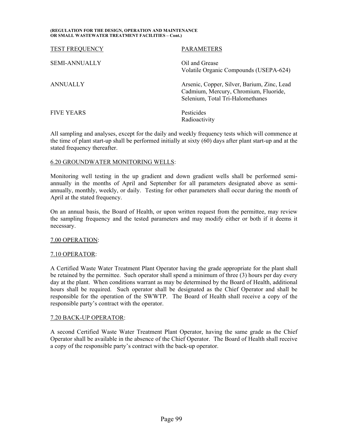| <b>TEST FREQUENCY</b> | <b>PARAMETERS</b>                                                                                                        |
|-----------------------|--------------------------------------------------------------------------------------------------------------------------|
| <b>SEMI-ANNUALLY</b>  | Oil and Grease<br>Volatile Organic Compounds (USEPA-624)                                                                 |
| ANNUALLY              | Arsenic, Copper, Silver, Barium, Zinc, Lead<br>Cadmium, Mercury, Chromium, Fluoride,<br>Selenium, Total Tri-Halomethanes |
| <b>FIVE YEARS</b>     | Pesticides<br>Radioactivity                                                                                              |

All sampling and analyses, except for the daily and weekly frequency tests which will commence at the time of plant start-up shall be performed initially at sixty (60) days after plant start-up and at the stated frequency thereafter.

# 6.20 GROUNDWATER MONITORING WELLS:

Monitoring well testing in the up gradient and down gradient wells shall be performed semiannually in the months of April and September for all parameters designated above as semiannually, monthly, weekly, or daily. Testing for other parameters shall occur during the month of April at the stated frequency.

On an annual basis, the Board of Health, or upon written request from the permittee, may review the sampling frequency and the tested parameters and may modify either or both if it deems it necessary.

#### 7.00 OPERATION:

# 7.10 OPERATOR:

A Certified Waste Water Treatment Plant Operator having the grade appropriate for the plant shall be retained by the permittee. Such operator shall spend a minimum of three (3) hours per day every day at the plant. When conditions warrant as may be determined by the Board of Health, additional hours shall be required. Such operator shall be designated as the Chief Operator and shall be responsible for the operation of the SWWTP. The Board of Health shall receive a copy of the responsible party's contract with the operator.

#### 7.20 BACK-UP OPERATOR:

A second Certified Waste Water Treatment Plant Operator, having the same grade as the Chief Operator shall be available in the absence of the Chief Operator. The Board of Health shall receive a copy of the responsible party's contract with the back-up operator.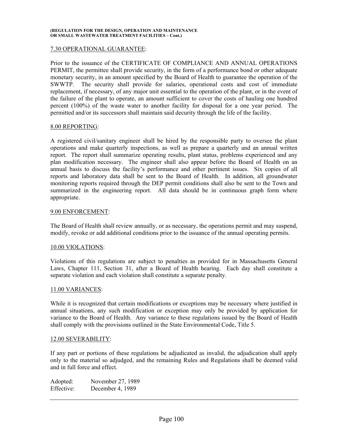### 7.30 OPERATIONAL GUARANTEE:

Prior to the issuance of the CERTIFICATE OF COMPLIANCE AND ANNUAL OPERATIONS PERMIT, the permittee shall provide security, in the form of a performance bond or other adequate monetary security, in an amount specified by the Board of Health to guarantee the operation of the SWWTP. The security shall provide for salaries, operational costs and cost of immediate replacement, if necessary, of any major unit essential to the operation of the plant, or in the event of the failure of the plant to operate, an amount sufficient to cover the costs of hauling one hundred percent (100%) of the waste water to another facility for disposal for a one year period. The permitted and/or its successors shall maintain said decurity through the life of the facility.

#### 8.00 REPORTING:

A registered civil/sanitary engineer shall be hired by the responsible party to oversee the plant operations and make quarterly inspections, as well as prepare a quarterly and an annual written report. The report shall summarize operating results, plant status, problems experienced and any plan modification necessary. The engineer shall also appear before the Board of Health on an annual basis to discuss the facility's performance and other pertinent issues. Six copies of all reports and laboratory data shall be sent to the Board of Health. In addition, all groundwater monitoring reports required through the DEP permit conditions shall also be sent to the Town and summarized in the engineering report. All data should be in continuous graph form where appropriate.

### 9.00 ENFORCEMENT:

The Board of Health shall review annually, or as necessary, the operations permit and may suspend, modify, revoke or add additional conditions prior to the issuance of the annual operating permits.

#### 10.00 VIOLATIONS:

Violations of this regulations are subject to penalties as provided for in Massachusetts General Laws, Chapter 111, Section 31, after a Board of Health hearing. Each day shall constitute a separate violation and each violation shall constitute a separate penalty.

#### 11.00 VARIANCES:

While it is recognized that certain modifications or exceptions may be necessary where justified in annual situations, any such modification or exception may only be provided by application for variance to the Board of Health. Any variance to these regulations issued by the Board of Health shall comply with the provisions outlined in the State Environmental Code, Title 5.

#### 12.00 SEVERABILITY:

If any part or portions of these regulations be adjudicated as invalid, the adjudication shall apply only to the material so adjudged, and the remaining Rules and Regulations shall be deemed valid and in full force and effect.

| Adopted:   | November 27, 1989 |
|------------|-------------------|
| Effective: | December 4, 1989  |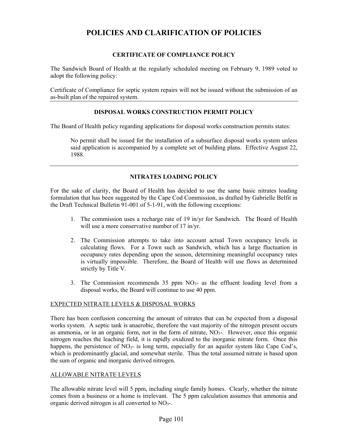# **POLICIES AND CLARIFICATION OF POLICIES**

# **CERTIFICATE OF COMPLIANCE POLICY**

The Sandwich Board of Health at the regularly scheduled meeting on February 9, 1989 voted to adopt the following policy:

Certificate of Compliance for septic system repairs will not be issued without the submission of an as-built plan of the repaired system.

# **DISPOSAL WORKS CONSTRUCTION PERMIT POLICY**

The Board of Health policy regarding applications for disposal works construction permits states:

No permit shall be issued for the installation of a subsurface disposal works system unless said application is accompanied by a complete set of building plans. Effective August 22, 1988.

# **NITRATES LOADING POLICY**

For the sake of clarity, the Board of Health has decided to use the same basic nitrates loading formulation that has been suggested by the Cape Cod Commission, as drafted by Gabrielle Belfit in the Draft Technical Bulletin 91-001 of 5-1-91, with the following exceptions:

- 1. The commission uses a recharge rate of 19 in/yr for Sandwich. The Board of Health will use a more conservative number of 17 in/yr.
- 2. The Commission attempts to take into account actual Town occupancy levels in calculating flows. For a Town such as Sandwich, which has a large fluctuation in occupancy rates depending upon the season, determining meaningful occupancy rates is virtually impossible. Therefore, the Board of Health will use flows as determined strictly by Title V.
- 3. The Commission recommends  $35$  ppm  $NO<sub>3</sub>$  as the effluent loading level from a disposal works, the Board will continue to use 40 ppm.

# EXPECTED NITRATE LEVELS & DISPOSAL WORKS

There has been confusion concerning the amount of nitrates that can be expected from a disposal works system. A septic tank is anaerobic, therefore the vast majority of the nitrogen present occurs as ammonia, or in an organic form, not in the form of nitrate,  $NO<sub>3</sub>$ -. However, once this organic nitrogen reaches the leaching field, it is rapidly oxidized to the inorganic nitrate form. Once this happens, the persistence of  $NO<sub>3</sub>$ - is long term, especially for an aquifer system like Cape Cod's, which is predominantly glacial, and somewhat sterile. Thus the total assumed nitrate is based upon the sum of organic and inorganic derived nitrogen.

# ALLOWABLE NITRATE LEVELS

The allowable nitrate level will 5 ppm, including single family homes. Clearly, whether the nitrate comes from a business or a home is irrelevant. The 5 ppm calculation assumes that ammonia and organic derived nitrogen is all converted to  $NO<sub>3</sub>$ .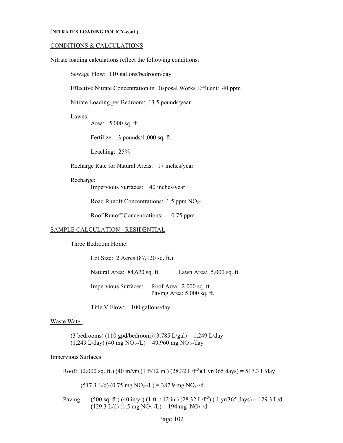### (**NITRATES LOADING POLICY-cont.)**

### CONDITIONS & CALCULATIONS

Nitrate loading calculations reflect the following conditions:

Sewage Flow: 110 gallons/bedroom/day

Effective Nitrate Concentration in Disposal Works Effluent: 40 ppm

Nitrate Loading per Bedroom: 13.5 pounds/year

#### Lawns:

Area: 5,000 sq. ft.

Fertilizer: 3 pounds/1,000 sq. ft.

Leaching: 25%

Recharge Rate for Natural Areas: 17 inches/year

#### Recharge:

Impervious Surfaces: 40 inches/year

Road Runoff Concentrations: 1.5 ppm NO<sub>3</sub>-

Roof Runoff Concentrations: 0.75 ppm

#### SAMPLE CALCULATION - RESIDENTIAL

Three Bedroom Home:

Lot Size: 2 Acres (87,120 sq. ft.)

Natural Area: 84,620 sq. ft. Lawn Area: 5,000 sq. ft.

 Impervious Surfaces: Roof Area: 2,000 sq. ft. Paving Area: 5,000 sq. ft.

Title V Flow: 100 gallons/day

#### Waste Water

(3 bedrooms) (110 gpd/bedroom) (3.785 L/gal) = 1,249 L/day  $(1,249 \text{ L/day})$  (40 mg NO<sub>3</sub>-/L) = 49,960 mg NO<sub>3</sub>-/day

### Impervious Surfaces

Roof:  $(2,000 \text{ sq. ft.})$   $(40 \text{ in/yr})$   $(1 \text{ ft/12 in.})$   $(28.32 \text{ L/ft}^3)(1 \text{ yr/}365 \text{ days}) = 517.3 \text{ L/day}$ 

 $(517.3 \text{ L/d}) (0.75 \text{ mg NO}_3-\text{/L}) = 387.9 \text{ mg NO}_3-\text{/d}$ 

Paving:  $(500 \text{ sq. ft.}) (40 \text{ in/yr}) (1 \text{ ft.} / 12 \text{ in.}) (28.32 \text{ L/ft}^3) (1 \text{ yr} / 365 \text{ days}) = 129.3 \text{ L/} \text{d}$  $(129.3 \text{ L/d}) (1.5 \text{ mg NO}_3 - / \text{L}) = 194 \text{ mg NO}_3 - / \text{d}$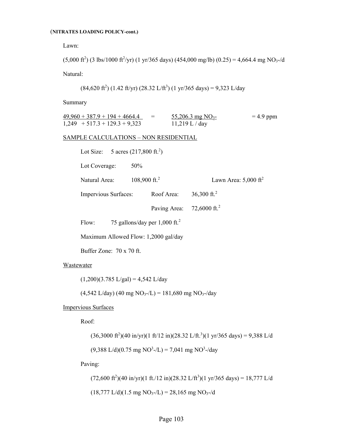#### (**NITRATES LOADING POLICY-cont.)**

Lawn:

 $(5,000 \text{ ft}^2)$  (3 lbs/1000 ft<sup>2</sup>/yr) (1 yr/365 days) (454,000 mg/lb) (0.25) = 4,664.4 mg NO<sub>3</sub>-/d

Natural:

$$
(84,620 \text{ ft}^2) (1.42 \text{ ft/yr}) (28.32 \text{ L/ft}^3) (1 \text{ yr/}365 \text{ days}) = 9,323 \text{ L/day}
$$

Summary

| $49,960 + 387.9 + 194 + 4664.4$ | $\equiv$ | $\frac{55,206.3 \text{ mg NO}_3}{55,206.3 \text{ mg NO}_3}$ | $= 4.9$ ppm |
|---------------------------------|----------|-------------------------------------------------------------|-------------|
| $1,249$ + 517.3 + 129.3 + 9,323 |          | $11,219$ L / day                                            |             |

#### SAMPLE CALCULATIONS – NON RESIDENTIAL

| Lot Size: 5 acres $(217,800 \text{ ft.}^2)$ |                                             |              |                                    |  |
|---------------------------------------------|---------------------------------------------|--------------|------------------------------------|--|
| Lot Coverage:                               | 50%                                         |              |                                    |  |
| Natural Area:                               | 108,900 ft. <sup>2</sup>                    |              | Lawn Area: $5,000$ ft <sup>2</sup> |  |
|                                             | Impervious Surfaces:                        |              | 36,300 ft. <sup>2</sup>            |  |
|                                             |                                             | Paving Area: | 72,6000 ft. <sup>2</sup>           |  |
| Flow:                                       | 75 gallons/day per $1,000$ ft. <sup>2</sup> |              |                                    |  |

Maximum Allowed Flow: 1,2000 gal/day

Buffer Zone: 70 x 70 ft.

# Wastewater

 $(1,200)(3.785 \text{ L/gal}) = 4,542 \text{ L/day}$ 

 $(4,542 \text{ L/day})$   $(40 \text{ mg NO}_3$ -/L) = 181,680 mg NO<sub>3</sub>-/day

Impervious Surfaces

Roof:

 $(36,3000 \text{ ft}^2)(40 \text{ in/yr})(1 \text{ ft/12 in})(28.32 \text{ L/ft.}^3)(1 \text{ yr/}365 \text{ days}) = 9,388 \text{ L/}4$ 

 $(9,388 \text{ L/d})(0.75 \text{ mg NO}^3$ -/L) = 7,041 mg NO<sup>3</sup>-/day

Paving:

 $(72,600 \text{ ft}^2)(40 \text{ in/yr})(1 \text{ ft.}/12 \text{ in})(28.32 \text{ L/ft}^3)(1 \text{ yr}/365 \text{ days}) = 18,777 \text{ L/}4$ 

 $(18,777 \text{ L/d})(1.5 \text{ mg NO}_3-\text{/L}) = 28,165 \text{ mg NO}_3-\text{/d}$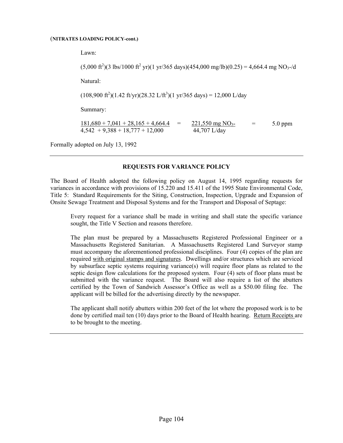#### (**NITRATES LOADING POLICY-cont.)**

Lawn:

 $(5,000 \text{ ft}^2)(3 \text{ lbs}/1000 \text{ ft}^2 \text{ yr})(1 \text{ yr}/365 \text{ days})(454,000 \text{ mg/lb})(0.25) = 4,664.4 \text{ mg NO}_3$ -/d

Natural:

 $(108,900 \text{ ft}^2)(1.42 \text{ ft/yr})(28.32 \text{ L/ft}^3)(1 \text{ yr}/365 \text{ days}) = 12,000 \text{ L/day}$ 

Summary:

 $181,680 + 7,041 + 28,165 + 4,664.4 = 221,550$  mg NO<sub>3</sub>- = 5.0 ppm  $4,542 + 9,388 + 18,777 + 12,000$  44,707 L/day

Formally adopted on July 13, 1992

# **REQUESTS FOR VARIANCE POLICY**

The Board of Health adopted the following policy on August 14, 1995 regarding requests for variances in accordance with provisions of 15.220 and 15.411 of the 1995 State Environmental Code, Title 5: Standard Requirements for the Siting, Construction, Inspection, Upgrade and Expansion of Onsite Sewage Treatment and Disposal Systems and for the Transport and Disposal of Septage:

 Every request for a variance shall be made in writing and shall state the specific variance sought, the Title V Section and reasons therefore.

 The plan must be prepared by a Massachusetts Registered Professional Engineer or a Massachusetts Registered Sanitarian. A Massachusetts Registered Land Surveyor stamp must accompany the aforementioned professional disciplines. Four (4) copies of the plan are required with original stamps and signatures. Dwellings and/or structures which are serviced by subsurface septic systems requiring variance(s) will require floor plans as related to the septic design flow calculations for the proposed system. Four (4) sets of floor plans must be submitted with the variance request. The Board will also require a list of the abutters certified by the Town of Sandwich Assessor's Office as well as a \$50.00 filing fee. The applicant will be billed for the advertising directly by the newspaper.

 The applicant shall notify abutters within 200 feet of the lot where the proposed work is to be done by certified mail ten (10) days prior to the Board of Health hearing. Return Receipts are to be brought to the meeting.